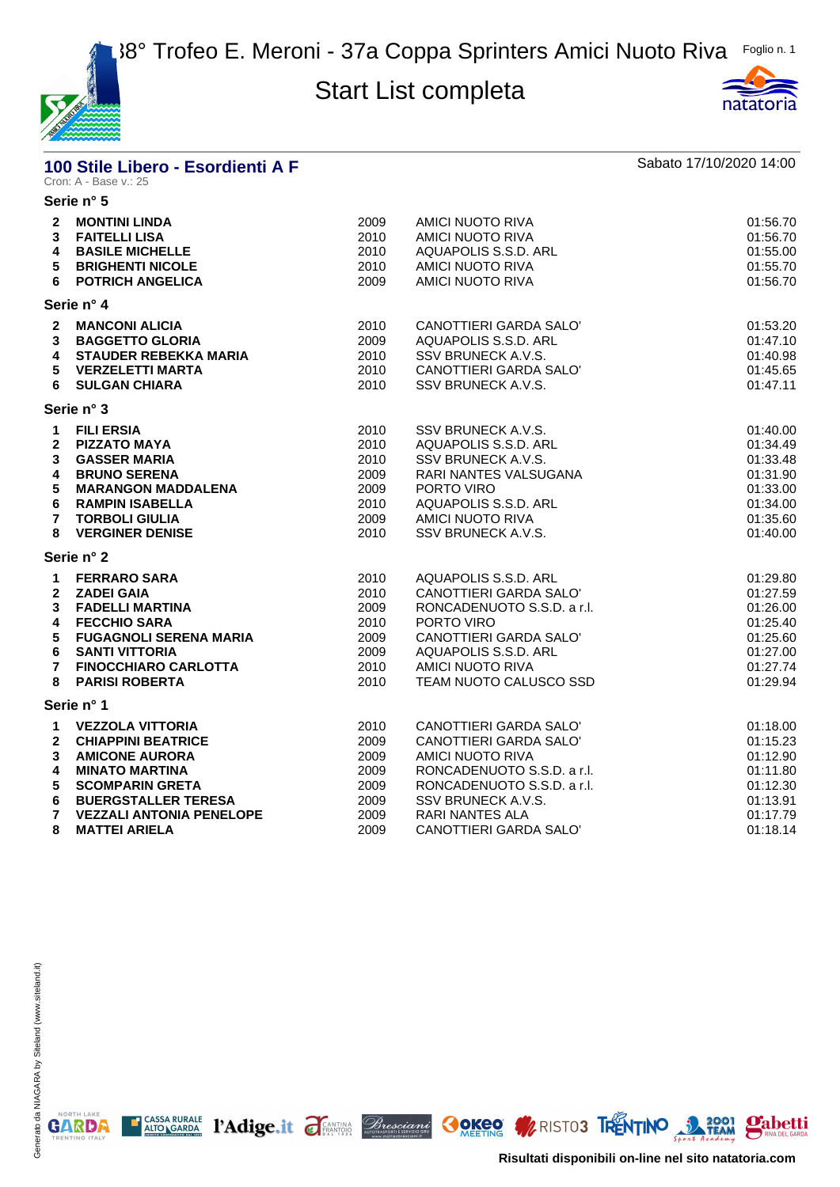



# **100 Stile Libero - Esordienti A F** Sabato 17/10/2020 14:00<br>Cron: A - Base v.: 25

|                                                                                                 | Serie n° 5                                                                                                                                                                                                                                                                           |                                                                                      |                                                                                                                                                                                                                                                           |                                                                                                                                  |
|-------------------------------------------------------------------------------------------------|--------------------------------------------------------------------------------------------------------------------------------------------------------------------------------------------------------------------------------------------------------------------------------------|--------------------------------------------------------------------------------------|-----------------------------------------------------------------------------------------------------------------------------------------------------------------------------------------------------------------------------------------------------------|----------------------------------------------------------------------------------------------------------------------------------|
| 3<br>6                                                                                          | 2 MONTINI LINDA<br><b>FAITELLI LISA</b><br><b>4 BASILE MICHELLE</b><br><b>5 BRIGHENTI NICOLE</b><br><b>POTRICH ANGELICA</b>                                                                                                                                                          | 2009<br>2010<br>2010<br>2010<br>2009                                                 | <b>AMICI NUOTO RIVA</b><br>AMICI NUOTO RIVA<br>AQUAPOLIS S.S.D. ARL<br><b>AMICI NUOTO RIVA</b><br>AMICI NUOTO RIVA                                                                                                                                        | 01:56.70<br>01:56.70<br>01:55.00<br>01:55.70<br>01:56.70                                                                         |
|                                                                                                 | Serie n° 4                                                                                                                                                                                                                                                                           |                                                                                      |                                                                                                                                                                                                                                                           |                                                                                                                                  |
| 3<br>4<br>5<br>6                                                                                | 2 MANCONI ALICIA<br><b>BAGGETTO GLORIA</b><br>STAUDER REBEKKA MARIA<br><b>VERZELETTI MARTA</b><br><b>SULGAN CHIARA</b>                                                                                                                                                               | 2010<br>2009<br>2010<br>2010<br>2010                                                 | CANOTTIERI GARDA SALO'<br>AQUAPOLIS S.S.D. ARL<br>SSV BRUNECK A.V.S.<br>CANOTTIERI GARDA SALO'<br>SSV BRUNECK A.V.S.                                                                                                                                      | 01:53.20<br>01:47.10<br>01:40.98<br>01:45.65<br>01:47.11                                                                         |
|                                                                                                 | Serie n° 3                                                                                                                                                                                                                                                                           |                                                                                      |                                                                                                                                                                                                                                                           |                                                                                                                                  |
| $\mathbf 1$<br>2<br>3<br>4<br>5<br>6<br>$\overline{7}$<br>8<br>$\mathbf 1$<br>$\mathbf{2}$<br>3 | <b>FILI ERSIA</b><br><b>PIZZATO MAYA</b><br><b>GASSER MARIA</b><br><b>BRUNO SERENA</b><br><b>MARANGON MADDALENA</b><br><b>RAMPIN ISABELLA</b><br><b>TORBOLI GIULIA</b><br><b>VERGINER DENISE</b><br>Serie n° 2<br><b>FERRARO SARA</b><br><b>ZADEI GAIA</b><br><b>FADELLI MARTINA</b> | 2010<br>2010<br>2010<br>2009<br>2009<br>2010<br>2009<br>2010<br>2010<br>2010<br>2009 | SSV BRUNECK A.V.S.<br>AQUAPOLIS S.S.D. ARL<br>SSV BRUNECK A.V.S.<br>RARI NANTES VALSUGANA<br>PORTO VIRO<br>AQUAPOLIS S.S.D. ARL<br>AMICI NUOTO RIVA<br>SSV BRUNECK A.V.S.<br>AQUAPOLIS S.S.D. ARL<br>CANOTTIERI GARDA SALO'<br>RONCADENUOTO S.S.D. a r.l. | 01:40.00<br>01:34.49<br>01:33.48<br>01:31.90<br>01:33.00<br>01:34.00<br>01:35.60<br>01:40.00<br>01:29.80<br>01:27.59<br>01:26.00 |
| 4<br>5<br>6<br>$\overline{7}$                                                                   | <b>FECCHIO SARA</b><br><b>FUGAGNOLI SERENA MARIA</b><br><b>SANTI VITTORIA</b><br><b>FINOCCHIARO CARLOTTA</b>                                                                                                                                                                         | 2010<br>2009<br>2009<br>2010                                                         | PORTO VIRO<br>CANOTTIERI GARDA SALO'<br>AQUAPOLIS S.S.D. ARL<br><b>AMICI NUOTO RIVA</b>                                                                                                                                                                   | 01:25.40<br>01:25.60<br>01:27.00<br>01:27.74                                                                                     |
| 8                                                                                               | <b>PARISI ROBERTA</b><br>Serie n° 1                                                                                                                                                                                                                                                  | 2010                                                                                 | TEAM NUOTO CALUSCO SSD                                                                                                                                                                                                                                    | 01:29.94                                                                                                                         |
| 1<br>$\mathbf{2}$<br>3<br>4<br>5<br>6                                                           | <b>VEZZOLA VITTORIA</b><br><b>CHIAPPINI BEATRICE</b><br><b>AMICONE AURORA</b><br><b>MINATO MARTINA</b><br><b>SCOMPARIN GRETA</b><br><b>BUERGSTALLER TERESA</b>                                                                                                                       | 2010<br>2009<br>2009<br>2009<br>2009<br>2009                                         | CANOTTIERI GARDA SALO'<br>CANOTTIERI GARDA SALO'<br>AMICI NUOTO RIVA<br>RONCADENUOTO S.S.D. a r.l.<br>RONCADENUOTO S.S.D. a r.l.<br>SSV BRUNECK A.V.S.                                                                                                    | 01:18.00<br>01:15.23<br>01:12.90<br>01:11.80<br>01:12.30<br>01:13.91                                                             |
| $\overline{7}$<br>8                                                                             | <b>VEZZALI ANTONIA PENELOPE</b><br><b>MATTEI ARIELA</b>                                                                                                                                                                                                                              | 2009<br>2009                                                                         | <b>RARI NANTES ALA</b><br>CANOTTIERI GARDA SALO'                                                                                                                                                                                                          | 01:17.79<br>01:18.14                                                                                                             |

E CASSA RURALE PAdige.it FEANTING Bresciant COKEO MRISTO3 TRENTINO 3 2001 Pabetti

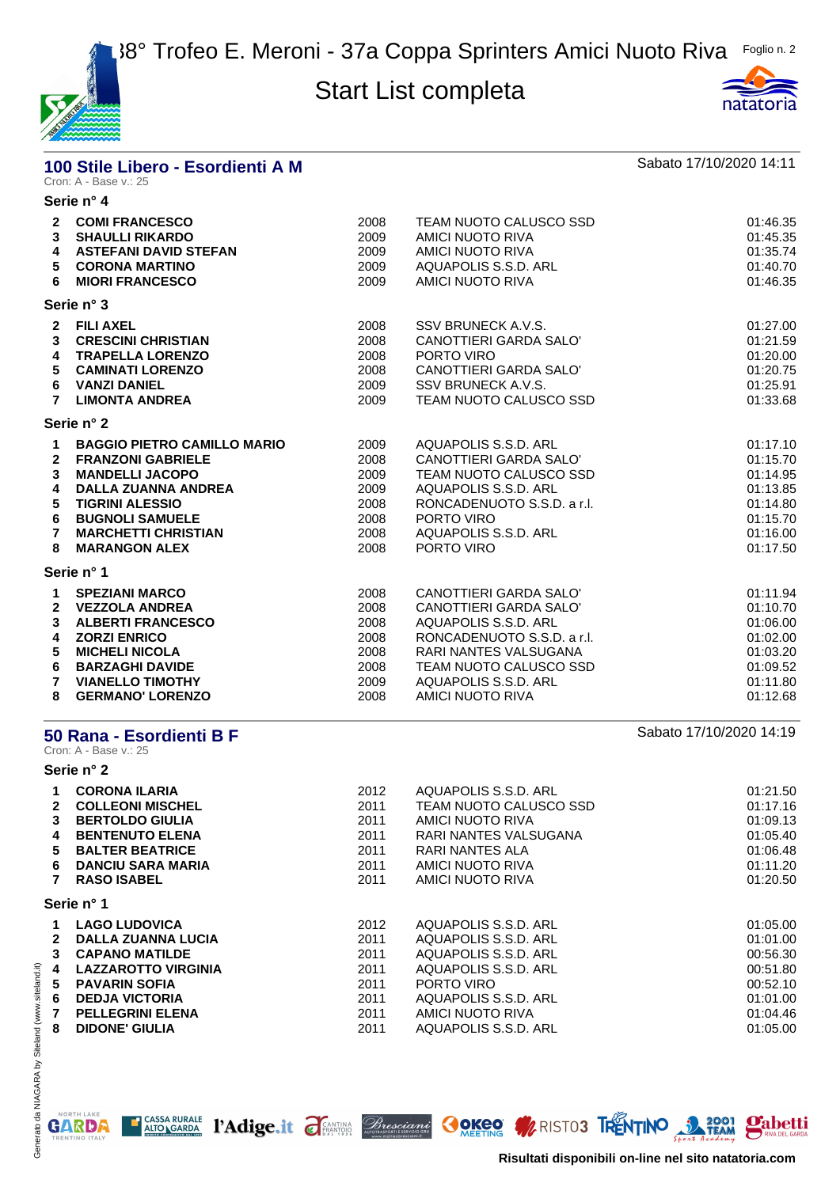



#### **100 Stile Libero - Esordienti A M Sabato 17/10/2020 14:11** Cron: A - Base v.: 25

| Serie n° 4                                                                                                                                                                                                                       |                                                              |                                                                                                                                                                                                              |                                                                                              |
|----------------------------------------------------------------------------------------------------------------------------------------------------------------------------------------------------------------------------------|--------------------------------------------------------------|--------------------------------------------------------------------------------------------------------------------------------------------------------------------------------------------------------------|----------------------------------------------------------------------------------------------|
| 2 COMI FRANCESCO<br>3 SHAULLI RIKARDO<br><b>ASTEFANI DAVID STEFAN</b><br><b>CORONA MARTINO</b><br><b>MIORI FRANCESCO</b>                                                                                                         | 2008<br>2009<br>2009<br>2009<br>2009                         | TEAM NUOTO CALUSCO SSD<br>AMICI NUOTO RIVA<br>AMICI NUOTO RIVA<br>AQUAPOLIS S.S.D. ARL<br>AMICI NUOTO RIVA                                                                                                   | 01:46.35<br>01:45.35<br>01:35.74<br>01:40.70<br>01:46.35                                     |
| Serie n° 3                                                                                                                                                                                                                       |                                                              |                                                                                                                                                                                                              |                                                                                              |
| 2 FILI AXEL<br><b>CRESCINI CHRISTIAN</b><br><b>TRAPELLA LORENZO</b><br><b>CAMINATI LORENZO</b><br><b>VANZI DANIEL</b><br><b>LIMONTA ANDREA</b>                                                                                   | 2008<br>2008<br>2008<br>2008<br>2009<br>2009                 | SSV BRUNECK A.V.S.<br>CANOTTIERI GARDA SALO'<br>PORTO VIRO<br>CANOTTIERI GARDA SALO'<br>SSV BRUNECK A.V.S.<br>TEAM NUOTO CALUSCO SSD                                                                         | 01:27.00<br>01:21.59<br>01:20.00<br>01:20.75<br>01:25.91<br>01:33.68                         |
| Serie n° 2                                                                                                                                                                                                                       |                                                              |                                                                                                                                                                                                              |                                                                                              |
| <b>BAGGIO PIETRO CAMILLO MARIO</b><br><b>FRANZONI GABRIELE</b><br><b>MANDELLI JACOPO</b><br><b>DALLA ZUANNA ANDREA</b><br><b>TIGRINI ALESSIO</b><br><b>BUGNOLI SAMUELE</b><br><b>MARCHETTI CHRISTIAN</b><br><b>MARANGON ALEX</b> | 2009<br>2008<br>2009<br>2009<br>2008<br>2008<br>2008<br>2008 | AQUAPOLIS S.S.D. ARL<br>CANOTTIERI GARDA SALO'<br>TEAM NUOTO CALUSCO SSD<br>AQUAPOLIS S.S.D. ARL<br>RONCADENUOTO S.S.D. a r.l.<br>PORTO VIRO<br>AQUAPOLIS S.S.D. ARL<br>PORTO VIRO                           | 01:17.10<br>01:15.70<br>01:14.95<br>01:13.85<br>01:14.80<br>01:15.70<br>01:16.00<br>01:17.50 |
| Serie n° 1                                                                                                                                                                                                                       |                                                              |                                                                                                                                                                                                              |                                                                                              |
| <b>SPEZIANI MARCO</b><br><b>VEZZOLA ANDREA</b><br><b>ALBERTI FRANCESCO</b><br><b>ZORZI ENRICO</b><br><b>MICHELI NICOLA</b><br><b>BARZAGHI DAVIDE</b><br><b>VIANELLO TIMOTHY</b><br>8 GERMANO' LORENZO                            | 2008<br>2008<br>2008<br>2008<br>2008<br>2008<br>2009<br>2008 | CANOTTIERI GARDA SALO'<br>CANOTTIERI GARDA SALO'<br>AQUAPOLIS S.S.D. ARL<br>RONCADENUOTO S.S.D. a r.l.<br>RARI NANTES VALSUGANA<br>TEAM NUOTO CALUSCO SSD<br>AQUAPOLIS S.S.D. ARL<br><b>AMICI NUOTO RIVA</b> | 01:11.94<br>01:10.70<br>01:06.00<br>01:02.00<br>01:03.20<br>01:09.52<br>01:11.80<br>01:12.68 |
|                                                                                                                                                                                                                                  |                                                              |                                                                                                                                                                                                              |                                                                                              |

#### **50 Rana - Esordienti B F**  $\overline{ }$  **50 Rana - Esordienti B F**

Cron: A - Base v.: 25

**Serie n° 2 CORONA ILARIA** 2012 AQUAPOLIS S.S.D. ARL 01:21.50 **COLLEONI MISCHEL** 2011 TEAM NUOTO CALUSCO SSD 01:17.16 **BERTOLDO GIULIA** 2011 AMICI NUOTO RIVA 01:09.13 **BENTENUTO ELENA** 2011 RARI NANTES VALSUGANA 01:05.40 **BALTER BEATRICE** 2011 RARI NANTES ALA 01:06.48 **DANCIU SARA MARIA** 2011 AMICI NUOTO RIVA 01:11.20 **RASO ISABEL** 2011 AMICI NUOTO RIVA 01:20.50 **Serie n° 1 LAGO LUDOVICA** 2012 AQUAPOLIS S.S.D. ARL 01:05.00 **DALLA ZUANNA LUCIA** 2011 AQUAPOLIS S.S.D. ARL 01:01.00 **CAPANO MATILDE** 2011 AQUAPOLIS S.S.D. ARL 00:56.30 **LAZZAROTTO VIRGINIA** 2011 AQUAPOLIS S.S.D. ARL 00:51.80 **PAVARIN SOFIA** 2011 PORTO VIRO 00:52.10 **DEDJA VICTORIA** 2011 AQUAPOLIS S.S.D. ARL 01:01.00 **PELLEGRINI ELENA** 2011 AMICI NUOTO RIVA 01:04.46 **DIDONE' GIULIA** 2011 AQUAPOLIS S.S.D. ARL 01:05.00

T CASSA RURALE l'Adige.it d'ENTING *Bresciant* COKEO MRISTO3 TRENTINO 1 1644 M



**Risultati disponibili on-line nel sito natatoria.com**

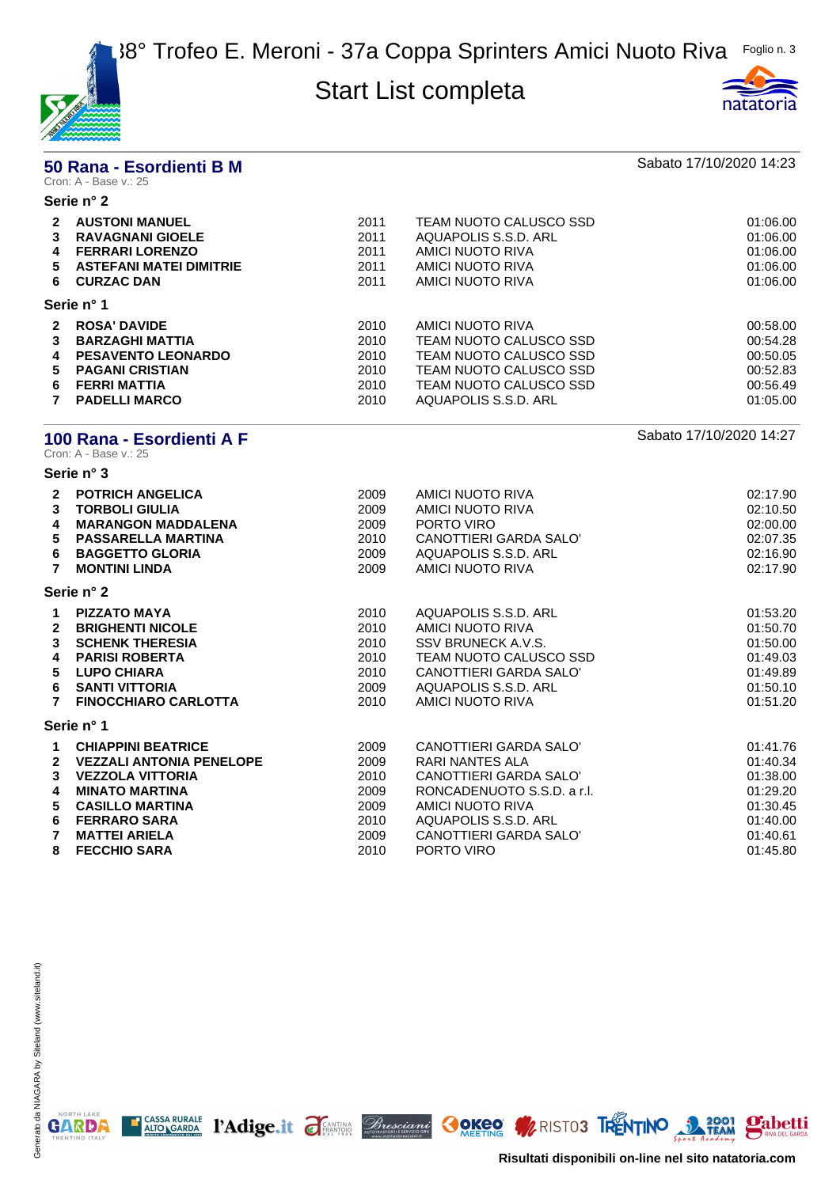



|                                                                                 | 50 Rana - Esordienti B M<br>Cron: A - Base v.: 25                                                                                                                                                                |                                                              |                                                                                                                                                                                              | Sabato 17/10/2020 14:23                                                                      |
|---------------------------------------------------------------------------------|------------------------------------------------------------------------------------------------------------------------------------------------------------------------------------------------------------------|--------------------------------------------------------------|----------------------------------------------------------------------------------------------------------------------------------------------------------------------------------------------|----------------------------------------------------------------------------------------------|
|                                                                                 | Serie n° 2                                                                                                                                                                                                       |                                                              |                                                                                                                                                                                              |                                                                                              |
|                                                                                 | 2 AUSTONI MANUEL<br><b>3 RAVAGNANI GIOELE</b><br>4 FERRARI LORENZO<br>5 ASTEFANI MATEI DIMITRIE<br>6 CURZAC DAN                                                                                                  | 2011<br>2011<br>2011<br>2011<br>2011                         | TEAM NUOTO CALUSCO SSD<br>AQUAPOLIS S.S.D. ARL<br>AMICI NUOTO RIVA<br>AMICI NUOTO RIVA<br>AMICI NUOTO RIVA                                                                                   | 01:06.00<br>01:06.00<br>01:06.00<br>01:06.00<br>01:06.00                                     |
|                                                                                 | Serie n° 1                                                                                                                                                                                                       |                                                              |                                                                                                                                                                                              |                                                                                              |
| $\mathbf{2}$<br>3<br>4<br>$\overline{7}$                                        | <b>ROSA' DAVIDE</b><br><b>BARZAGHI MATTIA</b><br><b>PESAVENTO LEONARDO</b><br>5 PAGANI CRISTIAN<br>6 FERRI MATTIA<br><b>PADELLI MARCO</b>                                                                        | 2010<br>2010<br>2010<br>2010<br>2010<br>2010                 | AMICI NUOTO RIVA<br>TEAM NUOTO CALUSCO SSD<br>TEAM NUOTO CALUSCO SSD<br>TEAM NUOTO CALUSCO SSD<br>TEAM NUOTO CALUSCO SSD<br>AQUAPOLIS S.S.D. ARL                                             | 00:58.00<br>00:54.28<br>00:50.05<br>00:52.83<br>00:56.49<br>01:05.00                         |
|                                                                                 | 100 Rana - Esordienti A F<br>Cron: A - Base v.: 25                                                                                                                                                               |                                                              |                                                                                                                                                                                              | Sabato 17/10/2020 14:27                                                                      |
|                                                                                 | Serie n° 3                                                                                                                                                                                                       |                                                              |                                                                                                                                                                                              |                                                                                              |
| $\mathbf{2}$<br>3<br>4<br>5<br>6<br>$\overline{7}$                              | <b>POTRICH ANGELICA</b><br><b>TORBOLI GIULIA</b><br><b>MARANGON MADDALENA</b><br><b>PASSARELLA MARTINA</b><br><b>BAGGETTO GLORIA</b><br><b>MONTINI LINDA</b>                                                     | 2009<br>2009<br>2009<br>2010<br>2009<br>2009                 | AMICI NUOTO RIVA<br>AMICI NUOTO RIVA<br>PORTO VIRO<br>CANOTTIERI GARDA SALO'<br>AQUAPOLIS S.S.D. ARL<br><b>AMICI NUOTO RIVA</b>                                                              | 02:17.90<br>02:10.50<br>02:00.00<br>02:07.35<br>02:16.90<br>02:17.90                         |
|                                                                                 | Serie n° 2                                                                                                                                                                                                       |                                                              |                                                                                                                                                                                              |                                                                                              |
| $\mathbf 1$<br>$\mathbf{2}$<br>3<br>4<br>$5\phantom{.0}$<br>6<br>$\overline{7}$ | <b>PIZZATO MAYA</b><br><b>BRIGHENTI NICOLE</b><br><b>SCHENK THERESIA</b><br><b>PARISI ROBERTA</b><br><b>LUPO CHIARA</b><br><b>SANTI VITTORIA</b><br><b>FINOCCHIARO CARLOTTA</b>                                  | 2010<br>2010<br>2010<br>2010<br>2010<br>2009<br>2010         | AQUAPOLIS S.S.D. ARL<br><b>AMICI NUOTO RIVA</b><br>SSV BRUNECK A.V.S.<br>TEAM NUOTO CALUSCO SSD<br><b>CANOTTIERI GARDA SALO'</b><br>AQUAPOLIS S.S.D. ARL<br><b>AMICI NUOTO RIVA</b>          | 01:53.20<br>01:50.70<br>01:50.00<br>01:49.03<br>01:49.89<br>01:50.10<br>01:51.20             |
|                                                                                 | Serie n° 1                                                                                                                                                                                                       |                                                              |                                                                                                                                                                                              |                                                                                              |
| $\mathbf 1$<br>$\mathbf{2}$<br>3<br>4<br>5<br>6<br>$\mathbf{7}$<br>8            | <b>CHIAPPINI BEATRICE</b><br><b>VEZZALI ANTONIA PENELOPE</b><br><b>VEZZOLA VITTORIA</b><br><b>MINATO MARTINA</b><br><b>CASILLO MARTINA</b><br><b>FERRARO SARA</b><br><b>MATTEI ARIELA</b><br><b>FECCHIO SARA</b> | 2009<br>2009<br>2010<br>2009<br>2009<br>2010<br>2009<br>2010 | CANOTTIERI GARDA SALO'<br>RARI NANTES ALA<br>CANOTTIERI GARDA SALO'<br>RONCADENUOTO S.S.D. a r.l.<br><b>AMICI NUOTO RIVA</b><br>AQUAPOLIS S.S.D. ARL<br>CANOTTIERI GARDA SALO'<br>PORTO VIRO | 01:41.76<br>01:40.34<br>01:38.00<br>01:29.20<br>01:30.45<br>01:40.00<br>01:40.61<br>01:45.80 |

T CASSA RURALE PAdige.it FEANTING *Bresciant* OCKOO WRISTO3 TRENTINO 3 2001 Pabetti



**Risultati disponibili on-line nel sito natatoria.com**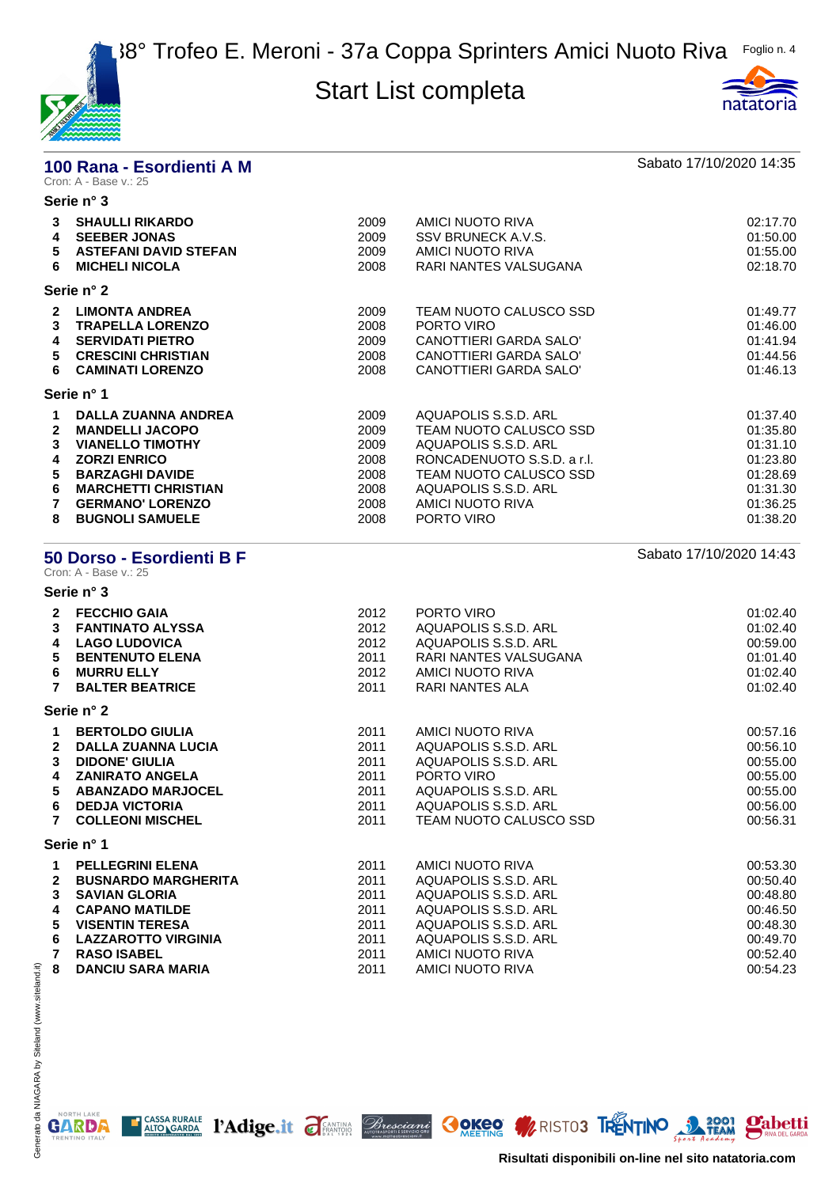



# **100 Rana - Esordienti A M Sabato 17/10/2020 14:35**<br>Cron: A - Base v.: 25

### **Serie n° 3**

| 3<br>4<br>5.<br>6                           | <b>SHAULLI RIKARDO</b><br><b>SEEBER JONAS</b><br><b>ASTEFANI DAVID STEFAN</b><br><b>MICHELI NICOLA</b>                                                                                                              | 2009<br>2009<br>2009<br>2008                                 | AMICI NUOTO RIVA<br>SSV BRUNECK A.V.S.<br>AMICI NUOTO RIVA<br>RARI NANTES VALSUGANA                                                                                                      | 02:17.70<br>01:50.00<br>01:55.00<br>02:18.70                                                 |
|---------------------------------------------|---------------------------------------------------------------------------------------------------------------------------------------------------------------------------------------------------------------------|--------------------------------------------------------------|------------------------------------------------------------------------------------------------------------------------------------------------------------------------------------------|----------------------------------------------------------------------------------------------|
|                                             | Serie n° 2                                                                                                                                                                                                          |                                                              |                                                                                                                                                                                          |                                                                                              |
| $\mathbf{2}$<br>3<br>4<br>5.<br>6           | <b>LIMONTA ANDREA</b><br><b>TRAPELLA LORENZO</b><br><b>SERVIDATI PIETRO</b><br><b>CRESCINI CHRISTIAN</b><br><b>CAMINATI LORENZO</b>                                                                                 | 2009<br>2008<br>2009<br>2008<br>2008                         | TEAM NUOTO CALUSCO SSD<br>PORTO VIRO<br>CANOTTIERI GARDA SALO'<br>CANOTTIERI GARDA SALO'<br>CANOTTIERI GARDA SALO'                                                                       | 01:49.77<br>01:46.00<br>01:41.94<br>01:44.56<br>01:46.13                                     |
|                                             | Serie n° 1                                                                                                                                                                                                          |                                                              |                                                                                                                                                                                          |                                                                                              |
| 1.<br>$\mathbf{2}$<br>3<br>4<br>5<br>6<br>8 | <b>DALLA ZUANNA ANDREA</b><br><b>MANDELLI JACOPO</b><br><b>VIANELLO TIMOTHY</b><br><b>ZORZI ENRICO</b><br><b>BARZAGHI DAVIDE</b><br><b>MARCHETTI CHRISTIAN</b><br><b>GERMANO' LORENZO</b><br><b>BUGNOLI SAMUELE</b> | 2009<br>2009<br>2009<br>2008<br>2008<br>2008<br>2008<br>2008 | AQUAPOLIS S.S.D. ARL<br>TEAM NUOTO CALUSCO SSD<br>AQUAPOLIS S.S.D. ARL<br>RONCADENUOTO S.S.D. a r.l.<br>TEAM NUOTO CALUSCO SSD<br>AQUAPOLIS S.S.D. ARL<br>AMICI NUOTO RIVA<br>PORTO VIRO | 01:37.40<br>01:35.80<br>01:31.10<br>01:23.80<br>01:28.69<br>01:31.30<br>01:36.25<br>01:38.20 |

### **50 Dorso - Esordienti B F** Sabato 17/10/2020 14:43

Cron: A - Base v.: 25 **Serie n° 3**

| $\mathbf{2}$   | <b>FECCHIO GAIA</b>        | 2012 | PORTO VIRO             | 01:02.40 |
|----------------|----------------------------|------|------------------------|----------|
| 3              | <b>FANTINATO ALYSSA</b>    | 2012 | AQUAPOLIS S.S.D. ARL   | 01:02.40 |
| 4              | <b>LAGO LUDOVICA</b>       | 2012 | AQUAPOLIS S.S.D. ARL   | 00:59.00 |
| 5              | <b>BENTENUTO ELENA</b>     | 2011 | RARI NANTES VALSUGANA  | 01:01.40 |
| 6              | <b>MURRU ELLY</b>          | 2012 | AMICI NUOTO RIVA       | 01:02.40 |
| $\mathbf{7}$   | <b>BALTER BEATRICE</b>     | 2011 | RARI NANTES ALA        | 01:02.40 |
|                | Serie n° 2                 |      |                        |          |
| 1              | <b>BERTOLDO GIULIA</b>     | 2011 | AMICI NUOTO RIVA       | 00:57.16 |
| $\overline{2}$ | <b>DALLA ZUANNA LUCIA</b>  | 2011 | AQUAPOLIS S.S.D. ARL   | 00:56.10 |
| 3              | <b>DIDONE' GIULIA</b>      | 2011 | AQUAPOLIS S.S.D. ARL   | 00:55.00 |
| 4              | <b>ZANIRATO ANGELA</b>     | 2011 | PORTO VIRO             | 00:55.00 |
| 5.             | <b>ABANZADO MARJOCEL</b>   | 2011 | AQUAPOLIS S.S.D. ARL   | 00:55.00 |
| 6              | <b>DEDJA VICTORIA</b>      | 2011 | AQUAPOLIS S.S.D. ARL   | 00:56.00 |
| 7              | <b>COLLEONI MISCHEL</b>    | 2011 | TEAM NUOTO CALUSCO SSD | 00:56.31 |
|                | Serie n° 1                 |      |                        |          |
| 1.             | <b>PELLEGRINI ELENA</b>    | 2011 | AMICI NUOTO RIVA       | 00:53.30 |
| $\overline{2}$ | <b>BUSNARDO MARGHERITA</b> | 2011 | AQUAPOLIS S.S.D. ARL   | 00:50.40 |
| 3              | <b>SAVIAN GLORIA</b>       | 2011 | AQUAPOLIS S.S.D. ARL   | 00:48.80 |
| 4              | <b>CAPANO MATILDE</b>      | 2011 | AQUAPOLIS S.S.D. ARL   | 00:46.50 |

| T VALANY MAILLE       | 2011 | AWUAI ULIU U.U.U. ANL | 00.40.JU |
|-----------------------|------|-----------------------|----------|
| 5 VISENTIN TERESA     | 2011 | AQUAPOLIS S.S.D. ARL  | 00:48.30 |
| 6 LAZZAROTTO VIRGINIA | 2011 | AQUAPOLIS S.S.D. ARL  | 00:49.70 |
| 7  RASO ISABEL        | 2011 | AMICI NUOTO RIVA      | 00:52.40 |
| 8 DANCIU SARA MARIA   | 2011 | AMICI NUOTO RIVA      | 00:54.23 |
|                       |      |                       |          |

NORTH LAKE

**GARDA** 

E CASSA RURALE PAdige.it FEANTING Bresciant COKEO MRISTO3 TRENTINO 3 2001 Pabetti **Risultati disponibili on-line nel sito natatoria.com**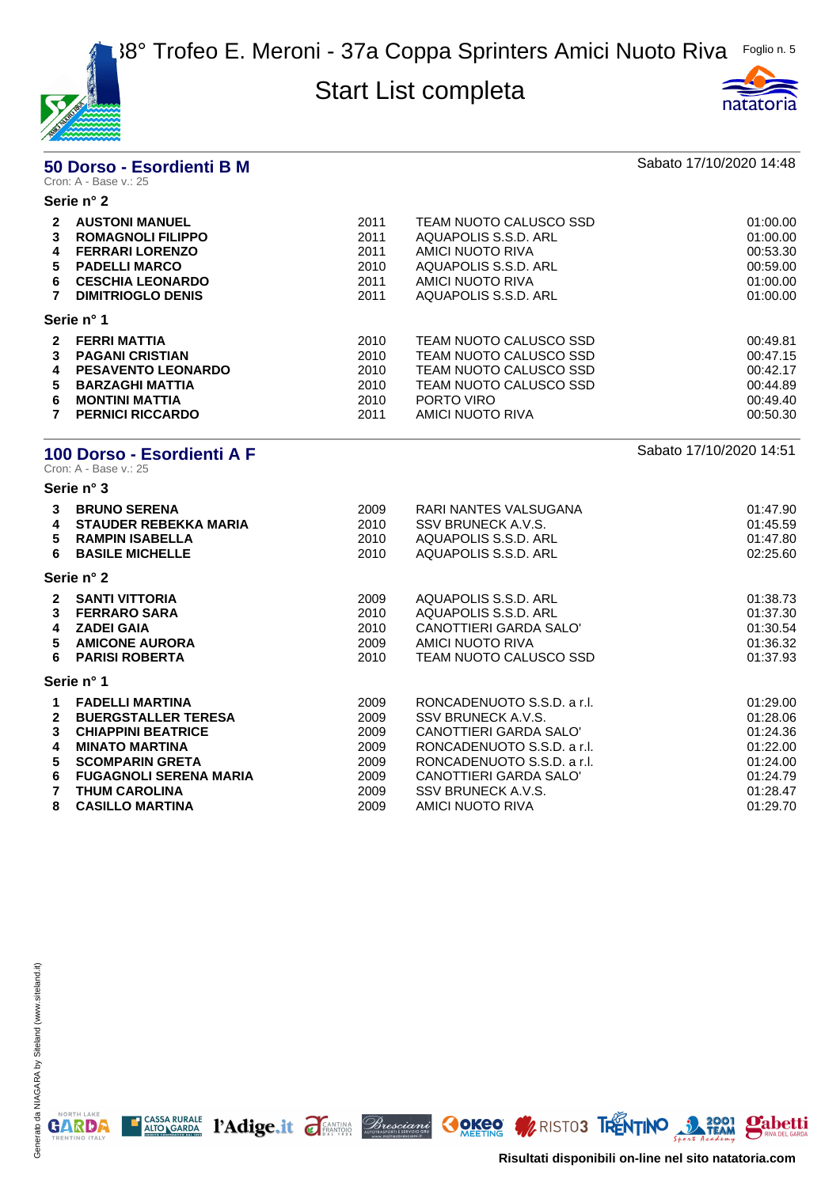



# **50 Dorso - Esordienti B M Sabato 17/10/2020 14:48**<br>Cron: A - Base v.: 25

#### **Serie n° 2**

| $\mathbf{2}$ | <b>AUSTONI MANUEL</b>     | 2011 | TEAM NUOTO CALUSCO SSD | 01:00.00 |
|--------------|---------------------------|------|------------------------|----------|
| 3            | <b>ROMAGNOLI FILIPPO</b>  | 2011 | AQUAPOLIS S.S.D. ARL   | 01:00.00 |
| 4            | <b>FERRARI LORENZO</b>    | 2011 | AMICI NUOTO RIVA       | 00:53.30 |
| 5.           | <b>PADELLI MARCO</b>      | 2010 | AQUAPOLIS S.S.D. ARL   | 00:59.00 |
| 6            | <b>CESCHIA LEONARDO</b>   | 2011 | AMICI NUOTO RIVA       | 01:00.00 |
|              | <b>DIMITRIOGLO DENIS</b>  | 2011 | AQUAPOLIS S.S.D. ARL   | 01:00.00 |
|              | Serie n° 1                |      |                        |          |
| $\mathbf{2}$ | <b>FERRI MATTIA</b>       | 2010 | TEAM NUOTO CALUSCO SSD | 00:49.81 |
| 3            | <b>PAGANI CRISTIAN</b>    | 2010 | TEAM NUOTO CALUSCO SSD | 00:47.15 |
| 4            | <b>PESAVENTO LEONARDO</b> | 2010 | TEAM NUOTO CALUSCO SSD | 00:42.17 |
| 5.           | <b>BARZAGHI MATTIA</b>    | 2010 | TEAM NUOTO CALUSCO SSD | 00:44.89 |
| 6            | <b>MONTINI MATTIA</b>     | 2010 | PORTO VIRO             | 00:49.40 |
|              | <b>PERNICI RICCARDO</b>   | 2011 | AMICI NUOTO RIVA       | 00:50.30 |
|              |                           |      |                        |          |

# **100 Dorso - Esordienti A F** Sabato 17/10/2020 14:51<br>Cron: A - Base v.: 25

**Serie n° 3**

| 3<br>4<br>5.<br>6                                     | <b>BRUNO SERENA</b><br><b>STAUDER REBEKKA MARIA</b><br><b>RAMPIN ISABELLA</b><br><b>BASILE MICHELLE</b>                                                                                       | 2009<br>2010<br>2010<br>2010                         | RARI NANTES VALSUGANA<br>SSV BRUNECK A.V.S.<br>AQUAPOLIS S.S.D. ARL<br>AQUAPOLIS S.S.D. ARL                                                                                            | 01:47.90<br>01:45.59<br>01:47.80<br>02:25.60                                     |
|-------------------------------------------------------|-----------------------------------------------------------------------------------------------------------------------------------------------------------------------------------------------|------------------------------------------------------|----------------------------------------------------------------------------------------------------------------------------------------------------------------------------------------|----------------------------------------------------------------------------------|
|                                                       | Serie n° 2                                                                                                                                                                                    |                                                      |                                                                                                                                                                                        |                                                                                  |
| $\mathbf{2}$<br>3<br>4<br>5.                          | <b>SANTI VITTORIA</b><br><b>FERRARO SARA</b><br><b>ZADEI GAIA</b><br><b>AMICONE AURORA</b><br>6 PARISI ROBERTA                                                                                | 2009<br>2010<br>2010<br>2009<br>2010                 | AQUAPOLIS S.S.D. ARL<br>AQUAPOLIS S.S.D. ARL<br>CANOTTIERI GARDA SALO'<br>AMICI NUOTO RIVA<br>TEAM NUOTO CALUSCO SSD                                                                   | 01:38.73<br>01:37.30<br>01:30.54<br>01:36.32<br>01:37.93                         |
|                                                       | Serie n° 1                                                                                                                                                                                    |                                                      |                                                                                                                                                                                        |                                                                                  |
| 1<br>$\mathbf{2}$<br>3<br>4<br>5<br>6<br>$\mathbf{7}$ | <b>FADELLI MARTINA</b><br><b>BUERGSTALLER TERESA</b><br><b>CHIAPPINI BEATRICE</b><br><b>MINATO MARTINA</b><br><b>SCOMPARIN GRETA</b><br><b>FUGAGNOLI SERENA MARIA</b><br><b>THUM CAROLINA</b> | 2009<br>2009<br>2009<br>2009<br>2009<br>2009<br>2009 | RONCADENUOTO S.S.D. a r.l.<br>SSV BRUNECK A.V.S.<br>CANOTTIERI GARDA SALO'<br>RONCADENUOTO S.S.D. a r.l.<br>RONCADENUOTO S.S.D. a r.l.<br>CANOTTIERI GARDA SALO'<br>SSV BRUNECK A.V.S. | 01:29.00<br>01:28.06<br>01:24.36<br>01:22.00<br>01:24.00<br>01:24.79<br>01:28.47 |
| 8                                                     | <b>CASILLO MARTINA</b>                                                                                                                                                                        | 2009                                                 | AMICI NUOTO RIVA                                                                                                                                                                       | 01:29.70                                                                         |

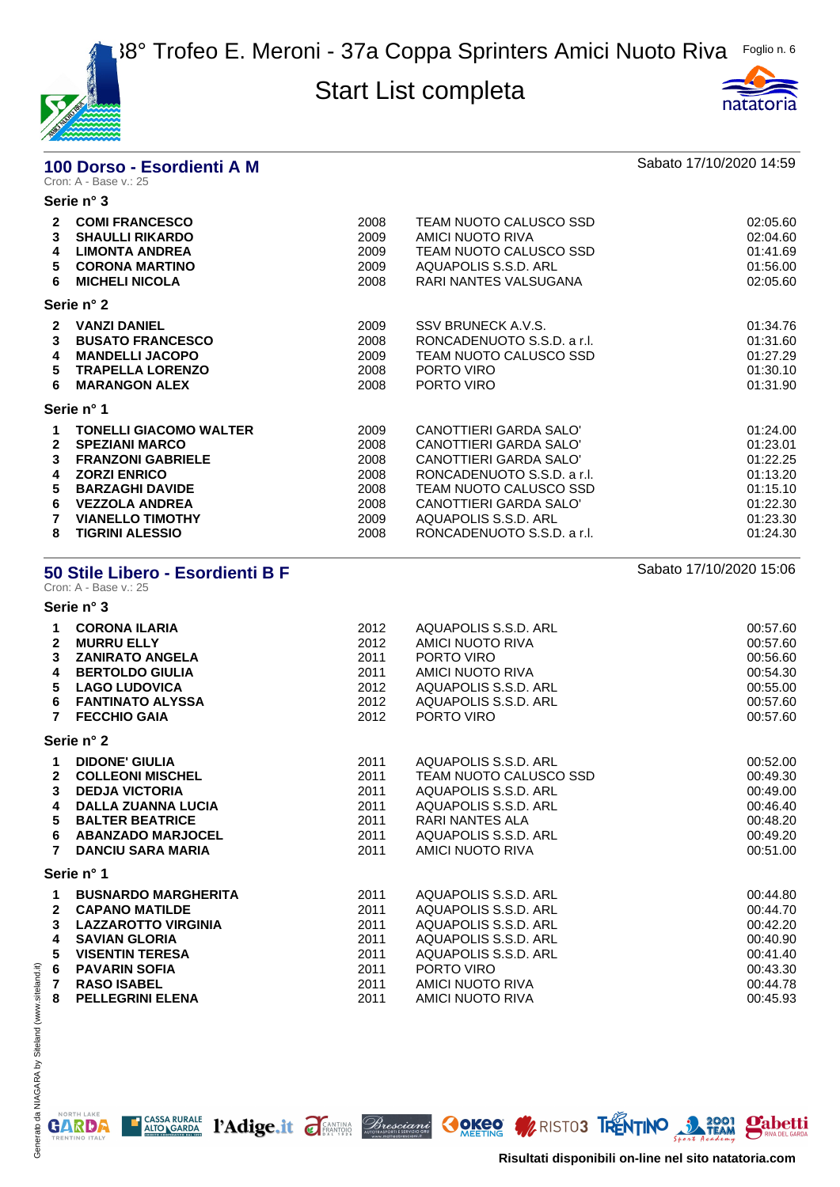



# **100 Dorso - Esordienti A M** Sabato 17/10/2020 14:59<br>Cron: A - Base v.: 25

|                                            | Serie n° 3                                                                                                                                                                                                        |                                                              |                                                                                                                                                                                                                    |                                                                                              |
|--------------------------------------------|-------------------------------------------------------------------------------------------------------------------------------------------------------------------------------------------------------------------|--------------------------------------------------------------|--------------------------------------------------------------------------------------------------------------------------------------------------------------------------------------------------------------------|----------------------------------------------------------------------------------------------|
| $\mathbf{2}$<br>3<br>4<br>5<br>6           | <b>COMI FRANCESCO</b><br><b>SHAULLI RIKARDO</b><br><b>LIMONTA ANDREA</b><br><b>CORONA MARTINO</b><br><b>MICHELI NICOLA</b>                                                                                        | 2008<br>2009<br>2009<br>2009<br>2008                         | TEAM NUOTO CALUSCO SSD<br>AMICI NUOTO RIVA<br>TEAM NUOTO CALUSCO SSD<br>AQUAPOLIS S.S.D. ARL<br>RARI NANTES VALSUGANA                                                                                              | 02:05.60<br>02:04.60<br>01:41.69<br>01:56.00<br>02:05.60                                     |
|                                            | Serie n° 2                                                                                                                                                                                                        |                                                              |                                                                                                                                                                                                                    |                                                                                              |
| $\mathbf{2}$<br>3<br>4<br>5<br>6           | <b>VANZI DANIEL</b><br><b>BUSATO FRANCESCO</b><br><b>MANDELLI JACOPO</b><br><b>TRAPELLA LORENZO</b><br><b>MARANGON ALEX</b>                                                                                       | 2009<br>2008<br>2009<br>2008<br>2008                         | SSV BRUNECK A.V.S.<br>RONCADENUOTO S.S.D. a r.l.<br>TEAM NUOTO CALUSCO SSD<br>PORTO VIRO<br>PORTO VIRO                                                                                                             | 01:34.76<br>01:31.60<br>01:27.29<br>01:30.10<br>01:31.90                                     |
|                                            | Serie n° 1                                                                                                                                                                                                        |                                                              |                                                                                                                                                                                                                    |                                                                                              |
| 1<br>$\mathbf{2}$<br>3<br>4<br>5<br>6<br>8 | <b>TONELLI GIACOMO WALTER</b><br><b>SPEZIANI MARCO</b><br><b>FRANZONI GABRIELE</b><br><b>ZORZI ENRICO</b><br><b>BARZAGHI DAVIDE</b><br><b>VEZZOLA ANDREA</b><br><b>VIANELLO TIMOTHY</b><br><b>TIGRINI ALESSIO</b> | 2009<br>2008<br>2008<br>2008<br>2008<br>2008<br>2009<br>2008 | CANOTTIERI GARDA SALO'<br>CANOTTIERI GARDA SALO'<br>CANOTTIERI GARDA SALO'<br>RONCADENUOTO S.S.D. a r.l.<br>TEAM NUOTO CALUSCO SSD<br>CANOTTIERI GARDA SALO'<br>AQUAPOLIS S.S.D. ARL<br>RONCADENUOTO S.S.D. a r.l. | 01:24.00<br>01:23.01<br>01:22.25<br>01:13.20<br>01:15.10<br>01:22.30<br>01:23.30<br>01:24.30 |

### **50 Stile Libero - Esordienti B F** Sabato 17/10/2020 15:06

Cron: A - Base v.: 25

| Serie n° 3 |  |
|------------|--|
|------------|--|

| 1<br>$\mathbf{2}$<br>3<br>4<br>5<br>6<br>$\overline{7}$ | <b>CORONA ILARIA</b><br><b>MURRU ELLY</b><br><b>ZANIRATO ANGELA</b><br><b>BERTOLDO GIULIA</b><br><b>LAGO LUDOVICA</b><br><b>FANTINATO ALYSSA</b><br><b>FECCHIO GAIA</b>                  | 2012<br>2012<br>2011<br>2011<br>2012<br>2012<br>2012 | AQUAPOLIS S.S.D. ARL<br>AMICI NUOTO RIVA<br>PORTO VIRO<br>AMICI NUOTO RIVA<br>AQUAPOLIS S.S.D. ARL<br>AQUAPOLIS S.S.D. ARL<br>PORTO VIRO                             | 00:57.60<br>00:57.60<br>00:56.60<br>00:54.30<br>00:55.00<br>00:57.60<br>00:57.60 |
|---------------------------------------------------------|------------------------------------------------------------------------------------------------------------------------------------------------------------------------------------------|------------------------------------------------------|----------------------------------------------------------------------------------------------------------------------------------------------------------------------|----------------------------------------------------------------------------------|
|                                                         | Serie n° 2                                                                                                                                                                               |                                                      |                                                                                                                                                                      |                                                                                  |
| 1<br>$\mathbf{2}$<br>3<br>4<br>5<br>6<br>7              | <b>DIDONE' GIULIA</b><br><b>COLLEONI MISCHEL</b><br><b>DEDJA VICTORIA</b><br><b>DALLA ZUANNA LUCIA</b><br><b>BALTER BEATRICE</b><br><b>ABANZADO MARJOCEL</b><br><b>DANCIU SARA MARIA</b> | 2011<br>2011<br>2011<br>2011<br>2011<br>2011<br>2011 | AQUAPOLIS S.S.D. ARL<br>TEAM NUOTO CALUSCO SSD<br>AQUAPOLIS S.S.D. ARL<br>AQUAPOLIS S.S.D. ARL<br><b>RARI NANTES ALA</b><br>AQUAPOLIS S.S.D. ARL<br>AMICI NUOTO RIVA | 00:52.00<br>00:49.30<br>00:49.00<br>00:46.40<br>00:48.20<br>00:49.20<br>00:51.00 |
|                                                         | Serie n° 1                                                                                                                                                                               |                                                      |                                                                                                                                                                      |                                                                                  |
| 1<br>$\mathbf{2}$<br>3<br>4<br>5<br>6<br>$\overline{7}$ | <b>BUSNARDO MARGHERITA</b><br><b>CAPANO MATILDE</b><br><b>LAZZAROTTO VIRGINIA</b><br><b>SAVIAN GLORIA</b><br><b>VISENTIN TERESA</b><br><b>PAVARIN SOFIA</b><br><b>RASO ISABEL</b>        | 2011<br>2011<br>2011<br>2011<br>2011<br>2011<br>2011 | AQUAPOLIS S.S.D. ARL<br>AQUAPOLIS S.S.D. ARL<br>AQUAPOLIS S.S.D. ARL<br>AQUAPOLIS S.S.D. ARL<br>AQUAPOLIS S.S.D. ARL<br>PORTO VIRO<br>AMICI NUOTO RIVA               | 00:44.80<br>00:44.70<br>00:42.20<br>00:40.90<br>00:41.40<br>00:43.30<br>00:44.78 |
| 8                                                       | <b>PELLEGRINI ELENA</b>                                                                                                                                                                  | 2011                                                 | AMICI NUOTO RIVA                                                                                                                                                     | 00:45.93                                                                         |

T CASSA RURALE PAdige.it FEANTING *Bresciani* OOKEO MERISTO3 TRENTINO 3 2001 Pabetti

NORTH LAKE

**GARDA** 

**Risultati disponibili on-line nel sito natatoria.com**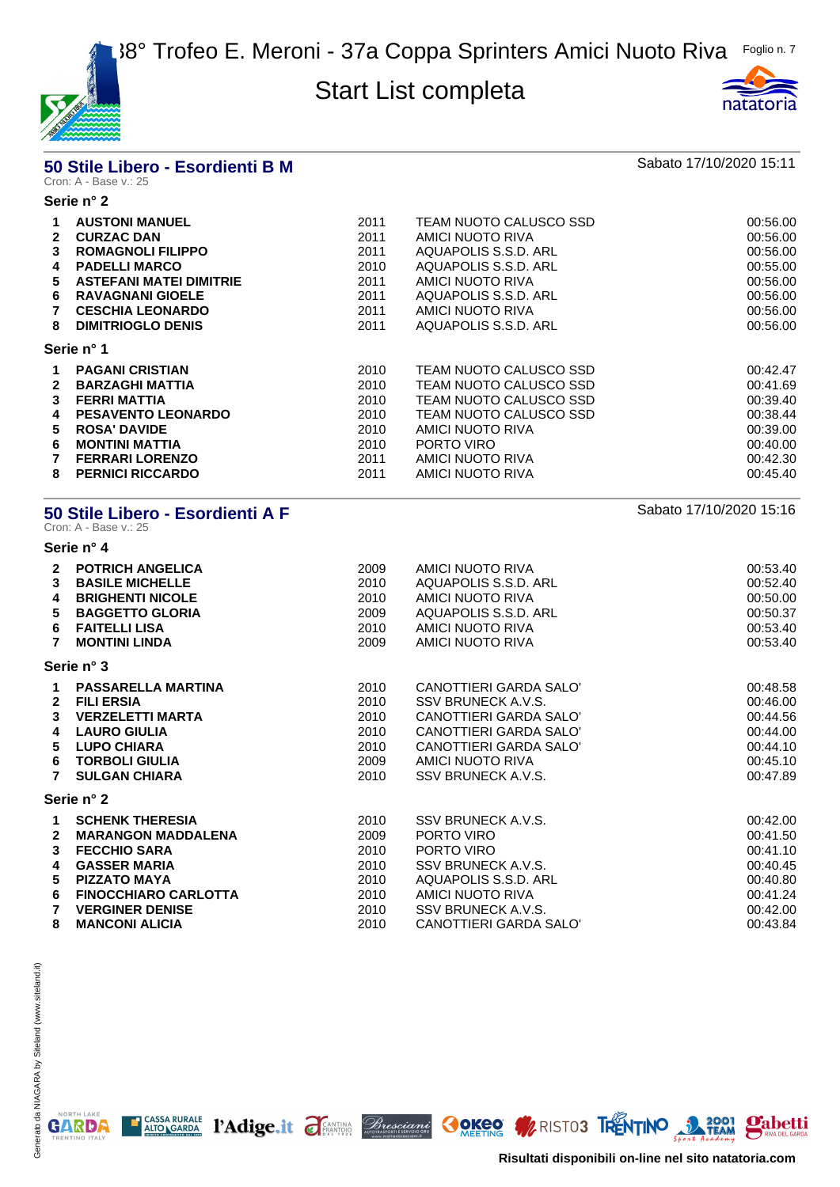

#### **50 Stile Libero - Esordienti B M** Sabato 17/10/2020 15:11 Cron: A - Base v.: 25

### **Serie n° 2**

| $\mathbf{2}$<br>3<br>4<br>5.<br>6<br>8 | <b>AUSTONI MANUEL</b><br><b>CURZAC DAN</b><br><b>ROMAGNOLI FILIPPO</b><br><b>PADELLI MARCO</b><br><b>ASTEFANI MATEI DIMITRIE</b><br><b>RAVAGNANI GIOELE</b><br><b>CESCHIA LEONARDO</b><br><b>DIMITRIOGLO DENIS</b> | 2011<br>2011<br>2011<br>2010<br>2011<br>2011<br>2011<br>2011 | TEAM NUOTO CALUSCO SSD<br>AMICI NUOTO RIVA<br>AQUAPOLIS S.S.D. ARL<br>AQUAPOLIS S.S.D. ARL<br>AMICI NUOTO RIVA<br>AQUAPOLIS S.S.D. ARL<br>AMICI NUOTO RIVA<br>AQUAPOLIS S.S.D. ARL | 00:56.00<br>00:56.00<br>00:56.00<br>00:55.00<br>00:56.00<br>00:56.00<br>00:56.00<br>00:56.00 |
|----------------------------------------|--------------------------------------------------------------------------------------------------------------------------------------------------------------------------------------------------------------------|--------------------------------------------------------------|------------------------------------------------------------------------------------------------------------------------------------------------------------------------------------|----------------------------------------------------------------------------------------------|
|                                        | Serie n° 1                                                                                                                                                                                                         |                                                              |                                                                                                                                                                                    |                                                                                              |
| $\overline{2}$                         | <b>PAGANI CRISTIAN</b><br><b>BARZAGHI MATTIA</b>                                                                                                                                                                   | 2010<br>2010                                                 | TEAM NUOTO CALUSCO SSD<br>TEAM NUOTO CALUSCO SSD                                                                                                                                   | 00:42.47<br>00:41.69                                                                         |
| 3<br>4                                 | <b>FERRI MATTIA</b><br><b>PESAVENTO LEONARDO</b>                                                                                                                                                                   | 2010<br>2010                                                 | TEAM NUOTO CALUSCO SSD<br>TEAM NUOTO CALUSCO SSD                                                                                                                                   | 00:39.40<br>00:38.44                                                                         |
| 5.<br>6<br>8                           | <b>ROSA' DAVIDE</b><br><b>MONTINI MATTIA</b><br><b>FERRARI LORENZO</b><br><b>PERNICI RICCARDO</b>                                                                                                                  | 2010<br>2010<br>2011<br>2011                                 | AMICI NUOTO RIVA<br>PORTO VIRO<br>AMICI NUOTO RIVA<br>AMICI NUOTO RIVA                                                                                                             | 00:39.00<br>00:40.00<br>00:42.30<br>00:45.40                                                 |
|                                        |                                                                                                                                                                                                                    |                                                              |                                                                                                                                                                                    |                                                                                              |

#### **50 Stile Libero - Esordienti A F** Sabato 17/10/2020 15:16

Cron: A - Base v.: 25

**Serie n° 4**

| $\mathbf{2}$<br>$\mathbf{3}$<br>4<br>5<br>6<br>$\overline{7}$                | <b>POTRICH ANGELICA</b><br><b>BASILE MICHELLE</b><br><b>BRIGHENTI NICOLE</b><br><b>BAGGETTO GLORIA</b><br><b>FAITELLI LISA</b><br><b>MONTINI LINDA</b>                            | 2009<br>2010<br>2010<br>2009<br>2010<br>2009         | AMICI NUOTO RIVA<br>AQUAPOLIS S.S.D. ARL<br>AMICI NUOTO RIVA<br>AQUAPOLIS S.S.D. ARL<br>AMICI NUOTO RIVA<br>AMICI NUOTO RIVA                                                | 00:53.40<br>00:52.40<br>00:50.00<br>00:50.37<br>00:53.40<br>00:53.40             |
|------------------------------------------------------------------------------|-----------------------------------------------------------------------------------------------------------------------------------------------------------------------------------|------------------------------------------------------|-----------------------------------------------------------------------------------------------------------------------------------------------------------------------------|----------------------------------------------------------------------------------|
|                                                                              | Serie n° 3                                                                                                                                                                        |                                                      |                                                                                                                                                                             |                                                                                  |
| $\mathbf 1$<br>$\mathbf{2}$<br>$\mathbf{3}$<br>4<br>5<br>6<br>$\overline{7}$ | <b>PASSARELLA MARTINA</b><br><b>FILI ERSIA</b><br><b>VERZELETTI MARTA</b><br><b>LAURO GIULIA</b><br><b>LUPO CHIARA</b><br><b>TORBOLI GIULIA</b><br><b>SULGAN CHIARA</b>           | 2010<br>2010<br>2010<br>2010<br>2010<br>2009<br>2010 | CANOTTIERI GARDA SALO'<br>SSV BRUNECK A.V.S.<br>CANOTTIERI GARDA SALO'<br>CANOTTIERI GARDA SALO'<br><b>CANOTTIERI GARDA SALO'</b><br>AMICI NUOTO RIVA<br>SSV BRUNECK A.V.S. | 00:48.58<br>00:46.00<br>00:44.56<br>00:44.00<br>00:44.10<br>00:45.10<br>00:47.89 |
|                                                                              | Serie n° 2                                                                                                                                                                        |                                                      |                                                                                                                                                                             |                                                                                  |
| $\mathbf 1$<br>$\mathbf{2}$<br>3<br>4<br>5<br>6<br>$\overline{7}$            | <b>SCHENK THERESIA</b><br><b>MARANGON MADDALENA</b><br><b>FECCHIO SARA</b><br><b>GASSER MARIA</b><br><b>PIZZATO MAYA</b><br><b>FINOCCHIARO CARLOTTA</b><br><b>VERGINER DENISE</b> | 2010<br>2009<br>2010<br>2010<br>2010<br>2010<br>2010 | SSV BRUNECK A.V.S.<br>PORTO VIRO<br>PORTO VIRO<br>SSV BRUNECK A.V.S.<br>AQUAPOLIS S.S.D. ARL<br>AMICI NUOTO RIVA<br>SSV BRUNECK A.V.S.                                      | 00:42.00<br>00:41.50<br>00:41.10<br>00:40.45<br>00:40.80<br>00:41.24<br>00:42.00 |
| 8                                                                            | <b>MANCONI ALICIA</b>                                                                                                                                                             | 2010                                                 | CANOTTIERI GARDA SALO'                                                                                                                                                      | 00:43.84                                                                         |

T CASSA RURALE PAdige.it FRANTING Bresciance COKEO MRISTO3 TRENTINO 22001 Babetti

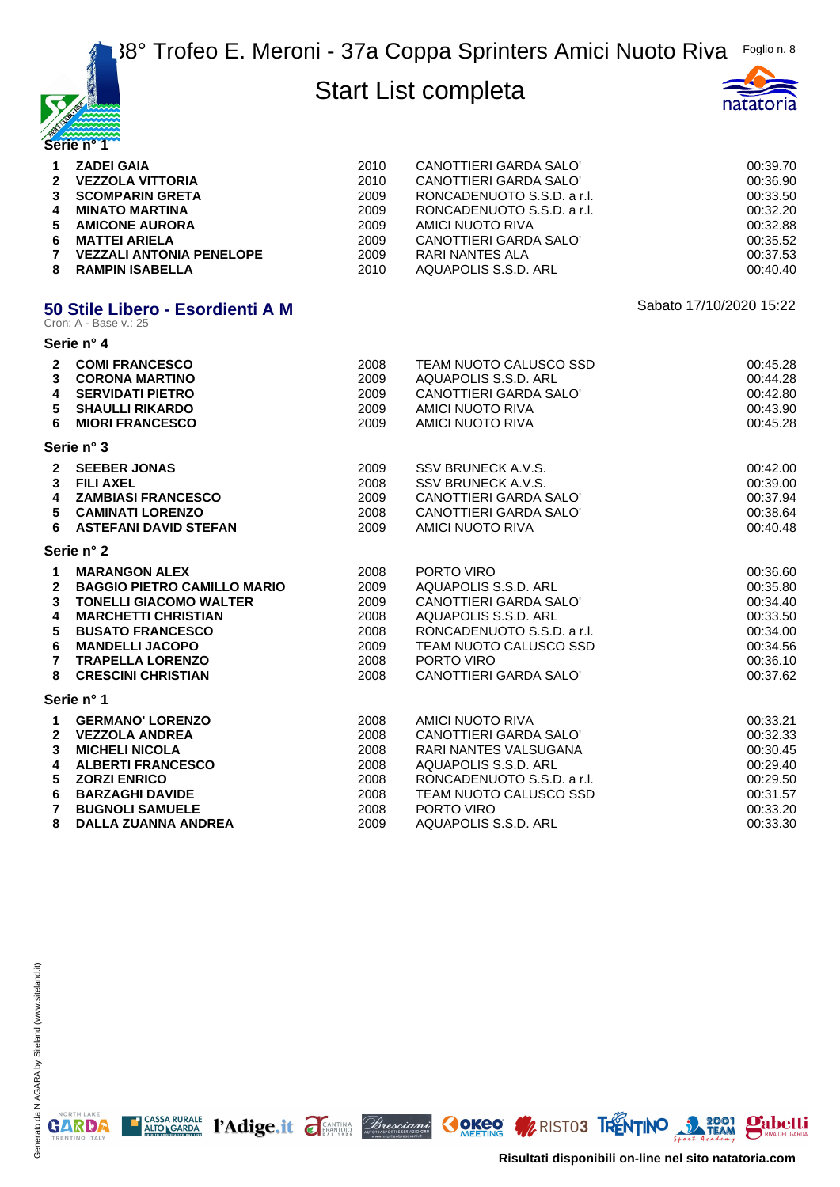



| $\mathbf 1$<br>$\overline{4}$<br>6<br>$\mathbf{7}$ | <b>ZADEI GAIA</b><br>2 VEZZOLA VITTORIA<br>3 SCOMPARIN GRETA<br><b>MINATO MARTINA</b><br>5 AMICONE AURORA<br><b>MATTEI ARIELA</b><br><b>VEZZALI ANTONIA PENELOPE</b> | 2010<br>2010<br>2009<br>2009<br>2009<br>2009<br>2009 | CANOTTIERI GARDA SALO'<br>CANOTTIERI GARDA SALO'<br>RONCADENUOTO S.S.D. a r.l.<br>RONCADENUOTO S.S.D. a r.l.<br>AMICI NUOTO RIVA<br>CANOTTIERI GARDA SALO'<br>RARI NANTES ALA | 00:39.70<br>00:36.90<br>00:33.50<br>00:32.20<br>00:32.88<br>00:35.52<br>00:37.53 |
|----------------------------------------------------|----------------------------------------------------------------------------------------------------------------------------------------------------------------------|------------------------------------------------------|-------------------------------------------------------------------------------------------------------------------------------------------------------------------------------|----------------------------------------------------------------------------------|
| 8                                                  | <b>RAMPIN ISABELLA</b>                                                                                                                                               | 2010                                                 | AQUAPOLIS S.S.D. ARL                                                                                                                                                          | 00:40.40                                                                         |

# **50 Stile Libero - Esordienti A M Sabato 17/10/2020 15:22**<br>Cron: A - Base v.: 25

|                                                                           | Serie n° 4                                                                                                                                                                                                                             |                                                              |                                                                                                                                                                                      |                                                                                              |
|---------------------------------------------------------------------------|----------------------------------------------------------------------------------------------------------------------------------------------------------------------------------------------------------------------------------------|--------------------------------------------------------------|--------------------------------------------------------------------------------------------------------------------------------------------------------------------------------------|----------------------------------------------------------------------------------------------|
| $\mathbf{2}$<br>$\mathbf{3}$<br>4<br>5<br>6                               | <b>COMI FRANCESCO</b><br><b>CORONA MARTINO</b><br><b>SERVIDATI PIETRO</b><br><b>SHAULLI RIKARDO</b><br><b>MIORI FRANCESCO</b>                                                                                                          | 2008<br>2009<br>2009<br>2009<br>2009                         | TEAM NUOTO CALUSCO SSD<br>AQUAPOLIS S.S.D. ARL<br>CANOTTIERI GARDA SALO'<br>AMICI NUOTO RIVA<br>AMICI NUOTO RIVA                                                                     | 00:45.28<br>00:44.28<br>00:42.80<br>00:43.90<br>00:45.28                                     |
|                                                                           | Serie n° 3                                                                                                                                                                                                                             |                                                              |                                                                                                                                                                                      |                                                                                              |
| $\mathbf{2}$<br>3<br>4<br>5<br>6                                          | <b>SEEBER JONAS</b><br><b>FILI AXEL</b><br><b>ZAMBIASI FRANCESCO</b><br><b>CAMINATI LORENZO</b><br><b>ASTEFANI DAVID STEFAN</b>                                                                                                        | 2009<br>2008<br>2009<br>2008<br>2009                         | SSV BRUNECK A.V.S.<br>SSV BRUNECK A.V.S.<br>CANOTTIERI GARDA SALO'<br>CANOTTIERI GARDA SALO'<br>AMICI NUOTO RIVA                                                                     | 00:42.00<br>00:39.00<br>00:37.94<br>00:38.64<br>00:40.48                                     |
|                                                                           | Serie n° 2                                                                                                                                                                                                                             |                                                              |                                                                                                                                                                                      |                                                                                              |
| $\mathbf{1}$<br>$\overline{2}$<br>3<br>4<br>5<br>6<br>$\overline{7}$<br>8 | <b>MARANGON ALEX</b><br><b>BAGGIO PIETRO CAMILLO MARIO</b><br><b>TONELLI GIACOMO WALTER</b><br><b>MARCHETTI CHRISTIAN</b><br><b>BUSATO FRANCESCO</b><br><b>MANDELLI JACOPO</b><br><b>TRAPELLA LORENZO</b><br><b>CRESCINI CHRISTIAN</b> | 2008<br>2009<br>2009<br>2008<br>2008<br>2009<br>2008<br>2008 | PORTO VIRO<br>AQUAPOLIS S.S.D. ARL<br>CANOTTIERI GARDA SALO'<br>AQUAPOLIS S.S.D. ARL<br>RONCADENUOTO S.S.D. a r.l.<br>TEAM NUOTO CALUSCO SSD<br>PORTO VIRO<br>CANOTTIERI GARDA SALO' | 00:36.60<br>00:35.80<br>00:34.40<br>00:33.50<br>00:34.00<br>00:34.56<br>00:36.10<br>00:37.62 |
|                                                                           | Serie n° 1                                                                                                                                                                                                                             |                                                              |                                                                                                                                                                                      |                                                                                              |
| 1<br>$\mathbf{2}$<br>3<br>4<br>5<br>6<br>$\overline{7}$                   | <b>GERMANO' LORENZO</b><br><b>VEZZOLA ANDREA</b><br><b>MICHELI NICOLA</b><br><b>ALBERTI FRANCESCO</b><br><b>ZORZI ENRICO</b><br><b>BARZAGHI DAVIDE</b><br><b>BUGNOLI SAMUELE</b>                                                       | 2008<br>2008<br>2008<br>2008<br>2008<br>2008<br>2008         | AMICI NUOTO RIVA<br>CANOTTIERI GARDA SALO'<br>RARI NANTES VALSUGANA<br>AQUAPOLIS S.S.D. ARL<br>RONCADENUOTO S.S.D. a r.l.<br>TEAM NUOTO CALUSCO SSD<br>PORTO VIRO                    | 00:33.21<br>00:32.33<br>00:30.45<br>00:29.40<br>00:29.50<br>00:31.57<br>00:33.20             |
| 8                                                                         | <b>DALLA ZUANNA ANDREA</b>                                                                                                                                                                                                             | 2009                                                         | AQUAPOLIS S.S.D. ARL                                                                                                                                                                 | 00:33.30                                                                                     |

E CASSA RURALE PAdige.it FEANTING Bresciant COKEO MRISTO3 TRENTINO 3 2001 Pabetti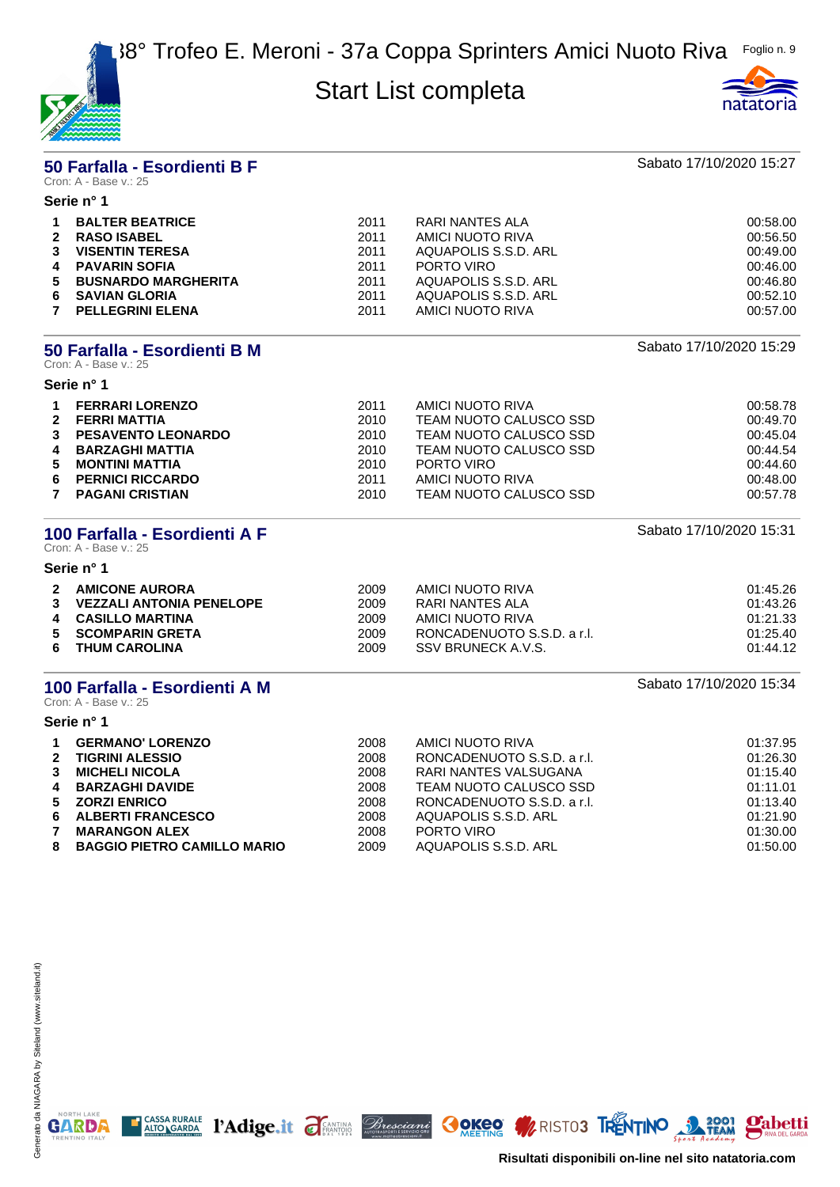



#### **50 Farfalla - Esordienti B F** Sabato 17/10/2020 15:27 Cron: A - Base v.: 25

|              | Serie n° 1                 |      |                      |          |
|--------------|----------------------------|------|----------------------|----------|
|              | <b>BALTER BEATRICE</b>     | 2011 | RARI NANTES ALA      | 00:58.00 |
| $\mathbf{2}$ | <b>RASO ISABEL</b>         | 2011 | AMICI NUOTO RIVA     | 00:56.50 |
|              | <b>VISENTIN TERESA</b>     | 2011 | AQUAPOLIS S.S.D. ARL | 00:49.00 |
|              | <b>PAVARIN SOFIA</b>       | 2011 | PORTO VIRO           | 00:46.00 |
| 5.           | <b>BUSNARDO MARGHERITA</b> | 2011 | AQUAPOLIS S.S.D. ARL | 00:46.80 |
| 6.           | <b>SAVIAN GLORIA</b>       | 2011 | AQUAPOLIS S.S.D. ARL | 00:52.10 |
|              | <b>PELLEGRINI ELENA</b>    | 2011 | AMICI NUOTO RIVA     | 00:57.00 |
|              |                            |      |                      |          |

#### **50 Farfalla - Esordienti B M Sabato 17/10/2020 15:29** Cron: A - Base v.: 25

**Serie n° 1**

| $2^{\circ}$ | <b>FERRARI LORENZO</b><br><b>FERRI MATTIA</b> | 2011<br>2010 | AMICI NUOTO RIVA<br>TEAM NUOTO CALUSCO SSD | 00:58.78<br>00:49.70 |
|-------------|-----------------------------------------------|--------------|--------------------------------------------|----------------------|
| 3           | <b>PESAVENTO LEONARDO</b>                     | 2010         | TEAM NUOTO CALUSCO SSD                     | 00:45.04             |
| 4           | <b>BARZAGHI MATTIA</b>                        | 2010         | TEAM NUOTO CALUSCO SSD                     | 00:44.54             |
| 5.          | MONTINI MATTIA                                | 2010         | PORTO VIRO                                 | 00:44.60             |
| 6.          | <b>PERNICI RICCARDO</b>                       | 2011         | AMICI NUOTO RIVA                           | 00:48.00             |
|             | <b>PAGANI CRISTIAN</b>                        | 2010         | TEAM NUOTO CALUSCO SSD                     | 00:57.78             |

### **100 Farfalla - Esordienti A F** Sabato 17/10/2020 15:31

Cron: A - Base v.: 25 **Serie n° 1**

| $\overline{2}$ | <b>AMICONE AURORA</b>           | 2009 | AMICI NUOTO RIVA           | 01:45.26 |
|----------------|---------------------------------|------|----------------------------|----------|
| 3              | <b>VEZZALI ANTONIA PENELOPE</b> | 2009 | RARI NANTES ALA            | 01:43.26 |
| 4              | <b>CASILLO MARTINA</b>          | 2009 | AMICI NUOTO RIVA           | 01:21.33 |
|                | 5 SCOMPARIN GRETA               | 2009 | RONCADENUOTO S.S.D. a r.l. | 01:25.40 |
| 6.             | <b>THUM CAROLINA</b>            | 2009 | SSV BRUNECK A.V.S.         | 01:44.12 |

#### **100 Farfalla - Esordienti A M Sabato 17/10/2020 15:34**

Cron: A - Base v.: 25

**Serie n° 1**

| $\mathbf 1$    | <b>GERMANO' LORENZO</b>            | 2008 | AMICI NUOTO RIVA           | 01:37.95 |
|----------------|------------------------------------|------|----------------------------|----------|
| $\mathbf{2}$   | <b>TIGRINI ALESSIO</b>             | 2008 | RONCADENUOTO S.S.D. a r.l. | 01:26.30 |
| $3^{\circ}$    | <b>MICHELI NICOLA</b>              | 2008 | RARI NANTES VALSUGANA      | 01:15.40 |
| 4              | <b>BARZAGHI DAVIDE</b>             | 2008 | TEAM NUOTO CALUSCO SSD     | 01:11.01 |
| 5              | <b>ZORZI ENRICO</b>                | 2008 | RONCADENUOTO S.S.D. a r.l. | 01:13.40 |
|                | 6 ALBERTI FRANCESCO                | 2008 | AQUAPOLIS S.S.D. ARL       | 01:21.90 |
| $\overline{7}$ | <b>MARANGON ALEX</b>               | 2008 | PORTO VIRO                 | 01:30.00 |
| 8              | <b>BAGGIO PIETRO CAMILLO MARIO</b> | 2009 | AQUAPOLIS S.S.D. ARL       | 01:50.00 |

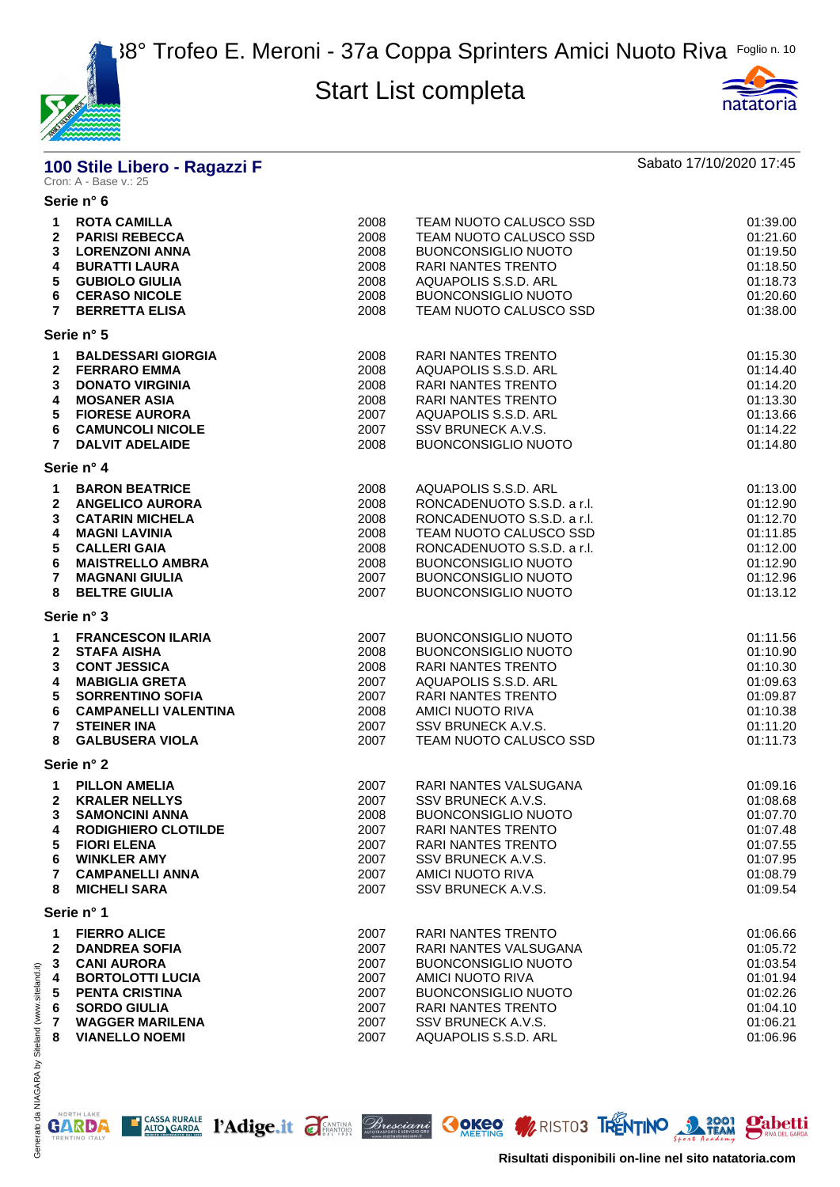



# **100 Stile Libero - Ragazzi F** Sabato 17/10/2020 17:45<br>Cron: A - Base v.: 25

#### **Serie n° 6**

| <b>ROTA CAMILLA</b><br><b>PARISI REBECCA</b><br><b>LORENZONI ANNA</b><br><b>BURATTI LAURA</b><br><b>GUBIOLO GIULIA</b><br><b>CERASO NICOLE</b><br><b>BERRETTA ELISA</b>                              | 2008<br>2008<br>2008<br>2008<br>2008<br>2008<br>2008                        | TEAM NUOTO CALUSCO SSD<br>TEAM NUOTO CALUSCO SSD<br><b>BUONCONSIGLIO NUOTO</b><br>RARI NANTES TRENTO<br>AQUAPOLIS S.S.D. ARL<br><b>BUONCONSIGLIO NUOTO</b><br>TEAM NUOTO CALUSCO SSD                                               | 01:39.00<br>01:21.60<br>01:19.50<br>01:18.50<br>01:18.73<br>01:20.60<br>01:38.00             |
|------------------------------------------------------------------------------------------------------------------------------------------------------------------------------------------------------|-----------------------------------------------------------------------------|------------------------------------------------------------------------------------------------------------------------------------------------------------------------------------------------------------------------------------|----------------------------------------------------------------------------------------------|
| Serie n° 5                                                                                                                                                                                           |                                                                             |                                                                                                                                                                                                                                    |                                                                                              |
| <b>BALDESSARI GIORGIA</b><br><b>FERRARO EMMA</b><br><b>DONATO VIRGINIA</b><br><b>MOSANER ASIA</b><br><b>FIORESE AURORA</b><br><b>CAMUNCOLI NICOLE</b><br><b>DALVIT ADELAIDE</b>                      | 2008<br>2008<br>2008<br>2008<br>2007<br>2007<br>2008                        | RARI NANTES TRENTO<br>AQUAPOLIS S.S.D. ARL<br><b>RARI NANTES TRENTO</b><br><b>RARI NANTES TRENTO</b><br>AQUAPOLIS S.S.D. ARL<br>SSV BRUNECK A.V.S.<br><b>BUONCONSIGLIO NUOTO</b>                                                   | 01:15.30<br>01:14.40<br>01:14.20<br>01:13.30<br>01:13.66<br>01:14.22<br>01:14.80             |
|                                                                                                                                                                                                      |                                                                             |                                                                                                                                                                                                                                    |                                                                                              |
| <b>BARON BEATRICE</b><br><b>ANGELICO AURORA</b><br><b>CATARIN MICHELA</b><br><b>MAGNI LAVINIA</b><br><b>CALLERI GAIA</b><br><b>MAISTRELLO AMBRA</b><br><b>MAGNANI GIULIA</b><br><b>BELTRE GIULIA</b> | 2008<br>2008<br>2008<br>2008<br>2008<br>2008<br>2007<br>2007                | AQUAPOLIS S.S.D. ARL<br>RONCADENUOTO S.S.D. a r.l.<br>RONCADENUOTO S.S.D. a r.l.<br>TEAM NUOTO CALUSCO SSD<br>RONCADENUOTO S.S.D. a r.l.<br><b>BUONCONSIGLIO NUOTO</b><br><b>BUONCONSIGLIO NUOTO</b><br><b>BUONCONSIGLIO NUOTO</b> | 01:13.00<br>01:12.90<br>01:12.70<br>01:11.85<br>01:12.00<br>01:12.90<br>01:12.96<br>01:13.12 |
| Serie n° 3                                                                                                                                                                                           |                                                                             |                                                                                                                                                                                                                                    |                                                                                              |
| <b>FRANCESCON ILARIA</b><br><b>STAFA AISHA</b><br><b>CONT JESSICA</b><br><b>MABIGLIA GRETA</b><br><b>SORRENTINO SOFIA</b><br><b>CAMPANELLI VALENTINA</b><br><b>STEINER INA</b>                       | 2007<br>2008<br>2008<br>2007<br>2007<br>2008<br>2007                        | <b>BUONCONSIGLIO NUOTO</b><br><b>BUONCONSIGLIO NUOTO</b><br>RARI NANTES TRENTO<br>AQUAPOLIS S.S.D. ARL<br><b>RARI NANTES TRENTO</b><br>AMICI NUOTO RIVA<br>SSV BRUNECK A.V.S.                                                      | 01:11.56<br>01:10.90<br>01:10.30<br>01:09.63<br>01:09.87<br>01:10.38<br>01:11.20<br>01:11.73 |
|                                                                                                                                                                                                      |                                                                             |                                                                                                                                                                                                                                    |                                                                                              |
| <b>PILLON AMELIA</b><br><b>KRALER NELLYS</b><br><b>SAMONCINI ANNA</b><br><b>RODIGHIERO CLOTILDE</b><br><b>FIORI ELENA</b><br><b>WINKLER AMY</b><br><b>CAMPANELLI ANNA</b><br><b>MICHELI SARA</b>     | 2007<br>2007<br>2008<br>2007<br>2007<br>2007<br>2007<br>2007                | RARI NANTES VALSUGANA<br>SSV BRUNECK A.V.S.<br><b>BUONCONSIGLIO NUOTO</b><br><b>RARI NANTES TRENTO</b><br>RARI NANTES TRENTO<br>SSV BRUNECK A.V.S.<br>AMICI NUOTO RIVA<br>SSV BRUNECK A.V.S.                                       | 01:09.16<br>01:08.68<br>01:07.70<br>01:07.48<br>01:07.55<br>01:07.95<br>01:08.79<br>01:09.54 |
| Serie n° 1                                                                                                                                                                                           |                                                                             |                                                                                                                                                                                                                                    |                                                                                              |
| <b>FIERRO ALICE</b><br><b>DANDREA SOFIA</b><br><b>CANI AURORA</b><br><b>BORTOLOTTI LUCIA</b><br><b>PENTA CRISTINA</b><br><b>SORDO GIULIA</b><br><b>WAGGER MARILENA</b>                               | 2007<br>2007<br>2007<br>2007<br>2007<br>2007<br>2007                        | RARI NANTES TRENTO<br><b>RARI NANTES VALSUGANA</b><br><b>BUONCONSIGLIO NUOTO</b><br>AMICI NUOTO RIVA<br><b>BUONCONSIGLIO NUOTO</b><br><b>RARI NANTES TRENTO</b><br>SSV BRUNECK A.V.S.                                              | 01:06.66<br>01:05.72<br>01:03.54<br>01:01.94<br>01:02.26<br>01:04.10<br>01:06.21<br>01:06.96 |
|                                                                                                                                                                                                      | Serie n° 4<br><b>GALBUSERA VIOLA</b><br>Serie n° 2<br><b>VIANELLO NOEMI</b> | 2007<br>2007                                                                                                                                                                                                                       | TEAM NUOTO CALUSCO SSD<br>AQUAPOLIS S.S.D. ARL                                               |

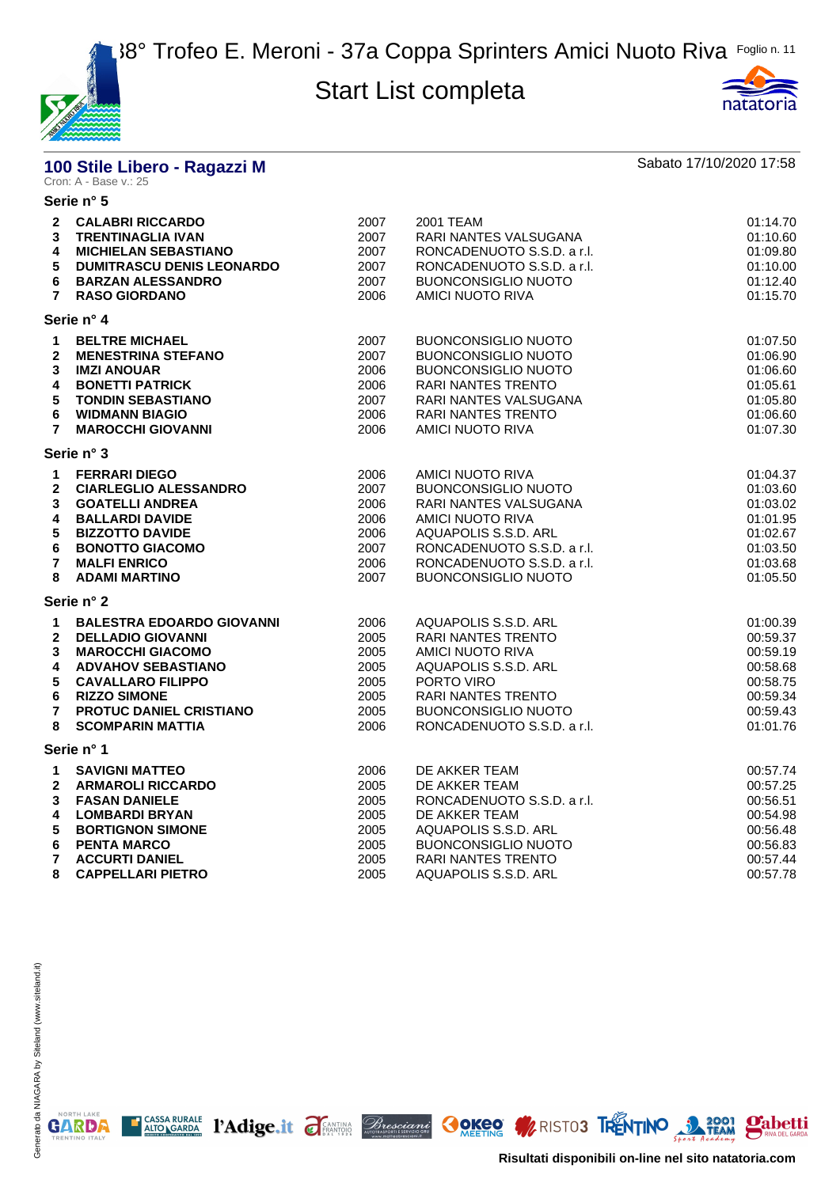



# **100 Stile Libero - Ragazzi M** Sabato 17/10/2020 17:58<br>Cron: A - Base v.: 25

|                                                                                                 | Serie n° 5                                                                                                                                                                                                                    |                                                              |                                                                                                                                                                                                                             |                                                                                              |
|-------------------------------------------------------------------------------------------------|-------------------------------------------------------------------------------------------------------------------------------------------------------------------------------------------------------------------------------|--------------------------------------------------------------|-----------------------------------------------------------------------------------------------------------------------------------------------------------------------------------------------------------------------------|----------------------------------------------------------------------------------------------|
| 3<br>4<br>5<br>6<br>$\overline{7}$                                                              | 2 CALABRI RICCARDO<br><b>TRENTINAGLIA IVAN</b><br><b>MICHIELAN SEBASTIANO</b><br><b>DUMITRASCU DENIS LEONARDO</b><br><b>BARZAN ALESSANDRO</b><br><b>RASO GIORDANO</b>                                                         | 2007<br>2007<br>2007<br>2007<br>2007<br>2006                 | 2001 TEAM<br>RARI NANTES VALSUGANA<br>RONCADENUOTO S.S.D. a r.l.<br>RONCADENUOTO S.S.D. a r.l.<br><b>BUONCONSIGLIO NUOTO</b><br>AMICI NUOTO RIVA                                                                            | 01:14.70<br>01:10.60<br>01:09.80<br>01:10.00<br>01:12.40<br>01:15.70                         |
|                                                                                                 | Serie n° 4                                                                                                                                                                                                                    |                                                              |                                                                                                                                                                                                                             |                                                                                              |
| 1<br>$\mathbf{2}$<br>3<br>4<br>5<br>6<br>$\overline{7}$                                         | <b>BELTRE MICHAEL</b><br><b>MENESTRINA STEFANO</b><br><b>IMZI ANOUAR</b><br><b>BONETTI PATRICK</b><br><b>TONDIN SEBASTIANO</b><br><b>WIDMANN BIAGIO</b><br><b>MAROCCHI GIOVANNI</b>                                           | 2007<br>2007<br>2006<br>2006<br>2007<br>2006<br>2006         | <b>BUONCONSIGLIO NUOTO</b><br><b>BUONCONSIGLIO NUOTO</b><br><b>BUONCONSIGLIO NUOTO</b><br><b>RARI NANTES TRENTO</b><br>RARI NANTES VALSUGANA<br>RARI NANTES TRENTO<br>AMICI NUOTO RIVA                                      | 01:07.50<br>01:06.90<br>01:06.60<br>01:05.61<br>01:05.80<br>01:06.60<br>01:07.30             |
|                                                                                                 | Serie n° 3                                                                                                                                                                                                                    |                                                              |                                                                                                                                                                                                                             |                                                                                              |
| $\mathbf 1$<br>$\mathbf{2}$<br>3<br>4<br>$5\phantom{.0}$<br>6<br>$\overline{7}$<br>8            | <b>FERRARI DIEGO</b><br><b>CIARLEGLIO ALESSANDRO</b><br><b>GOATELLI ANDREA</b><br><b>BALLARDI DAVIDE</b><br><b>BIZZOTTO DAVIDE</b><br><b>BONOTTO GIACOMO</b><br><b>MALFI ENRICO</b><br><b>ADAMI MARTINO</b>                   | 2006<br>2007<br>2006<br>2006<br>2006<br>2007<br>2006<br>2007 | <b>AMICI NUOTO RIVA</b><br><b>BUONCONSIGLIO NUOTO</b><br>RARI NANTES VALSUGANA<br><b>AMICI NUOTO RIVA</b><br>AQUAPOLIS S.S.D. ARL<br>RONCADENUOTO S.S.D. a r.l.<br>RONCADENUOTO S.S.D. a r.l.<br><b>BUONCONSIGLIO NUOTO</b> | 01:04.37<br>01:03.60<br>01:03.02<br>01:01.95<br>01:02.67<br>01:03.50<br>01:03.68<br>01:05.50 |
|                                                                                                 | Serie n° 2                                                                                                                                                                                                                    |                                                              |                                                                                                                                                                                                                             |                                                                                              |
| $\mathbf 1$<br>$\mathbf{2}$<br>$\mathbf{3}$<br>4<br>$5\phantom{.0}$<br>6<br>$\overline{7}$<br>8 | <b>BALESTRA EDOARDO GIOVANNI</b><br><b>DELLADIO GIOVANNI</b><br><b>MAROCCHI GIACOMO</b><br><b>ADVAHOV SEBASTIANO</b><br><b>CAVALLARO FILIPPO</b><br><b>RIZZO SIMONE</b><br>PROTUC DANIEL CRISTIANO<br><b>SCOMPARIN MATTIA</b> | 2006<br>2005<br>2005<br>2005<br>2005<br>2005<br>2005<br>2006 | AQUAPOLIS S.S.D. ARL<br><b>RARI NANTES TRENTO</b><br>AMICI NUOTO RIVA<br>AQUAPOLIS S.S.D. ARL<br>PORTO VIRO<br><b>RARI NANTES TRENTO</b><br><b>BUONCONSIGLIO NUOTO</b><br>RONCADENUOTO S.S.D. a r.l.                        | 01:00.39<br>00:59.37<br>00:59.19<br>00:58.68<br>00:58.75<br>00:59.34<br>00:59.43<br>01:01.76 |
|                                                                                                 | Serie n° 1                                                                                                                                                                                                                    |                                                              |                                                                                                                                                                                                                             |                                                                                              |
| $\mathbf{1}$<br>$\mathbf{2}$<br>3<br>4<br>5<br>6<br>$\overline{7}$                              | <b>SAVIGNI MATTEO</b><br><b>ARMAROLI RICCARDO</b><br><b>FASAN DANIELE</b><br><b>LOMBARDI BRYAN</b><br><b>BORTIGNON SIMONE</b><br><b>PENTA MARCO</b><br><b>ACCURTI DANIEL</b>                                                  | 2006<br>2005<br>2005<br>2005<br>2005<br>2005<br>2005         | DE AKKER TEAM<br>DE AKKER TEAM<br>RONCADENUOTO S.S.D. a r.l.<br>DE AKKER TEAM<br>AQUAPOLIS S.S.D. ARL<br><b>BUONCONSIGLIO NUOTO</b><br><b>RARI NANTES TRENTO</b>                                                            | 00:57.74<br>00:57.25<br>00:56.51<br>00:54.98<br>00:56.48<br>00:56.83<br>00:57.44             |
| 8                                                                                               | <b>CAPPELLARI PIETRO</b>                                                                                                                                                                                                      | 2005                                                         | AQUAPOLIS S.S.D. ARL                                                                                                                                                                                                        | 00:57.78                                                                                     |

E CASSA RURALE PAdige.it FEANTING Bresciant COKEO MRISTO3 TRENTINO 3 2001 Pabetti

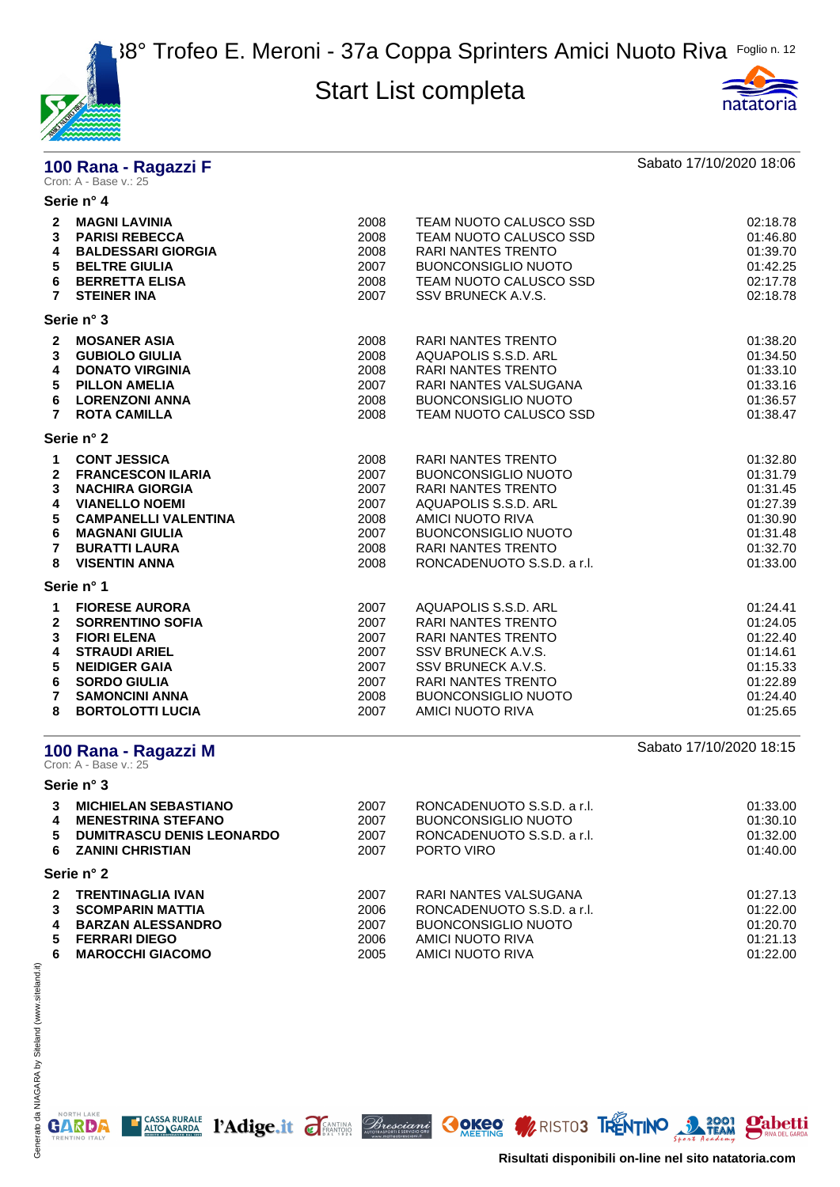



# **100 Rana - Ragazzi F Sabato 17/10/2020 18:06**<br>Cron: A - Base v.: 25

|                                                              | Serie n° 4                                                                                                                                                                                                 |                                                              |                                                                                                                                                                                                             |                                                                                              |
|--------------------------------------------------------------|------------------------------------------------------------------------------------------------------------------------------------------------------------------------------------------------------------|--------------------------------------------------------------|-------------------------------------------------------------------------------------------------------------------------------------------------------------------------------------------------------------|----------------------------------------------------------------------------------------------|
| $\mathbf{2}$<br>3<br>4<br>5<br>6<br>$\overline{7}$           | <b>MAGNI LAVINIA</b><br><b>PARISI REBECCA</b><br><b>BALDESSARI GIORGIA</b><br><b>BELTRE GIULIA</b><br><b>BERRETTA ELISA</b><br><b>STEINER INA</b>                                                          | 2008<br>2008<br>2008<br>2007<br>2008<br>2007                 | TEAM NUOTO CALUSCO SSD<br>TEAM NUOTO CALUSCO SSD<br><b>RARI NANTES TRENTO</b><br><b>BUONCONSIGLIO NUOTO</b><br>TEAM NUOTO CALUSCO SSD<br>SSV BRUNECK A.V.S.                                                 | 02:18.78<br>01:46.80<br>01:39.70<br>01:42.25<br>02:17.78<br>02:18.78                         |
|                                                              | Serie n° 3                                                                                                                                                                                                 |                                                              |                                                                                                                                                                                                             |                                                                                              |
| $\mathbf{2}$<br>3<br>4<br>5<br>6<br>$\overline{7}$           | <b>MOSANER ASIA</b><br><b>GUBIOLO GIULIA</b><br><b>DONATO VIRGINIA</b><br><b>PILLON AMELIA</b><br><b>LORENZONI ANNA</b><br><b>ROTA CAMILLA</b>                                                             | 2008<br>2008<br>2008<br>2007<br>2008<br>2008                 | RARI NANTES TRENTO<br>AQUAPOLIS S.S.D. ARL<br>RARI NANTES TRENTO<br>RARI NANTES VALSUGANA<br><b>BUONCONSIGLIO NUOTO</b><br>TEAM NUOTO CALUSCO SSD                                                           | 01:38.20<br>01:34.50<br>01:33.10<br>01:33.16<br>01:36.57<br>01:38.47                         |
|                                                              | Serie n° 2                                                                                                                                                                                                 |                                                              |                                                                                                                                                                                                             |                                                                                              |
| 1<br>2<br>3<br>4<br>5<br>6<br>$\overline{7}$<br>8            | <b>CONT JESSICA</b><br><b>FRANCESCON ILARIA</b><br><b>NACHIRA GIORGIA</b><br><b>VIANELLO NOEMI</b><br><b>CAMPANELLI VALENTINA</b><br><b>MAGNANI GIULIA</b><br><b>BURATTI LAURA</b><br><b>VISENTIN ANNA</b> | 2008<br>2007<br>2007<br>2007<br>2008<br>2007<br>2008<br>2008 | RARI NANTES TRENTO<br><b>BUONCONSIGLIO NUOTO</b><br>RARI NANTES TRENTO<br>AQUAPOLIS S.S.D. ARL<br>AMICI NUOTO RIVA<br><b>BUONCONSIGLIO NUOTO</b><br><b>RARI NANTES TRENTO</b><br>RONCADENUOTO S.S.D. a r.l. | 01:32.80<br>01:31.79<br>01:31.45<br>01:27.39<br>01:30.90<br>01:31.48<br>01:32.70<br>01:33.00 |
|                                                              | Serie n° 1                                                                                                                                                                                                 |                                                              |                                                                                                                                                                                                             |                                                                                              |
| 1<br>$\mathbf{2}$<br>3<br>4<br>5<br>6<br>$\overline{7}$<br>8 | <b>FIORESE AURORA</b><br><b>SORRENTINO SOFIA</b><br><b>FIORI ELENA</b><br><b>STRAUDI ARIEL</b><br><b>NEIDIGER GAIA</b><br><b>SORDO GIULIA</b><br><b>SAMONCINI ANNA</b><br><b>BORTOLOTTI LUCIA</b>          | 2007<br>2007<br>2007<br>2007<br>2007<br>2007<br>2008<br>2007 | AQUAPOLIS S.S.D. ARL<br>RARI NANTES TRENTO<br><b>RARI NANTES TRENTO</b><br>SSV BRUNECK A.V.S.<br>SSV BRUNECK A.V.S.<br><b>RARI NANTES TRENTO</b><br><b>BUONCONSIGLIO NUOTO</b><br><b>AMICI NUOTO RIVA</b>   | 01:24.41<br>01:24.05<br>01:22.40<br>01:14.61<br>01:15.33<br>01:22.89<br>01:24.40<br>01:25.65 |
|                                                              | 100 Rana - Ragazzi M<br>Cron: A - Base v.: 25                                                                                                                                                              |                                                              |                                                                                                                                                                                                             | Sabato 17/10/2020 18:15                                                                      |
|                                                              | Serie n° 3                                                                                                                                                                                                 |                                                              |                                                                                                                                                                                                             |                                                                                              |
| 3<br>4<br>5<br>6                                             | <b>MICHIELAN SEBASTIANO</b><br><b>MENESTRINA STEFANO</b><br><b>DUMITRASCU DENIS LEONARDO</b><br><b>ZANINI CHRISTIAN</b>                                                                                    | 2007<br>2007<br>2007<br>2007                                 | RONCADENUOTO S.S.D. a r.l.<br><b>BUONCONSIGLIO NUOTO</b><br>RONCADENUOTO S.S.D. a r.l.<br>PORTO VIRO                                                                                                        | 01:33.00<br>01:30.10<br>01:32.00<br>01:40.00                                                 |
|                                                              | Sorio nº 2                                                                                                                                                                                                 |                                                              |                                                                                                                                                                                                             |                                                                                              |

**Serie n° 2**

|    | 2 TRENTINAGLIA IVAN     | 2007 | RARI NANTES VALSUGANA      | 01:27.13 |
|----|-------------------------|------|----------------------------|----------|
|    | 3 SCOMPARIN MATTIA      | 2006 | RONCADENUOTO S.S.D. a r.l. | 01:22.00 |
|    | 4 BARZAN ALESSANDRO     | 2007 | BUONCONSIGLIO NUOTO        | 01:20.70 |
|    | 5 FERRARI DIEGO         | 2006 | AMICI NUOTO RIVA           | 01:21.13 |
| 6. | <b>MAROCCHI GIACOMO</b> | 2005 | AMICI NUOTO RIVA           | 01:22.00 |
|    |                         |      |                            |          |

E CASSA RURALE PAdige.it FEANTING Bresciant COKEO MRISTO3 TRENTINO 3 2001 Pabetti

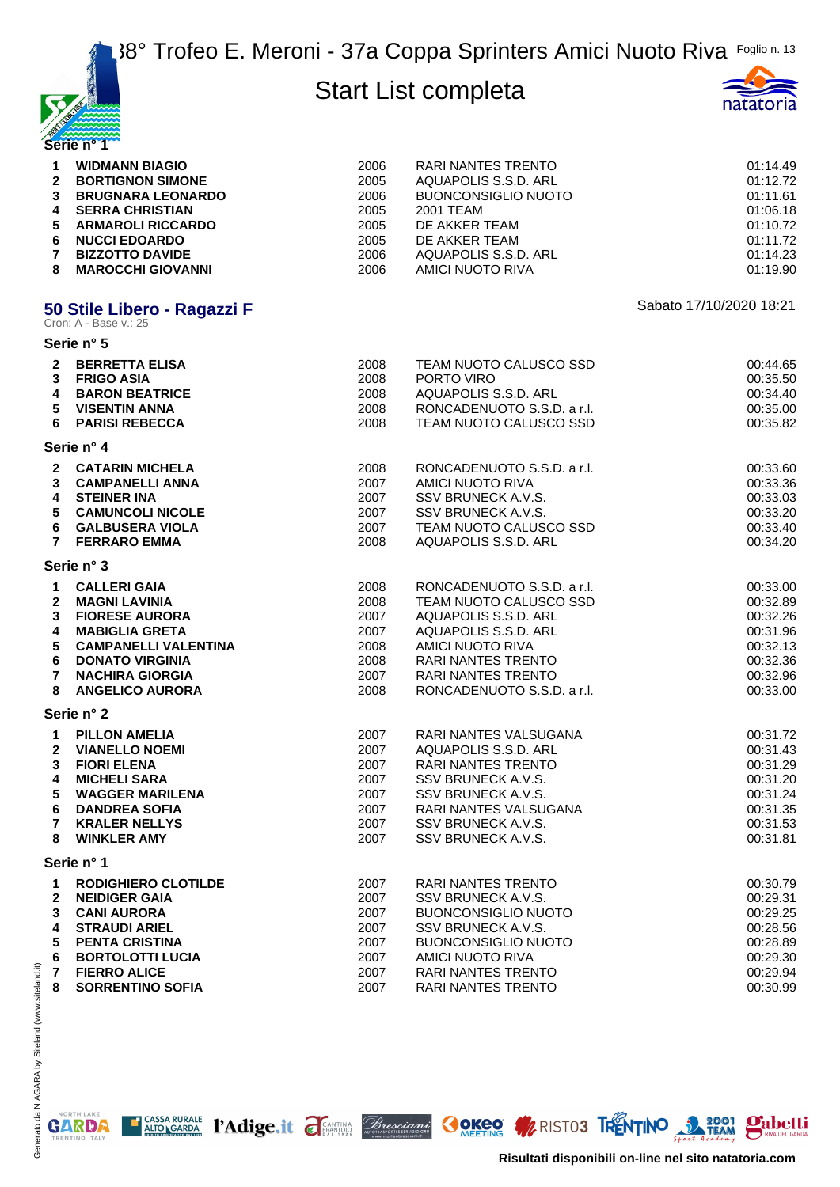



| <b>WIDMANN BIAGIO</b><br><b>BORTIGNON SIMONE</b><br><b>BRUGNARA LEONARDO</b><br><b>SERRA CHRISTIAN</b><br><b>NUCCI EDOARDO</b><br><b>BIZZOTTO DAVIDE</b><br><b>MAROCCHI GIOVANNI</b> | 2006<br>2005<br>2006<br>2005<br>2005<br>2005<br>2006<br>2006 | RARI NANTES TRENTO<br>AQUAPOLIS S.S.D. ARL<br>BUONCONSIGLIO NUOTO<br>2001 TEAM<br>DE AKKER TEAM<br>DE AKKER TEAM<br>AQUAPOLIS S.S.D. ARL<br>AMICI NUOTO RIVA | 01:14.49<br>01:12.72<br>01:11.61<br>01:06.18<br>01:10.72<br>01:11.72<br>01:14.23<br>01:19.90 |
|--------------------------------------------------------------------------------------------------------------------------------------------------------------------------------------|--------------------------------------------------------------|--------------------------------------------------------------------------------------------------------------------------------------------------------------|----------------------------------------------------------------------------------------------|
|                                                                                                                                                                                      |                                                              |                                                                                                                                                              |                                                                                              |
| $3^{\circ}$                                                                                                                                                                          | $\mathbf{2}$<br>$\overline{4}$<br>5 ARMAROLI RICCARDO<br>6   |                                                                                                                                                              |                                                                                              |

# **50 Stile Libero - Ragazzi F** Sabato 17/10/2020 18:21<br>Cron: A - Base v.: 25

**Serie n° 5**

| 2 BERRETTA ELISA<br>3 FRIGO ASIA<br>4<br><b>BARON BEATRICE</b><br>5<br><b>VISENTIN ANNA</b><br>6<br><b>PARISI REBECCA</b>                                                                                                                                                                                                      | 2008<br>2008<br>2008<br>2008<br>2008                         | TEAM NUOTO CALUSCO SSD<br>PORTO VIRO<br>AQUAPOLIS S.S.D. ARL<br>RONCADENUOTO S.S.D. a r.l.<br>TEAM NUOTO CALUSCO SSD                                                                                             | 00:44.65<br>00:35.50<br>00:34.40<br>00:35.00<br>00:35.82                                     |
|--------------------------------------------------------------------------------------------------------------------------------------------------------------------------------------------------------------------------------------------------------------------------------------------------------------------------------|--------------------------------------------------------------|------------------------------------------------------------------------------------------------------------------------------------------------------------------------------------------------------------------|----------------------------------------------------------------------------------------------|
| Serie n° 4                                                                                                                                                                                                                                                                                                                     |                                                              |                                                                                                                                                                                                                  |                                                                                              |
| 2 CATARIN MICHELA<br>3 CAMPANELLI ANNA<br><b>STEINER INA</b><br>4<br>5 CAMUNCOLI NICOLE<br>6 GALBUSERA VIOLA<br><b>FERRARO EMMA</b><br>$7^{\circ}$                                                                                                                                                                             | 2008<br>2007<br>2007<br>2007<br>2007<br>2008                 | RONCADENUOTO S.S.D. a r.l.<br>AMICI NUOTO RIVA<br>SSV BRUNECK A.V.S.<br>SSV BRUNECK A.V.S.<br>TEAM NUOTO CALUSCO SSD<br>AQUAPOLIS S.S.D. ARL                                                                     | 00:33.60<br>00:33.36<br>00:33.03<br>00:33.20<br>00:33.40<br>00:34.20                         |
| Serie n° 3                                                                                                                                                                                                                                                                                                                     |                                                              |                                                                                                                                                                                                                  |                                                                                              |
| 1 CALLERI GAIA<br>$\overline{2}$<br><b>MAGNI LAVINIA</b><br><b>FIORESE AURORA</b><br>$\mathbf{3}$<br>$\overline{\mathbf{4}}$<br><b>MABIGLIA GRETA</b><br>5<br><b>CAMPANELLI VALENTINA</b><br>$6\phantom{a}$<br><b>DONATO VIRGINIA</b><br>$\overline{7}$<br><b>NACHIRA GIORGIA</b><br>8<br><b>ANGELICO AURORA</b><br>Serie n° 2 | 2008<br>2008<br>2007<br>2007<br>2008<br>2008<br>2007<br>2008 | RONCADENUOTO S.S.D. a r.l.<br>TEAM NUOTO CALUSCO SSD<br>AQUAPOLIS S.S.D. ARL<br>AQUAPOLIS S.S.D. ARL<br>AMICI NUOTO RIVA<br><b>RARI NANTES TRENTO</b><br><b>RARI NANTES TRENTO</b><br>RONCADENUOTO S.S.D. a r.l. | 00:33.00<br>00:32.89<br>00:32.26<br>00:31.96<br>00:32.13<br>00:32.36<br>00:32.96<br>00:33.00 |
| $\mathbf{1}$<br><b>PILLON AMELIA</b><br><b>VIANELLO NOEMI</b><br>$\mathbf{2}$<br>3<br><b>FIORI ELENA</b><br>$\overline{\mathbf{4}}$<br><b>MICHELI SARA</b><br>5<br><b>WAGGER MARILENA</b><br>6<br><b>DANDREA SOFIA</b><br>$\overline{7}$<br><b>KRALER NELLYS</b><br>8<br><b>WINKLER AMY</b>                                    | 2007<br>2007<br>2007<br>2007<br>2007<br>2007<br>2007<br>2007 | RARI NANTES VALSUGANA<br>AQUAPOLIS S.S.D. ARL<br><b>RARI NANTES TRENTO</b><br>SSV BRUNECK A.V.S.<br>SSV BRUNECK A.V.S.<br>RARI NANTES VALSUGANA<br>SSV BRUNECK A.V.S.<br>SSV BRUNECK A.V.S.                      | 00:31.72<br>00:31.43<br>00:31.29<br>00:31.20<br>00:31.24<br>00:31.35<br>00:31.53<br>00:31.81 |
| Serie n° 1                                                                                                                                                                                                                                                                                                                     |                                                              |                                                                                                                                                                                                                  |                                                                                              |
| <b>RODIGHIERO CLOTILDE</b><br>1<br>$\overline{2}$<br><b>NEIDIGER GAIA</b><br>3<br><b>CANI AURORA</b><br><b>STRAUDI ARIEL</b><br>4<br>$5\phantom{.0}$<br><b>PENTA CRISTINA</b><br>6<br><b>BORTOLOTTI LUCIA</b><br>$\overline{7}$<br><b>FIERRO ALICE</b>                                                                         | 2007<br>2007<br>2007<br>2007<br>2007<br>2007<br>2007         | <b>RARI NANTES TRENTO</b><br>SSV BRUNECK A.V.S.<br><b>BUONCONSIGLIO NUOTO</b><br>SSV BRUNECK A.V.S.<br><b>BUONCONSIGLIO NUOTO</b><br><b>AMICI NUOTO RIVA</b><br>RARI NANTES TRENTO                               | 00:30.79<br>00:29.31<br>00:29.25<br>00:28.56<br>00:28.89<br>00:29.30<br>00:29.94             |
| 8<br><b>SORRENTINO SOFIA</b>                                                                                                                                                                                                                                                                                                   | 2007                                                         | RARI NANTES TRENTO                                                                                                                                                                                               | 00:30.99                                                                                     |

NORTH LAKE

**GARDA** 

E CASSA RURALE PAdige.it FEANTING Bresciant COKEO MRISTO3 TRENTINO 3 2001 Pabetti **Risultati disponibili on-line nel sito natatoria.com**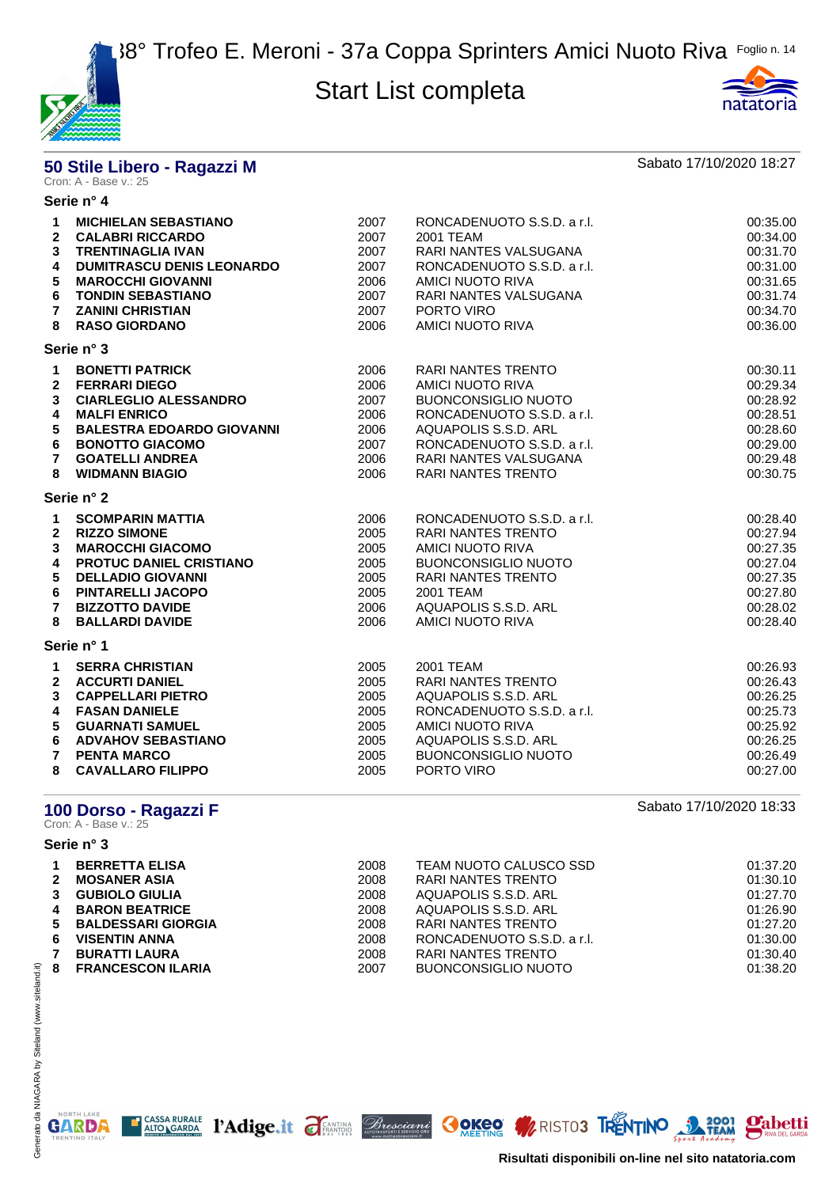



# **50 Stile Libero - Ragazzi M** Sabato 17/10/2020 18:27<br>Cron: A - Base v.: 25

|                         | Serie n° 4                                                                         |                      |                                                                  |                                  |
|-------------------------|------------------------------------------------------------------------------------|----------------------|------------------------------------------------------------------|----------------------------------|
| 1<br>$\mathbf{2}$<br>3  | <b>MICHIELAN SEBASTIANO</b><br><b>CALABRI RICCARDO</b><br><b>TRENTINAGLIA IVAN</b> | 2007<br>2007<br>2007 | RONCADENUOTO S.S.D. a r.l.<br>2001 TEAM<br>RARI NANTES VALSUGANA | 00:35.00<br>00:34.00<br>00:31.70 |
| 4                       | <b>DUMITRASCU DENIS LEONARDO</b>                                                   | 2007                 | RONCADENUOTO S.S.D. a r.l.                                       | 00:31.00                         |
| 5                       | <b>MAROCCHI GIOVANNI</b>                                                           | 2006                 | AMICI NUOTO RIVA                                                 | 00:31.65                         |
| 6                       | <b>TONDIN SEBASTIANO</b>                                                           | 2007                 | RARI NANTES VALSUGANA                                            | 00:31.74                         |
| $\overline{7}$          | <b>ZANINI CHRISTIAN</b>                                                            | 2007                 | PORTO VIRO                                                       | 00:34.70                         |
| 8                       | <b>RASO GIORDANO</b>                                                               | 2006                 | AMICI NUOTO RIVA                                                 | 00:36.00                         |
|                         | Serie n° 3                                                                         |                      |                                                                  |                                  |
| $\mathbf 1$             | <b>BONETTI PATRICK</b>                                                             | 2006                 | <b>RARI NANTES TRENTO</b>                                        | 00:30.11                         |
| $\overline{2}$          | <b>FERRARI DIEGO</b>                                                               | 2006                 | AMICI NUOTO RIVA                                                 | 00:29.34                         |
| 3                       | <b>CIARLEGLIO ALESSANDRO</b>                                                       | 2007                 | <b>BUONCONSIGLIO NUOTO</b>                                       | 00:28.92                         |
| 4                       | <b>MALFI ENRICO</b>                                                                | 2006                 | RONCADENUOTO S.S.D. a r.l.                                       | 00:28.51                         |
| 5                       | <b>BALESTRA EDOARDO GIOVANNI</b>                                                   | 2006                 | AQUAPOLIS S.S.D. ARL                                             | 00:28.60                         |
| 6                       | <b>BONOTTO GIACOMO</b>                                                             | 2007                 | RONCADENUOTO S.S.D. a r.l.                                       | 00:29.00                         |
| $\overline{7}$          | <b>GOATELLI ANDREA</b>                                                             | 2006                 | <b>RARI NANTES VALSUGANA</b>                                     | 00:29.48                         |
| 8                       | <b>WIDMANN BIAGIO</b>                                                              | 2006                 | <b>RARI NANTES TRENTO</b>                                        | 00:30.75                         |
|                         | Serie n° 2                                                                         |                      |                                                                  |                                  |
| $\mathbf{1}$            | <b>SCOMPARIN MATTIA</b>                                                            | 2006                 | RONCADENUOTO S.S.D. a r.l.                                       | 00:28.40                         |
| $\overline{2}$          | <b>RIZZO SIMONE</b>                                                                | 2005                 | RARI NANTES TRENTO                                               | 00:27.94                         |
| 3                       | <b>MAROCCHI GIACOMO</b>                                                            | 2005                 | <b>AMICI NUOTO RIVA</b>                                          | 00:27.35                         |
| 4                       | <b>PROTUC DANIEL CRISTIANO</b>                                                     | 2005                 | <b>BUONCONSIGLIO NUOTO</b>                                       | 00:27.04                         |
| 5                       | <b>DELLADIO GIOVANNI</b>                                                           | 2005                 | <b>RARI NANTES TRENTO</b>                                        | 00:27.35                         |
| 6                       | <b>PINTARELLI JACOPO</b>                                                           | 2005                 | 2001 TEAM                                                        | 00:27.80                         |
| $\overline{7}$          | <b>BIZZOTTO DAVIDE</b>                                                             | 2006                 | AQUAPOLIS S.S.D. ARL                                             | 00:28.02                         |
| 8                       | <b>BALLARDI DAVIDE</b>                                                             | 2006                 | <b>AMICI NUOTO RIVA</b>                                          | 00:28.40                         |
|                         | Serie n° 1                                                                         |                      |                                                                  |                                  |
| $\mathbf 1$             | <b>SERRA CHRISTIAN</b>                                                             | 2005                 | 2001 TEAM                                                        | 00:26.93                         |
| $\mathbf{2}$            | <b>ACCURTI DANIEL</b>                                                              | 2005                 | <b>RARI NANTES TRENTO</b>                                        | 00:26.43                         |
| 3                       | <b>CAPPELLARI PIETRO</b>                                                           | 2005                 | AQUAPOLIS S.S.D. ARL                                             | 00:26.25                         |
| $\overline{\mathbf{4}}$ | <b>FASAN DANIELE</b>                                                               | 2005                 | RONCADENUOTO S.S.D. a r.l.                                       | 00:25.73                         |
| 5                       | <b>GUARNATI SAMUEL</b>                                                             | 2005                 | AMICI NUOTO RIVA                                                 | 00:25.92                         |
| 6                       | <b>ADVAHOV SEBASTIANO</b>                                                          | 2005                 | AQUAPOLIS S.S.D. ARL                                             | 00:26.25                         |
| $\overline{7}$          | <b>PENTA MARCO</b>                                                                 | 2005                 | <b>BUONCONSIGLIO NUOTO</b>                                       | 00:26.49                         |
| 8                       | <b>CAVALLARO FILIPPO</b>                                                           | 2005                 | PORTO VIRO                                                       | 00:27.00                         |

# **100 Dorso - Ragazzi F** Sabato 17/10/2020 18:33<br>Cron: A - Base v.: 25

#### **Serie n° 3**

NORTH LAKE

**GARDA** 

**gabetti** 

| $\mathbf 1$<br>$\mathbf{2}$<br>$3^{\circ}$ | <b>BERRETTA ELISA</b><br><b>MOSANER ASIA</b><br><b>GUBIOLO GIULIA</b><br>4 BARON BEATRICE        | 2008<br>2008<br>2008<br>2008 | TEAM NUOTO CALUSCO SSD<br>RARI NANTES TRENTO<br>AQUAPOLIS S.S.D. ARL<br>AQUAPOLIS S.S.D. ARL         | 01:37.20<br>01:30.10<br>01:27.70<br>01:26.90 |
|--------------------------------------------|--------------------------------------------------------------------------------------------------|------------------------------|------------------------------------------------------------------------------------------------------|----------------------------------------------|
| 6<br>$\mathbf{7}$<br>8                     | 5 BALDESSARI GIORGIA<br><b>VISENTIN ANNA</b><br><b>BURATTI LAURA</b><br><b>FRANCESCON ILARIA</b> | 2008<br>2008<br>2008<br>2007 | RARI NANTES TRENTO<br>RONCADENUOTO S.S.D. a r.l.<br>RARI NANTES TRENTO<br><b>BUONCONSIGLIO NUOTO</b> | 01:27.20<br>01:30.00<br>01:30.40<br>01:38.20 |

I CASSA RURALE PAdige.it FANTINA Bresciani OOKEO MRINISTO3 TRENTINO 3 1901

**Risultati disponibili on-line nel sito natatoria.com**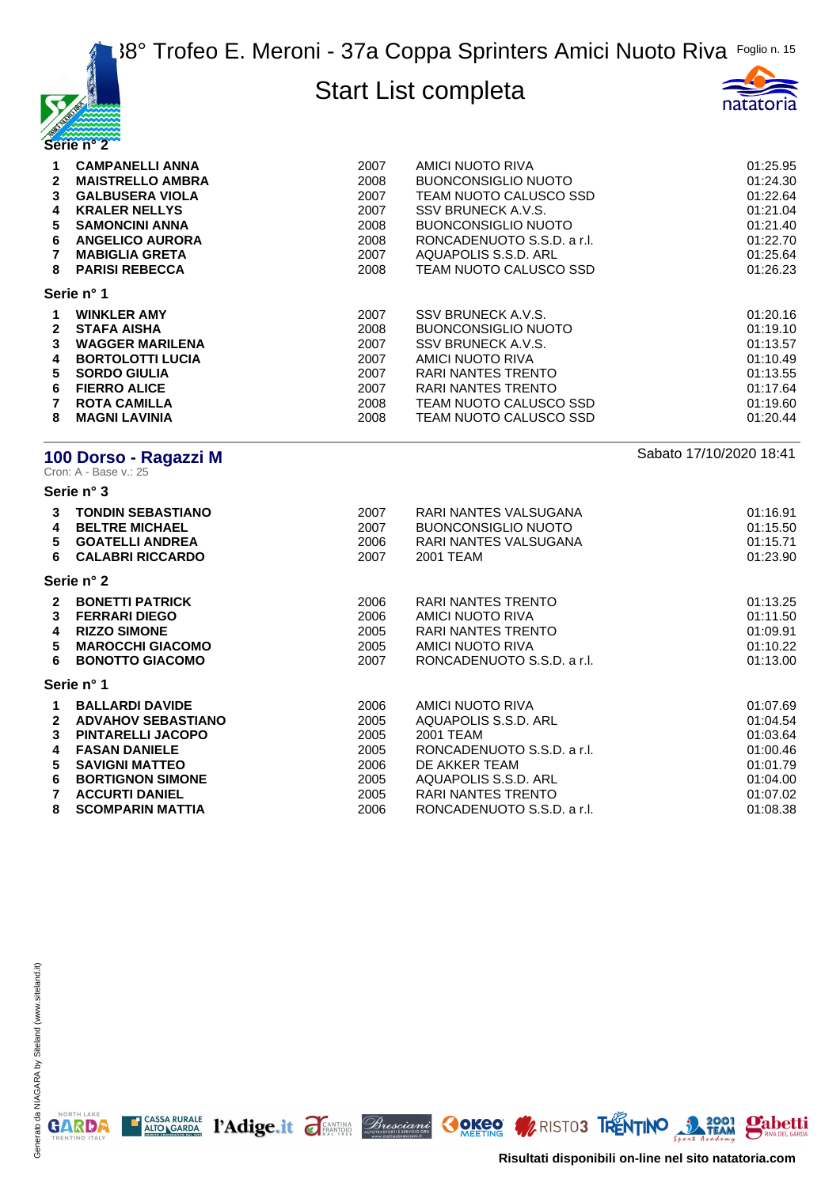



| $\mathbf{2}$<br>3<br>4<br>5.<br>6<br>8 | <b>CAMPANELLI ANNA</b><br><b>MAISTRELLO AMBRA</b><br><b>GALBUSERA VIOLA</b><br><b>KRALER NELLYS</b><br><b>SAMONCINI ANNA</b><br><b>ANGELICO AURORA</b><br><b>MABIGLIA GRETA</b><br><b>PARISI REBECCA</b> | 2007<br>2008<br>2007<br>2007<br>2008<br>2008<br>2007<br>2008 | AMICI NUOTO RIVA<br><b>BUONCONSIGLIO NUOTO</b><br>TEAM NUOTO CALUSCO SSD<br>SSV BRUNECK A.V.S.<br><b>BUONCONSIGLIO NUOTO</b><br>RONCADENUOTO S.S.D. a r.l.<br>AQUAPOLIS S.S.D. ARL<br>TEAM NUOTO CALUSCO SSD | 01:25.95<br>01:24.30<br>01:22.64<br>01:21.04<br>01:21.40<br>01:22.70<br>01:25.64<br>01:26.23 |
|----------------------------------------|----------------------------------------------------------------------------------------------------------------------------------------------------------------------------------------------------------|--------------------------------------------------------------|--------------------------------------------------------------------------------------------------------------------------------------------------------------------------------------------------------------|----------------------------------------------------------------------------------------------|
|                                        | Serie n° 1                                                                                                                                                                                               |                                                              |                                                                                                                                                                                                              |                                                                                              |
| $\mathbf{2}$<br>3<br>4<br>5.<br>6<br>8 | <b>WINKLER AMY</b><br><b>STAFA AISHA</b><br><b>WAGGER MARILENA</b><br><b>BORTOLOTTI LUCIA</b><br><b>SORDO GIULIA</b><br><b>FIERRO ALICE</b><br><b>ROTA CAMILLA</b><br><b>MAGNI LAVINIA</b>               | 2007<br>2008<br>2007<br>2007<br>2007<br>2007<br>2008<br>2008 | SSV BRUNECK A.V.S.<br><b>BUONCONSIGLIO NUOTO</b><br>SSV BRUNECK A.V.S.<br>AMICI NUOTO RIVA<br>RARI NANTES TRENTO<br>RARI NANTES TRENTO<br>TEAM NUOTO CALUSCO SSD<br>TEAM NUOTO CALUSCO SSD                   | 01:20.16<br>01:19.10<br>01:13.57<br>01:10.49<br>01:13.55<br>01:17.64<br>01:19.60<br>01:20.44 |

# **100 Dorso - Ragazzi M** Sabato 17/10/2020 18:41<br>Cron: A - Base v.: 25

**Serie n° 3**

| 3<br>4<br>5.<br>6                  | <b>TONDIN SEBASTIANO</b><br><b>BELTRE MICHAEL</b><br><b>GOATELLI ANDREA</b><br><b>CALABRI RICCARDO</b>                                                                               | 2007<br>2007<br>2006<br>2007                         | RARI NANTES VALSUGANA<br><b>BUONCONSIGLIO NUOTO</b><br>RARI NANTES VALSUGANA<br>2001 TEAM                                                          | 01:16.91<br>01:15.50<br>01:15.71<br>01:23.90                                     |
|------------------------------------|--------------------------------------------------------------------------------------------------------------------------------------------------------------------------------------|------------------------------------------------------|----------------------------------------------------------------------------------------------------------------------------------------------------|----------------------------------------------------------------------------------|
|                                    | Serie n° 2                                                                                                                                                                           |                                                      |                                                                                                                                                    |                                                                                  |
| $\mathbf{2}$<br>3<br>4<br>5<br>6   | <b>BONETTI PATRICK</b><br><b>FERRARI DIEGO</b><br><b>RIZZO SIMONE</b><br><b>MAROCCHI GIACOMO</b><br><b>BONOTTO GIACOMO</b>                                                           | 2006<br>2006<br>2005<br>2005<br>2007                 | RARI NANTES TRENTO<br>AMICI NUOTO RIVA<br>RARI NANTES TRENTO<br>AMICI NUOTO RIVA<br>RONCADENUOTO S.S.D. a r.l.                                     | 01:13.25<br>01:11.50<br>01:09.91<br>01:10.22<br>01:13.00                         |
|                                    | Serie n° 1                                                                                                                                                                           |                                                      |                                                                                                                                                    |                                                                                  |
| $\overline{2}$<br>3<br>4<br>5<br>6 | <b>BALLARDI DAVIDE</b><br><b>ADVAHOV SEBASTIANO</b><br><b>PINTARELLI JACOPO</b><br><b>FASAN DANIELE</b><br><b>SAVIGNI MATTEO</b><br><b>BORTIGNON SIMONE</b><br><b>ACCURTI DANIEL</b> | 2006<br>2005<br>2005<br>2005<br>2006<br>2005<br>2005 | AMICI NUOTO RIVA<br>AQUAPOLIS S.S.D. ARL<br>2001 TEAM<br>RONCADENUOTO S.S.D. a r.l.<br>DE AKKER TEAM<br>AQUAPOLIS S.S.D. ARL<br>RARI NANTES TRENTO | 01:07.69<br>01:04.54<br>01:03.64<br>01:00.46<br>01:01.79<br>01:04.00<br>01:07.02 |
| 8                                  | <b>SCOMPARIN MATTIA</b>                                                                                                                                                              | 2006                                                 | RONCADENUOTO S.S.D. a r.l.                                                                                                                         | 01:08.38                                                                         |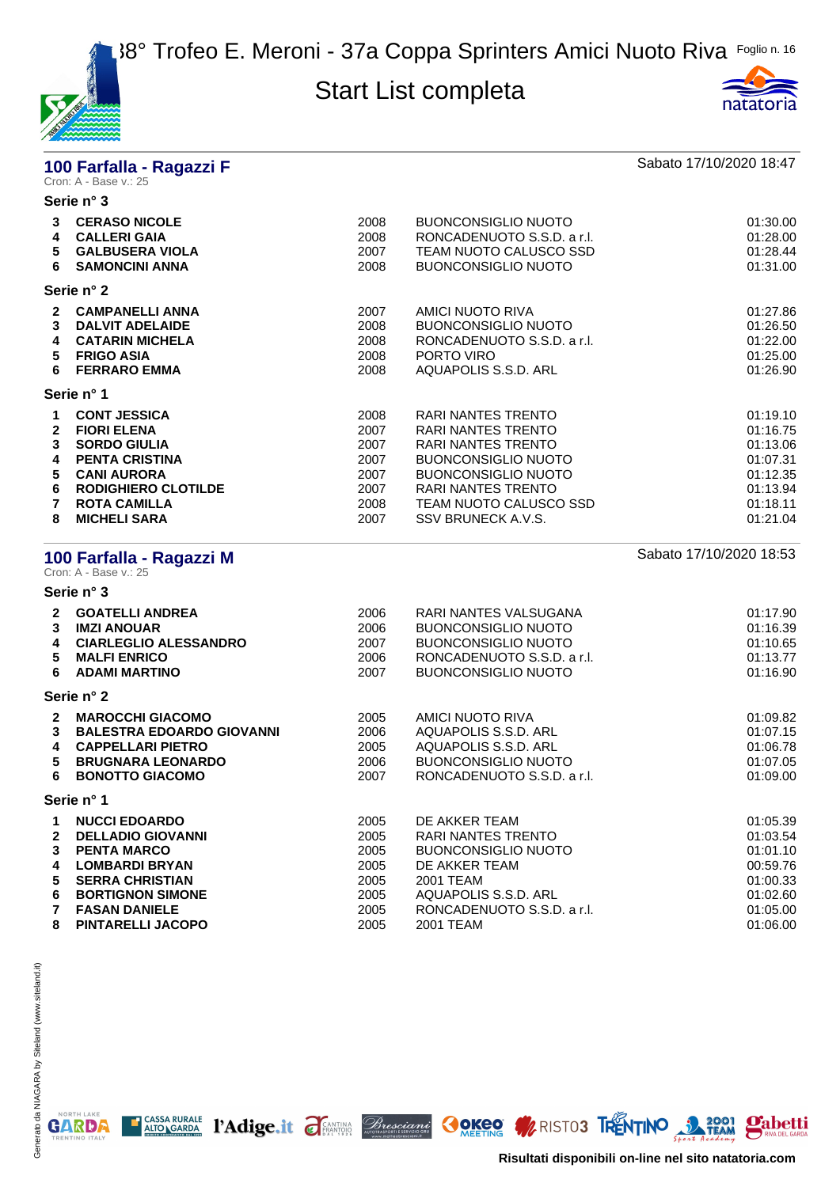



# **100 Farfalla - Ragazzi F** Sabato 17/10/2020 18:47<br>Cron: A - Base v.: 25

|                            | Serie n° 3                                                                                                                                                                                  |                                                              |                                                                                                                                                                                                                       |                                                                                              |
|----------------------------|---------------------------------------------------------------------------------------------------------------------------------------------------------------------------------------------|--------------------------------------------------------------|-----------------------------------------------------------------------------------------------------------------------------------------------------------------------------------------------------------------------|----------------------------------------------------------------------------------------------|
| 3<br>4<br>5<br>6           | <b>CERASO NICOLE</b><br><b>CALLERI GAIA</b><br><b>GALBUSERA VIOLA</b><br><b>SAMONCINI ANNA</b>                                                                                              | 2008<br>2008<br>2007<br>2008                                 | <b>BUONCONSIGLIO NUOTO</b><br>RONCADENUOTO S.S.D. a r.l.<br>TEAM NUOTO CALUSCO SSD<br><b>BUONCONSIGLIO NUOTO</b>                                                                                                      | 01:30.00<br>01:28.00<br>01:28.44<br>01:31.00                                                 |
|                            | Serie n° 2                                                                                                                                                                                  |                                                              |                                                                                                                                                                                                                       |                                                                                              |
| 2<br>3<br>4<br>5<br>6      | <b>CAMPANELLI ANNA</b><br><b>DALVIT ADELAIDE</b><br><b>CATARIN MICHELA</b><br><b>FRIGO ASIA</b><br><b>FERRARO EMMA</b>                                                                      | 2007<br>2008<br>2008<br>2008<br>2008                         | AMICI NUOTO RIVA<br><b>BUONCONSIGLIO NUOTO</b><br>RONCADENUOTO S.S.D. a r.l.<br>PORTO VIRO<br>AQUAPOLIS S.S.D. ARL                                                                                                    | 01:27.86<br>01:26.50<br>01:22.00<br>01:25.00<br>01:26.90                                     |
|                            | Serie n° 1                                                                                                                                                                                  |                                                              |                                                                                                                                                                                                                       |                                                                                              |
| 2<br>3<br>4<br>5<br>6<br>8 | <b>CONT JESSICA</b><br><b>FIORI ELENA</b><br><b>SORDO GIULIA</b><br><b>PENTA CRISTINA</b><br><b>CANI AURORA</b><br><b>RODIGHIERO CLOTILDE</b><br><b>ROTA CAMILLA</b><br><b>MICHELI SARA</b> | 2008<br>2007<br>2007<br>2007<br>2007<br>2007<br>2008<br>2007 | RARI NANTES TRENTO<br><b>RARI NANTES TRENTO</b><br><b>RARI NANTES TRENTO</b><br><b>BUONCONSIGLIO NUOTO</b><br><b>BUONCONSIGLIO NUOTO</b><br><b>RARI NANTES TRENTO</b><br>TEAM NUOTO CALUSCO SSD<br>SSV BRUNECK A.V.S. | 01:19.10<br>01:16.75<br>01:13.06<br>01:07.31<br>01:12.35<br>01:13.94<br>01:18.11<br>01:21.04 |
|                            |                                                                                                                                                                                             |                                                              |                                                                                                                                                                                                                       |                                                                                              |

| Cron: A - Base v.: 25                 | 100 Farfalla - Ragazzi M                                                                                                                                                     |                                                      |                                                                                                                                                              | Sabato 17/10/2020 18:53                                                          |
|---------------------------------------|------------------------------------------------------------------------------------------------------------------------------------------------------------------------------|------------------------------------------------------|--------------------------------------------------------------------------------------------------------------------------------------------------------------|----------------------------------------------------------------------------------|
| Serie n° 3                            |                                                                                                                                                                              |                                                      |                                                                                                                                                              |                                                                                  |
| 2<br>3<br>4<br>5<br>6                 | <b>GOATELLI ANDREA</b><br><b>IMZI ANOUAR</b><br><b>CIARLEGLIO ALESSANDRO</b><br><b>MALFI ENRICO</b><br><b>ADAMI MARTINO</b>                                                  | 2006<br>2006<br>2007<br>2006<br>2007                 | RARI NANTES VALSUGANA<br><b>BUONCONSIGLIO NUOTO</b><br><b>BUONCONSIGLIO NUOTO</b><br>RONCADENUOTO S.S.D. a r.l.<br><b>BUONCONSIGLIO NUOTO</b>                | 01:17.90<br>01:16.39<br>01:10.65<br>01:13.77<br>01:16.90                         |
| Serie n° 2                            |                                                                                                                                                                              |                                                      |                                                                                                                                                              |                                                                                  |
| $\mathbf{2}$<br>3<br>4<br>5<br>6      | <b>MAROCCHI GIACOMO</b><br><b>BALESTRA EDOARDO GIOVANNI</b><br><b>CAPPELLARI PIETRO</b><br><b>BRUGNARA LEONARDO</b><br><b>BONOTTO GIACOMO</b>                                | 2005<br>2006<br>2005<br>2006<br>2007                 | AMICI NUOTO RIVA<br>AQUAPOLIS S.S.D. ARL<br>AQUAPOLIS S.S.D. ARL<br><b>BUONCONSIGLIO NUOTO</b><br>RONCADENUOTO S.S.D. a r.l.                                 | 01:09.82<br>01:07.15<br>01:06.78<br>01:07.05<br>01:09.00                         |
| Serie n° 1                            |                                                                                                                                                                              |                                                      |                                                                                                                                                              |                                                                                  |
| 1<br>$\mathbf{2}$<br>3<br>4<br>5<br>6 | <b>NUCCI EDOARDO</b><br><b>DELLADIO GIOVANNI</b><br><b>PENTA MARCO</b><br><b>LOMBARDI BRYAN</b><br><b>SERRA CHRISTIAN</b><br><b>BORTIGNON SIMONE</b><br><b>FASAN DANIELE</b> | 2005<br>2005<br>2005<br>2005<br>2005<br>2005<br>2005 | DE AKKER TEAM<br><b>RARI NANTES TRENTO</b><br><b>BUONCONSIGLIO NUOTO</b><br>DE AKKER TEAM<br>2001 TEAM<br>AQUAPOLIS S.S.D. ARL<br>RONCADENUOTO S.S.D. a r.l. | 01:05.39<br>01:03.54<br>01:01.10<br>00:59.76<br>01:00.33<br>01:02.60<br>01:05.00 |
| 8                                     | <b>PINTARELLI JACOPO</b>                                                                                                                                                     | 2005                                                 | 2001 TEAM                                                                                                                                                    | 01:06.00                                                                         |

E CASSA RURALE PAdige.it FEANTING Bresciant COKEO MRISTO3 TRENTINO 3 72001 Pabetti

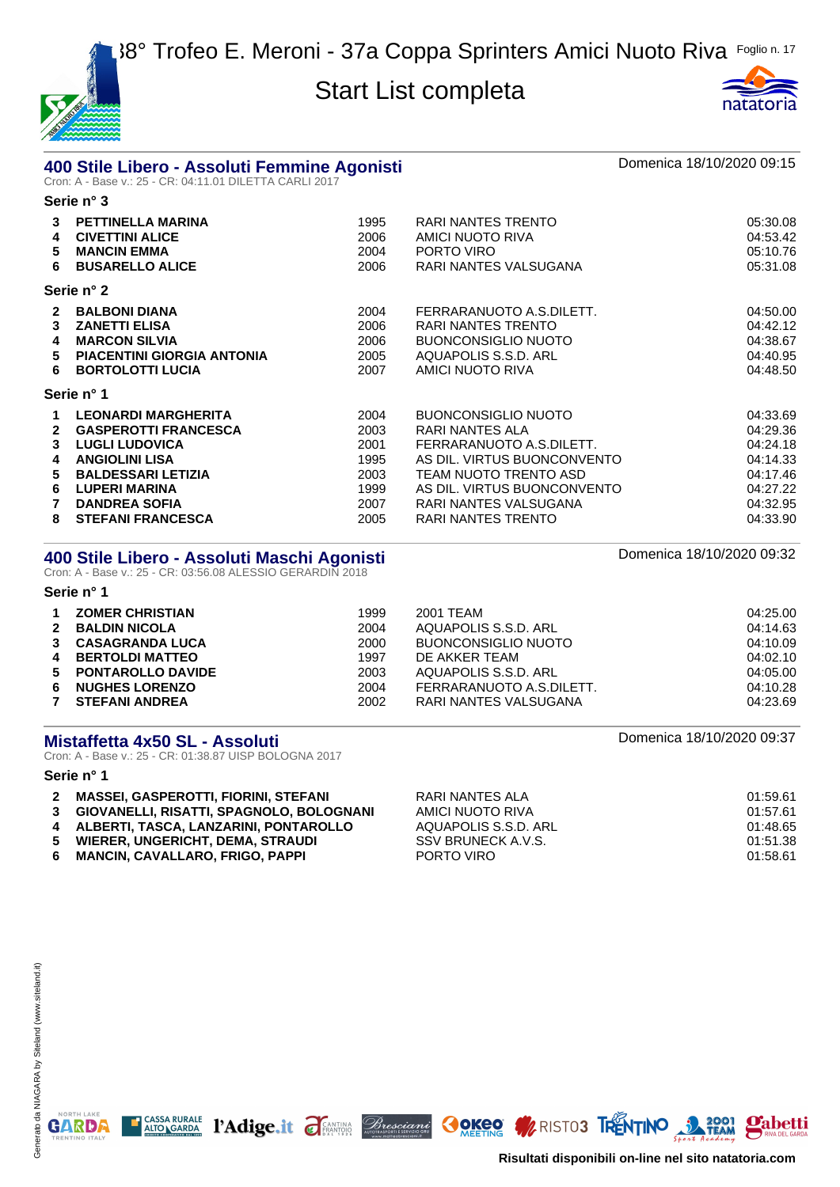

**Serie n° 3**



# **400 Stile Libero - Assoluti Femmine Agonisti** and a component and the Domenica 18/10/2020 09:15<br>Cron: A - Base v.: 25 - CR: 04:11.01 DILETTA CARLI 2017

|                                  | ט וו סוסט                                                                                                                                                                                                            |                                                              |                                                                                                                                                                                                                 |                                                                                              |
|----------------------------------|----------------------------------------------------------------------------------------------------------------------------------------------------------------------------------------------------------------------|--------------------------------------------------------------|-----------------------------------------------------------------------------------------------------------------------------------------------------------------------------------------------------------------|----------------------------------------------------------------------------------------------|
| 3<br>4<br>5<br>6                 | <b>PETTINELLA MARINA</b><br><b>CIVETTINI ALICE</b><br><b>MANCIN EMMA</b><br><b>BUSARELLO ALICE</b>                                                                                                                   | 1995<br>2006<br>2004<br>2006                                 | RARI NANTES TRENTO<br>AMICI NUOTO RIVA<br>PORTO VIRO<br>RARI NANTES VALSUGANA                                                                                                                                   | 05:30.08<br>04:53.42<br>05:10.76<br>05:31.08                                                 |
|                                  | Serie n° 2                                                                                                                                                                                                           |                                                              |                                                                                                                                                                                                                 |                                                                                              |
| $\mathbf{2}$<br>3<br>4<br>5<br>6 | <b>BALBONI DIANA</b><br><b>ZANETTI ELISA</b><br><b>MARCON SILVIA</b><br><b>PIACENTINI GIORGIA ANTONIA</b><br><b>BORTOLOTTI LUCIA</b>                                                                                 | 2004<br>2006<br>2006<br>2005<br>2007                         | FERRARANUOTO A.S.DILETT.<br>RARI NANTES TRENTO<br><b>BUONCONSIGLIO NUOTO</b><br>AQUAPOLIS S.S.D. ARL<br>AMICI NUOTO RIVA                                                                                        | 04:50.00<br>04:42.12<br>04:38.67<br>04:40.95<br>04:48.50                                     |
|                                  | Serie n° 1                                                                                                                                                                                                           |                                                              |                                                                                                                                                                                                                 |                                                                                              |
| 1.<br>2<br>3<br>4<br>5<br>6<br>8 | <b>LEONARDI MARGHERITA</b><br><b>GASPEROTTI FRANCESCA</b><br><b>LUGLI LUDOVICA</b><br><b>ANGIOLINI LISA</b><br><b>BALDESSARI LETIZIA</b><br><b>LUPERI MARINA</b><br><b>DANDREA SOFIA</b><br><b>STEFANI FRANCESCA</b> | 2004<br>2003<br>2001<br>1995<br>2003<br>1999<br>2007<br>2005 | <b>BUONCONSIGLIO NUOTO</b><br>RARI NANTES ALA<br>FERRARANUOTO A.S.DILETT.<br>AS DIL. VIRTUS BUONCONVENTO<br>TEAM NUOTO TRENTO ASD<br>AS DIL. VIRTUS BUONCONVENTO<br>RARI NANTES VALSUGANA<br>RARI NANTES TRENTO | 04:33.69<br>04:29.36<br>04:24.18<br>04:14.33<br>04:17.46<br>04:27.22<br>04:32.95<br>04:33.90 |

# **400 Stile Libero - Assoluti Maschi Agonisti** anno 1992 anno 2018 anno 2018.<br>Cron: A - Base v.: 25 - CR: 03:56.08 ALESSIO GERARDIN 2018

**Serie n° 1**

|              | <b>ZOMER CHRISTIAN</b> | 1999 | 2001 TEAM                | 04:25.00 |
|--------------|------------------------|------|--------------------------|----------|
| $\mathbf{2}$ | <b>BALDIN NICOLA</b>   | 2004 | AQUAPOLIS S.S.D. ARL     | 04:14.63 |
|              | <b>CASAGRANDA LUCA</b> | 2000 | BUONCONSIGLIO NUOTO      | 04:10.09 |
| 4            | <b>BERTOLDI MATTEO</b> | 1997 | DE AKKER TEAM            | 04:02.10 |
|              | 5 PONTAROLLO DAVIDE    | 2003 | AQUAPOLIS S.S.D. ARL     | 04:05.00 |
| 6.           | <b>NUGHES LORENZO</b>  | 2004 | FERRARANUOTO A.S.DILETT. | 04:10.28 |
|              | <b>STEFANI ANDREA</b>  | 2002 | RARI NANTES VALSUGANA    | 04:23.69 |

# **Mistaffetta 4x50 SL - Assoluti Domenica 18/10/2020 09:37**<br>Cron: A - Base v.: 25 - CR: 01:38.87 UISP BOLOGNA 2017

#### **Serie n° 1**

| $\mathbf{2}$ | <b>MASSEI, GASPEROTTI, FIORINI, STEFANI</b> | RARI NANTES ALA      | 01:59.61 |
|--------------|---------------------------------------------|----------------------|----------|
|              | 3 GIOVANELLI, RISATTI, SPAGNOLO, BOLOGNANI  | AMICI NUOTO RIVA     | 01:57.61 |
|              | 4 ALBERTI. TASCA. LANZARINI. PONTAROLLO     | AQUAPOLIS S.S.D. ARL | 01:48.65 |
| 5.           | WIERER. UNGERICHT. DEMA. STRAUDI            | SSV BRUNECK A.V.S.   | 01:51.38 |
|              | 6 MANCIN, CAVALLARO, FRIGO, PAPPI           | PORTO VIRO           | 01:58.61 |

T CASSA RURALE PAdige.it FEATING *Bresciant* COKEO M/RISTO3 TRENTINO 22001 Pabetti

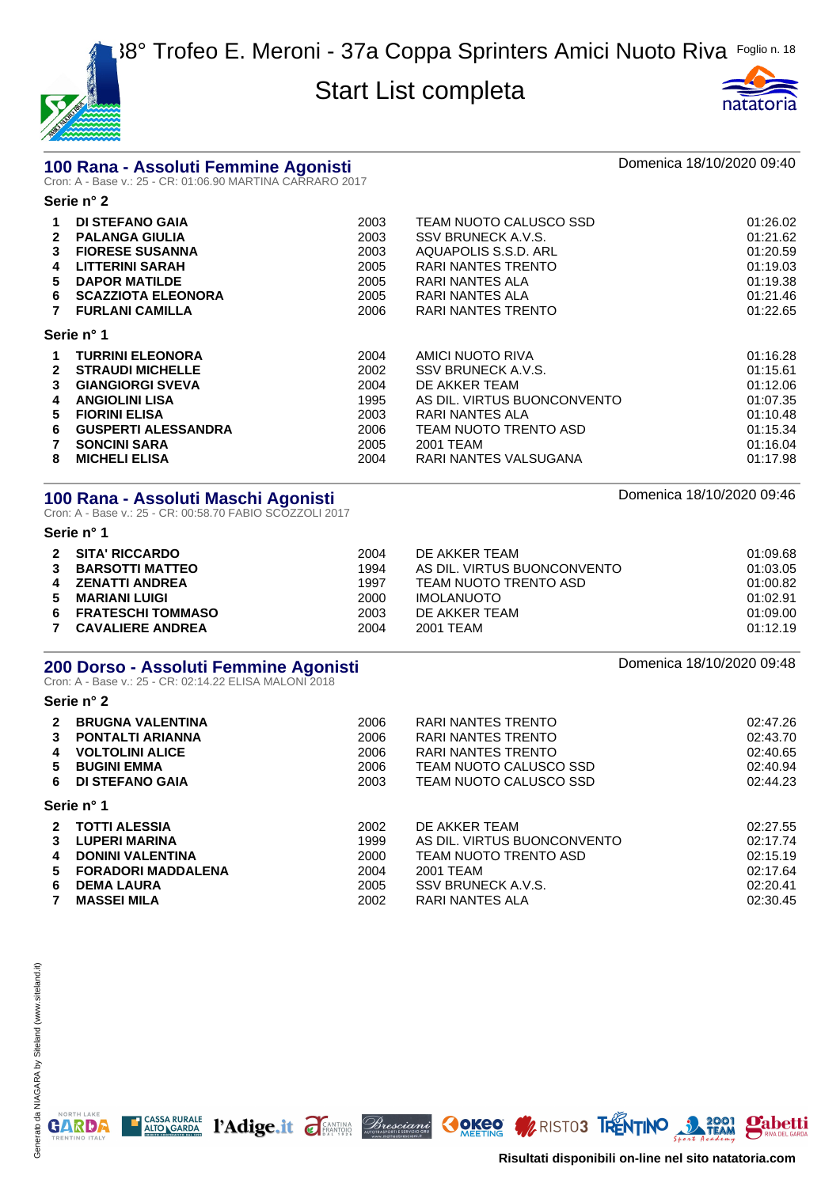



# **100 Rana - Assoluti Femmine Agonisti** and an anno 2017 ann an Domenica 18/10/2020 09:40<br>Cron: A - Base v.: 25 - CR: 01:06.90 MARTINA CARRARO 2017

**Serie n° 2**

| 1            | <b>DI STEFANO GAIA</b>     | 2003 | TEAM NUOTO CALUSCO SSD      | 01:26.02 |
|--------------|----------------------------|------|-----------------------------|----------|
| $\mathbf{2}$ | <b>PALANGA GIULIA</b>      | 2003 | SSV BRUNECK A.V.S.          | 01:21.62 |
| 3            | <b>FIORESE SUSANNA</b>     | 2003 | AQUAPOLIS S.S.D. ARL        | 01:20.59 |
| 4            | <b>LITTERINI SARAH</b>     | 2005 | RARI NANTES TRENTO          | 01:19.03 |
| 5.           | <b>DAPOR MATILDE</b>       | 2005 | RARI NANTES ALA             | 01:19.38 |
| 6.           | <b>SCAZZIOTA ELEONORA</b>  | 2005 | RARI NANTES ALA             | 01:21.46 |
|              | <b>FURLANI CAMILLA</b>     | 2006 | RARI NANTES TRENTO          | 01:22.65 |
|              | Serie n° 1                 |      |                             |          |
| 1.           | <b>TURRINI ELEONORA</b>    | 2004 | AMICI NUOTO RIVA            | 01:16.28 |
| $\mathbf{c}$ | <b>STRAUDI MICHELLE</b>    | 2002 | SSV BRUNECK A.V.S.          | 01:15.61 |
| 3            | <b>GIANGIORGI SVEVA</b>    | 2004 | DE AKKER TEAM               | 01:12.06 |
| 4            | <b>ANGIOLINI LISA</b>      | 1995 | AS DIL. VIRTUS BUONCONVENTO | 01:07.35 |
| 5.           | <b>FIORINI ELISA</b>       | 2003 | RARI NANTES ALA             | 01:10.48 |
| 6.           | <b>GUSPERTI ALESSANDRA</b> | 2006 | TEAM NUOTO TRENTO ASD       | 01:15.34 |
|              | <b>SONCINI SARA</b>        | 2005 | 2001 TEAM                   | 01:16.04 |
| 8            | <b>MICHELI ELISA</b>       | 2004 | RARI NANTES VALSUGANA       | 01:17.98 |
|              |                            |      |                             |          |

# **100 Rana - Assoluti Maschi Agonisti** amb anno 1920 anno 2008–2014.<br>Cron: A - Base v.: 25 - CR: 00:58.70 FABIO SCOZZOLI 2017

|    | Serie n° 1               |      |                             |          |
|----|--------------------------|------|-----------------------------|----------|
|    | 2 SITA' RICCARDO         | 2004 | DE AKKER TEAM               | 01:09.68 |
| 3  | <b>BARSOTTI MATTEO</b>   | 1994 | AS DIL. VIRTUS BUONCONVENTO | 01:03.05 |
|    | <b>ZENATTI ANDREA</b>    | 1997 | TEAM NUOTO TRENTO ASD       | 01:00.82 |
| 5. | <b>MARIANI LUIGI</b>     | 2000 | <b>IMOLANUOTO</b>           | 01:02.91 |
| 6. | <b>FRATESCHI TOMMASO</b> | 2003 | DE AKKER TEAM               | 01:09.00 |
|    | <b>CAVALIERE ANDREA</b>  | 2004 | 2001 TEAM                   | 01:12.19 |

# **200 Dorso - Assoluti Femmine Agonisti** de antica de la componica 18/10/2020 09:48<br>Cron: A - Base v.: 25 - CR: 02:14.22 ELISA MALONI 2018

#### **Serie n° 2**

| $\mathbf{2}$ | <b>BRUGNA VALENTINA</b>   | 2006 | RARI NANTES TRENTO          | 02:47.26 |
|--------------|---------------------------|------|-----------------------------|----------|
| 3            | <b>PONTALTI ARIANNA</b>   | 2006 | RARI NANTES TRENTO          | 02:43.70 |
| 4            | <b>VOLTOLINI ALICE</b>    | 2006 | RARI NANTES TRENTO          | 02:40.65 |
| 5.           | <b>BUGINI EMMA</b>        | 2006 | TEAM NUOTO CALUSCO SSD      | 02:40.94 |
| 6.           | <b>DI STEFANO GAIA</b>    | 2003 | TEAM NUOTO CALUSCO SSD      | 02:44.23 |
|              | Serie n° 1                |      |                             |          |
| $\mathbf{2}$ | <b>TOTTI ALESSIA</b>      | 2002 | DE AKKER TEAM               | 02:27.55 |
| 3            | <b>LUPERI MARINA</b>      | 1999 | AS DIL. VIRTUS BUONCONVENTO | 02:17.74 |
| 4            | <b>DONINI VALENTINA</b>   | 2000 | TEAM NUOTO TRENTO ASD       | 02:15.19 |
| 5.           | <b>FORADORI MADDALENA</b> | 2004 | 2001 TEAM                   | 02:17.64 |
| 6            | <b>DEMA LAURA</b>         | 2005 | SSV BRUNECK A.V.S.          | 02:20.41 |
| $\mathbf{7}$ | <b>MASSEI MILA</b>        | 2002 | RARI NANTES ALA             | 02:30.45 |

NORTH LAKE

**GARDA** 

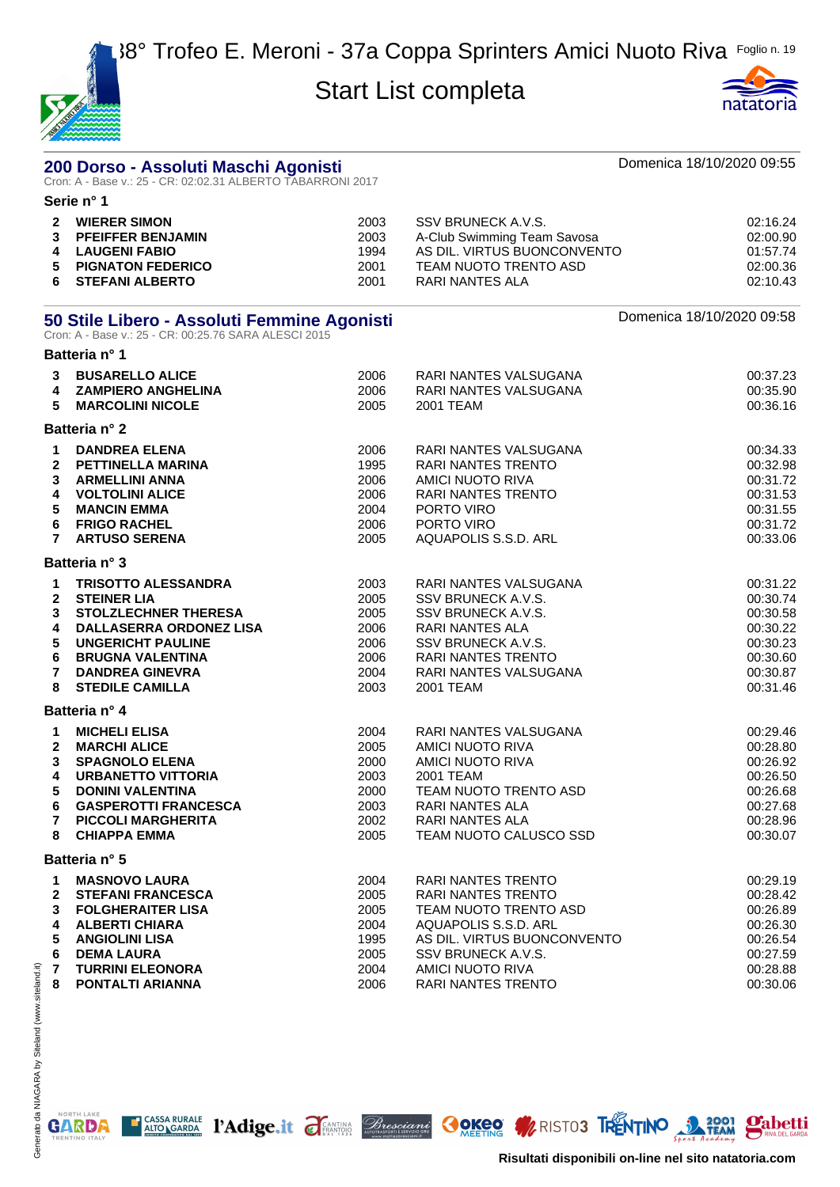



|                                  | 200 Dorso - Assoluti Maschi Agonisti<br>Cron: A - Base v.: 25 - CR: 02:02.31 ALBERTO TABARRONI 2017                           |                                      |                                                                                                                              | Domenica 18/10/2020 09:55                                |
|----------------------------------|-------------------------------------------------------------------------------------------------------------------------------|--------------------------------------|------------------------------------------------------------------------------------------------------------------------------|----------------------------------------------------------|
|                                  | Serie n° 1                                                                                                                    |                                      |                                                                                                                              |                                                          |
| $\mathbf{2}$<br>3<br>4<br>5<br>6 | <b>WIERER SIMON</b><br><b>PFEIFFER BENJAMIN</b><br><b>LAUGENI FABIO</b><br><b>PIGNATON FEDERICO</b><br><b>STEFANI ALBERTO</b> | 2003<br>2003<br>1994<br>2001<br>2001 | SSV BRUNECK A.V.S.<br>A-Club Swimming Team Savosa<br>AS DIL. VIRTUS BUONCONVENTO<br>TEAM NUOTO TRENTO ASD<br>RARI NANTES ALA | 02:16.24<br>02:00.90<br>01:57.74<br>02:00.36<br>02:10.43 |
|                                  | 50 Stile Libero - Assoluti Femmine Agonisti<br>Cron: A - Base v.: 25 - CR: 00:25.76 SARA ALESCI 2015                          |                                      |                                                                                                                              | Domenica 18/10/2020 09:58                                |
|                                  | Batteria n° 1                                                                                                                 |                                      |                                                                                                                              |                                                          |
| 3<br>4<br>5                      | <b>BUSARELLO ALICE</b><br><b>ZAMPIERO ANGHELINA</b><br><b>MARCOLINI NICOLE</b>                                                | 2006<br>2006<br>2005                 | RARI NANTES VALSUGANA<br>RARI NANTES VALSUGANA<br>2001 TEAM                                                                  | 00:37.23<br>00:35.90<br>00:36.16                         |
|                                  | Batteria n° 2                                                                                                                 |                                      |                                                                                                                              |                                                          |
| 2<br>3<br>4                      | <b>DANDREA ELENA</b><br><b>PETTINELLA MARINA</b><br><b>ARMELLINI ANNA</b><br><b>VOLTOLINI ALICE</b>                           | 2006<br>1995<br>2006<br>2006         | RARI NANTES VALSUGANA<br><b>RARI NANTES TRENTO</b><br>AMICI NUOTO RIVA<br>RARI NANTES TRENTO                                 | 00:34.33<br>00:32.98<br>00:31.72<br>00:31.53             |
| 5<br>6                           | <b>MANCIN EMMA</b><br><b>FRIGO RACHEL</b><br><b>ARTUSO SERENA</b>                                                             | 2004<br>2006<br>2005                 | PORTO VIRO<br>PORTO VIRO<br>AQUAPOLIS S.S.D. ARL                                                                             | 00:31.55<br>00:31.72<br>00:33.06                         |

|                | Batteria n° 3                  |      |                              |          |
|----------------|--------------------------------|------|------------------------------|----------|
| $\mathbf 1$    | <b>TRISOTTO ALESSANDRA</b>     | 2003 | RARI NANTES VALSUGANA        | 00:31.22 |
| $\mathbf{2}$   | <b>STEINER LIA</b>             | 2005 | SSV BRUNECK A.V.S.           | 00:30.74 |
| $\mathbf{3}$   | <b>STOLZLECHNER THERESA</b>    | 2005 | SSV BRUNECK A.V.S.           | 00:30.58 |
| 4              | <b>DALLASERRA ORDONEZ LISA</b> | 2006 | RARI NANTES ALA              | 00:30.22 |
| 5              | <b>UNGERICHT PAULINE</b>       | 2006 | SSV BRUNECK A.V.S.           | 00:30.23 |
| 6              | <b>BRUGNA VALENTINA</b>        | 2006 | <b>RARI NANTES TRENTO</b>    | 00:30.60 |
| $\overline{7}$ | <b>DANDREA GINEVRA</b>         | 2004 | <b>RARI NANTES VALSUGANA</b> | 00:30.87 |
| 8              | <b>STEDILE CAMILLA</b>         | 2003 | 2001 TEAM                    | 00:31.46 |
|                | Batteria n° 4                  |      |                              |          |
| $\mathbf 1$    | <b>MICHELI ELISA</b>           | 2004 | RARI NANTES VALSUGANA        | 00:29.46 |
| $\mathbf{2}$   | <b>MARCHI ALICE</b>            | 2005 | AMICI NUOTO RIVA             | 00:28.80 |
| 3              | <b>SPAGNOLO ELENA</b>          | 2000 | AMICI NUOTO RIVA             | 00:26.92 |
| 4              | <b>URBANETTO VITTORIA</b>      | 2003 | 2001 TEAM                    | 00:26.50 |
| 5              | <b>DONINI VALENTINA</b>        | 2000 | TEAM NUOTO TRENTO ASD        | 00:26.68 |
| 6              | <b>GASPEROTTI FRANCESCA</b>    | 2003 | <b>RARI NANTES ALA</b>       | 00:27.68 |
| $\overline{7}$ | <b>PICCOLI MARGHERITA</b>      | 2002 | <b>RARI NANTES ALA</b>       | 00:28.96 |
| 8              | <b>CHIAPPA EMMA</b>            | 2005 | TEAM NUOTO CALUSCO SSD       | 00:30.07 |
|                | Batteria n° 5                  |      |                              |          |
| $\mathbf 1$    | <b>MASNOVO LAURA</b>           | 2004 | <b>RARI NANTES TRENTO</b>    | 00:29.19 |
| $\mathbf{2}$   | <b>STEFANI FRANCESCA</b>       | 2005 | <b>RARI NANTES TRENTO</b>    | 00:28.42 |
| 3              | <b>FOLGHERAITER LISA</b>       | 2005 | TEAM NUOTO TRENTO ASD        | 00:26.89 |
| 4              | <b>ALBERTI CHIARA</b>          | 2004 | AQUAPOLIS S.S.D. ARL         | 00:26.30 |
| 5              | <b>ANGIOLINI LISA</b>          | 1995 | AS DIL. VIRTUS BUONCONVENTO  | 00:26.54 |
| 6              | <b>DEMA LAURA</b>              | 2005 | SSV BRUNECK A.V.S.           | 00:27.59 |

CASSA RURALE PAdige.it FEANTING *Bresciani* OOKEO A RISTO3 RENTINO 3 TEAM

 **TURRINI ELEONORA** 2004 AMICI NUOTO RIVA 00:28.88 Generato da NIAGARA by Siteland (www.siteland.it) Generato da NIAGARA by Siteland (www.siteland.it) **8 PONTALTI ARIANNA 2006** RARI NANTES TRENTO



**Pabetti**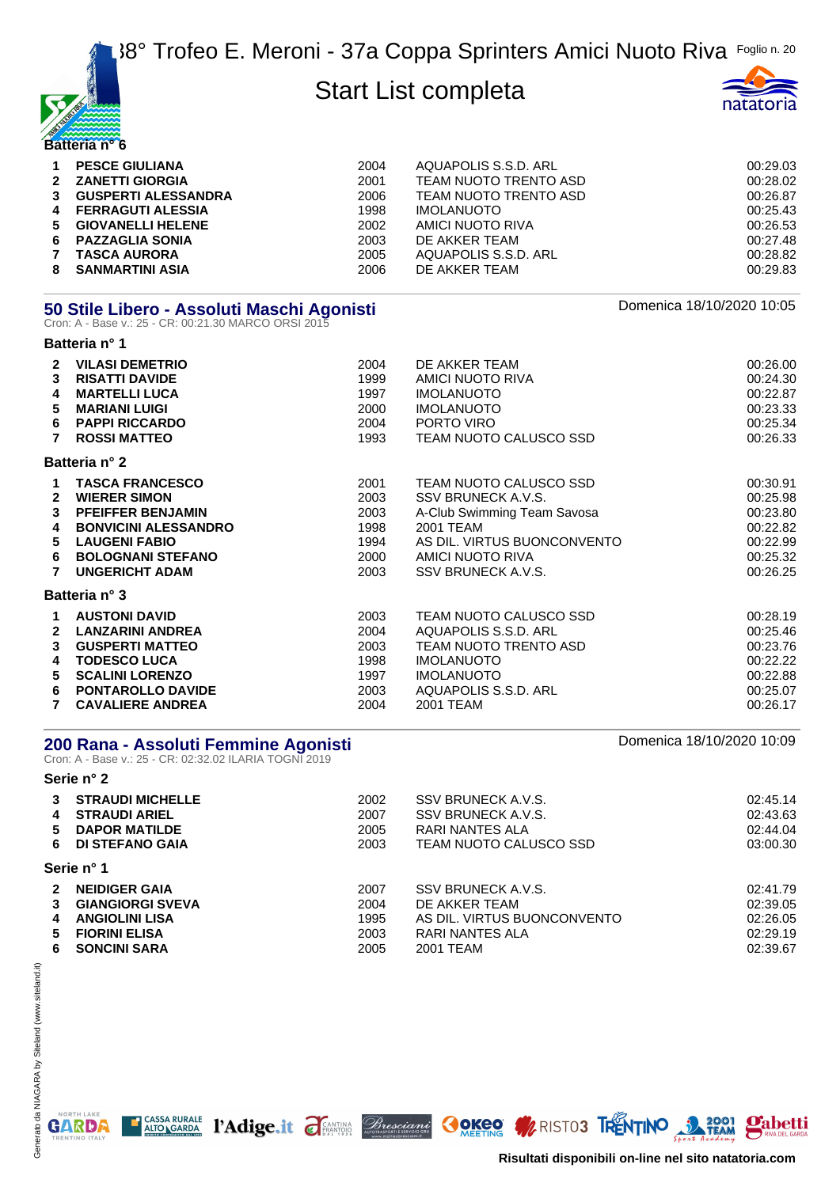



| $\mathbf 1$  | <b>PESCE GIULIANA</b>      | 2004 | AQUAPOLIS S.S.D. ARL  | 00:29.03 |
|--------------|----------------------------|------|-----------------------|----------|
| $2^{\circ}$  | <b>ZANETTI GIORGIA</b>     | 2001 | TEAM NUOTO TRENTO ASD | 00:28.02 |
| 3            | <b>GUSPERTI ALESSANDRA</b> | 2006 | TEAM NUOTO TRENTO ASD | 00:26.87 |
| 4            | <b>FERRAGUTI ALESSIA</b>   | 1998 | <b>IMOLANUOTO</b>     | 00:25.43 |
| 5.           | <b>GIOVANELLI HELENE</b>   | 2002 | AMICI NUOTO RIVA      | 00:26.53 |
| 6.           | <b>PAZZAGLIA SONIA</b>     | 2003 | DE AKKER TEAM         | 00:27.48 |
| $\mathbf{7}$ | <b>TASCA AURORA</b>        | 2005 | AQUAPOLIS S.S.D. ARL  | 00:28.82 |
| 8            | <b>SANMARTINI ASIA</b>     | 2006 | DE AKKER TEAM         | 00:29.83 |

|   | 50 Stile Libero - Assoluti Maschi Agonisti<br>Cron: A - Base v.: 25 - CR: 00:21.30 MARCO ORSI 2015 | Domenica 18/10/2020 10:05 |                             |          |
|---|----------------------------------------------------------------------------------------------------|---------------------------|-----------------------------|----------|
|   | Batteria n° 1                                                                                      |                           |                             |          |
| 2 | <b>VILASI DEMETRIO</b>                                                                             | 2004                      | DE AKKER TEAM               | 00:26.00 |
| 3 | <b>RISATTI DAVIDE</b>                                                                              | 1999                      | AMICI NUOTO RIVA            | 00:24.30 |
| 4 | <b>MARTELLI LUCA</b>                                                                               | 1997                      | <b>IMOLANUOTO</b>           | 00:22.87 |
| 5 | <b>MARIANI LUIGI</b>                                                                               | 2000                      | <b>IMOLANUOTO</b>           | 00:23.33 |
| 6 | <b>PAPPI RICCARDO</b>                                                                              | 2004                      | PORTO VIRO                  | 00:25.34 |
|   | <b>ROSSI MATTEO</b>                                                                                | 1993                      | TEAM NUOTO CALUSCO SSD      | 00:26.33 |
|   | Batteria nº 2                                                                                      |                           |                             |          |
|   | <b>TASCA FRANCESCO</b>                                                                             | 2001                      | TEAM NUOTO CALUSCO SSD      | 00:30.91 |
| 2 | <b>WIERER SIMON</b>                                                                                | 2003                      | SSV BRUNECK A.V.S.          | 00:25.98 |
| 3 | <b>PFEIFFER BENJAMIN</b>                                                                           | 2003                      | A-Club Swimming Team Savosa | 00:23.80 |
| 4 | <b>BONVICINI ALESSANDRO</b>                                                                        | 1998                      | 2001 TEAM                   | 00:22.82 |
| 5 | <b>LAUGENI FABIO</b>                                                                               | 1994                      | AS DIL. VIRTUS BUONCONVENTO | 00:22.99 |
| 6 | <b>BOLOGNANI STEFANO</b>                                                                           | 2000                      | AMICI NUOTO RIVA            | 00:25.32 |
|   | <b>UNGERICHT ADAM</b>                                                                              | 2003                      | SSV BRUNECK A.V.S.          | 00:26.25 |
|   | <b>Batteria n° 3</b>                                                                               |                           |                             |          |
| 1 | <b>AUSTONI DAVID</b>                                                                               | 2003                      | TEAM NUOTO CALUSCO SSD      | 00:28.19 |
| 2 | <b>LANZARINI ANDREA</b>                                                                            | 2004                      | AQUAPOLIS S.S.D. ARL        | 00:25.46 |
| 3 | <b>GUSPERTI MATTEO</b>                                                                             | 2003                      | TEAM NUOTO TRENTO ASD       | 00:23.76 |

| <b>GUSPERIIMAIIEU</b>   | zuus | TEAM NUUTU TRENTU ASD | UU.ZJ.70 |
|-------------------------|------|-----------------------|----------|
| <b>TODESCO LUCA</b>     | 1998 | <b>IMOLANUOTO</b>     | 00:22.22 |
| 5 SCALINI LORENZO       | 1997 | <b>IMOLANUOTO</b>     | 00:22.88 |
| 6 PONTAROLLO DAVIDE     | 2003 | AQUAPOLIS S.S.D. ARL  | 00:25.07 |
| <b>CAVALIERE ANDREA</b> | 2004 | 2001 TEAM             | 00:26.17 |

#### **200 Rana - Assoluti Femmine Agonisti** Domenica 18/10/2020 10:09

CASSA RURALE PAdige.it TEANTING Bresciani

Cron: A - Base v.: 25 - CR: 02:32.02 ILARIA TOGNI 2019

#### **Serie n° 2 STRAUDI MICHELLE** 2002 SSV BRUNECK A.V.S. 02:45.14 **STRAUDI ARIEL** 2007 SSV BRUNECK A.V.S. 02:43.63 **DAPOR MATILDE** 2005 RARI NANTES ALA 02:44.04 **DI STEFANO GAIA** 2003 TEAM NUOTO CALUSCO SSD 03:00.30 **Serie n° 1 NEIDIGER GAIA** 2007 SSV BRUNECK A.V.S. 02:41.79 **GIANGIORGI SVEVA** 2004 DE AKKER TEAM 02:39.05 **ANGIOLINI LISA** 1995 AS DIL. VIRTUS BUONCONVENTO 02:26.05 **FIORINI ELISA** 2003 RARI NANTES ALA 02:29.19 **SONCINI SARA** 2005 2001 TEAM 02:39.67



**Pabetti** 

**GOKER WRISTOS TRENTINO 3 2001**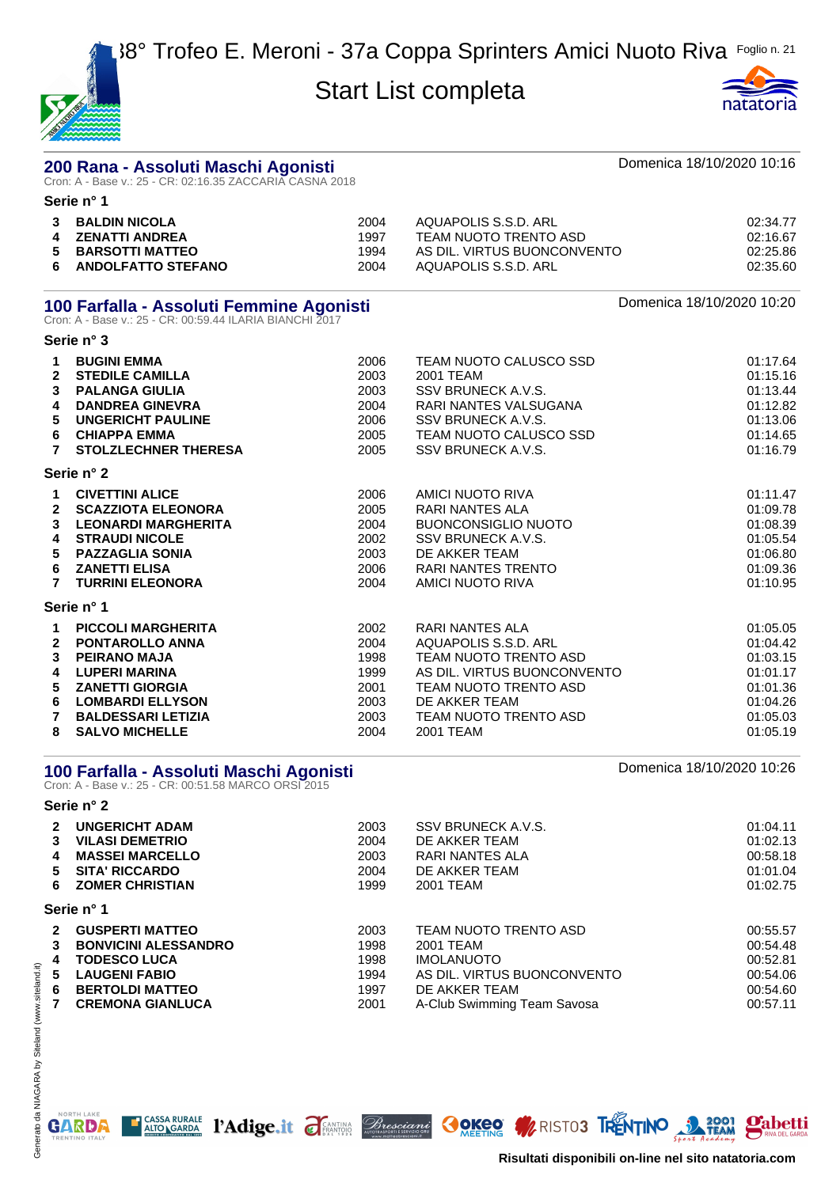



#### **200 Rana - Assoluti Maschi Agonisti Domenica 18/10/2020 10:16** Cron: A - Base v.: 25 - CR: 02:16.35 ZACCARIA CASNA 2018 **Serie n° 1**

| $\mathbf{3}$ | <b>BALDIN NICOLA</b>      | 2004 | AQUAPOLIS S.S.D. ARL        | 02:34.77 |
|--------------|---------------------------|------|-----------------------------|----------|
|              | ZENATTI ANDREA            | 1997 | TEAM NUOTO TRENTO ASD       | 02:16.67 |
| 6.           | 5 BARSOTTI MATTEO         | 1994 | AS DIL. VIRTUS BUONCONVENTO | 02:25.86 |
|              | <b>ANDOLFATTO STEFANO</b> | 2004 | AQUAPOLIS S.S.D. ARL        | 02:35.60 |

#### **100 Farfalla - Assoluti Femmine Agonisti** Domenica 18/10/2020 10:20

Cron: A - Base v.: 25 - CR: 00:59.44 ILARIA BIANCHI 2017

|                | Serie n° 3                  |      |                             |          |
|----------------|-----------------------------|------|-----------------------------|----------|
| 1.             | <b>BUGINI EMMA</b>          | 2006 | TEAM NUOTO CALUSCO SSD      | 01:17.64 |
| $\mathbf{2}$   | <b>STEDILE CAMILLA</b>      | 2003 | 2001 TEAM                   | 01:15.16 |
| 3              | <b>PALANGA GIULIA</b>       | 2003 | SSV BRUNECK A.V.S.          | 01:13.44 |
| 4              | <b>DANDREA GINEVRA</b>      | 2004 | RARI NANTES VALSUGANA       | 01:12.82 |
| 5              | <b>UNGERICHT PAULINE</b>    | 2006 | SSV BRUNECK A.V.S.          | 01:13.06 |
| 6              | <b>CHIAPPA EMMA</b>         | 2005 | TEAM NUOTO CALUSCO SSD      | 01:14.65 |
| $\overline{7}$ | <b>STOLZLECHNER THERESA</b> | 2005 | SSV BRUNECK A.V.S.          | 01:16.79 |
|                | Serie n° 2                  |      |                             |          |
| 1.             | <b>CIVETTINI ALICE</b>      | 2006 | AMICI NUOTO RIVA            | 01:11.47 |
| $\mathbf{2}$   | <b>SCAZZIOTA ELEONORA</b>   | 2005 | RARI NANTES ALA             | 01:09.78 |
| 3              | <b>LEONARDI MARGHERITA</b>  | 2004 | <b>BUONCONSIGLIO NUOTO</b>  | 01:08.39 |
| 4              | <b>STRAUDI NICOLE</b>       | 2002 | SSV BRUNECK A.V.S.          | 01:05.54 |
| 5              | <b>PAZZAGLIA SONIA</b>      | 2003 | DE AKKER TEAM               | 01:06.80 |
| 6              | <b>ZANETTI ELISA</b>        | 2006 | RARI NANTES TRENTO          | 01:09.36 |
| 7              | <b>TURRINI ELEONORA</b>     | 2004 | AMICI NUOTO RIVA            | 01:10.95 |
|                | Serie n° 1                  |      |                             |          |
| 1.             | <b>PICCOLI MARGHERITA</b>   | 2002 | RARI NANTES ALA             | 01:05.05 |
| $\mathbf{2}$   | <b>PONTAROLLO ANNA</b>      | 2004 | AQUAPOLIS S.S.D. ARL        | 01:04.42 |
| 3              | <b>PEIRANO MAJA</b>         | 1998 | TEAM NUOTO TRENTO ASD       | 01:03.15 |
| 4              | <b>LUPERI MARINA</b>        | 1999 | AS DIL. VIRTUS BUONCONVENTO | 01:01.17 |
| 5              | <b>ZANETTI GIORGIA</b>      | 2001 | TEAM NUOTO TRENTO ASD       | 01:01.36 |

**6 LOMBARDI ELLYSON** 2003 DE AKKER TEAM 01:04.26 **7 BALDESSARI LETIZIA** 2003 TEAM NUOTO TRENTO ASD 01:05.03 **8 SALVO MICHELLE** 2004 2001 TEAM 01:05.19

#### **100 Farfalla - Assoluti Maschi Agonisti National Properties and Agonisti** Domenica 18/10/2020 10:26

CASSA RURALE PAdige.it TEANING Bresciani

Cron: A - Base v.: 25 - CR: 00:51.58 MARCO ORSI 2015

#### **Serie n° 2 2 UNGERICHT ADAM** 2003 SSV BRUNECK A.V.S. 01:04.11 **3 VILASI DEMETRIO** 2004 DE AKKER TEAM 01:02.13 **4 MASSEI MARCELLO** 2003 RARI NANTES ALA 00:58.18 **5 SITA' RICCARDO** 2004 DE AKKER TEAM 01:01.04 **6 ZOMER CHRISTIAN** 1999 2001 TEAM **1999 2001 TEAM** 01:02.75 **Serie n° 1 2 GUSPERTI MATTEO** 2003 TEAM NUOTO TRENTO ASD 00:55.57 **3 BONVICINI ALESSANDRO** 1998 2001 TEAM 00:54.48 **4 TODESCO LUCA** 1998 IMOLANUOTO 1998 20:52.81 **5 LAUGENI FABIO** 1994 AS DIL. VIRTUS BUONCONVENTO 00:54.06 **6 BERTOLDI MATTEO** 1997 DE AKKER TEAM 00:54.60 **7 CREMONA GIANLUCA** 2001 A-Club Swimming Team Savosa 00:57.11

NORTH LAKE

GARDA

**Risultati disponibili on-line nel sito natatoria.com**

**Mabetti** 

**OOKEQ WRISTOS TRENTINO 32 REAM**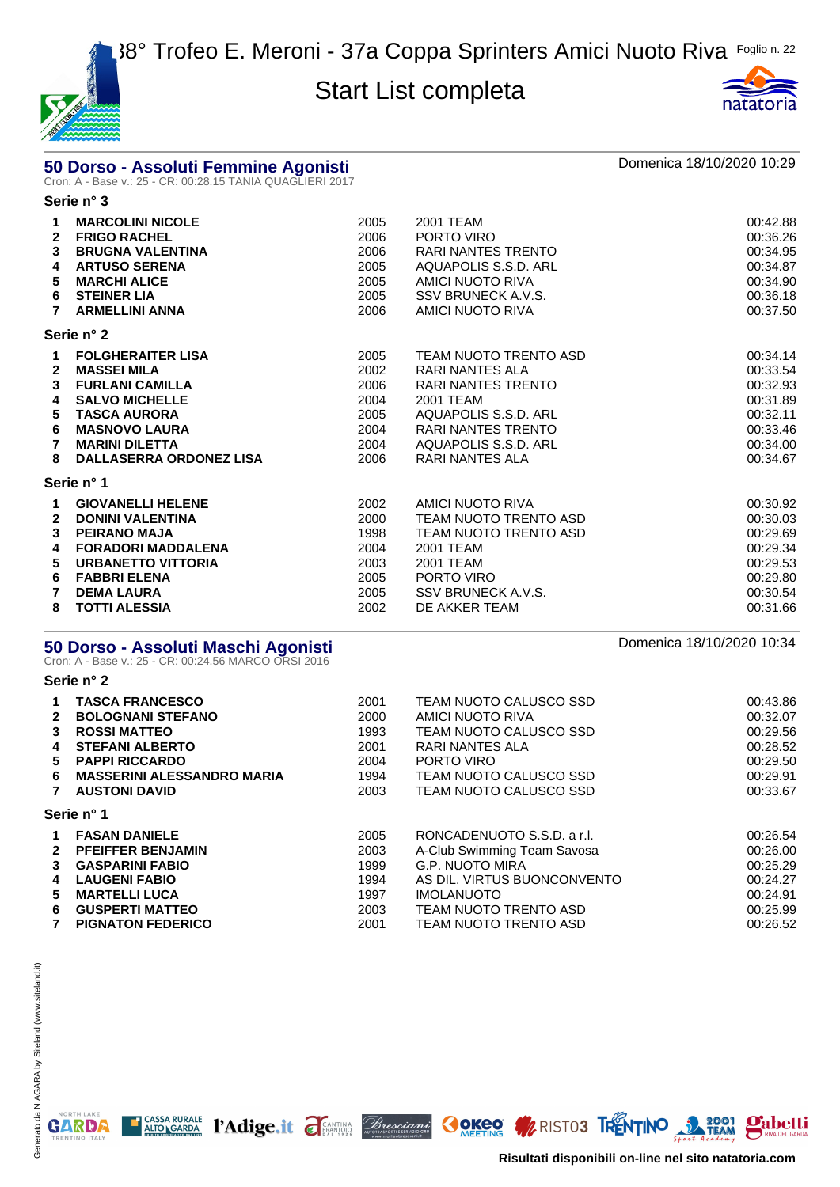



# **50 Dorso - Assoluti Femmine Agonisti** di province del province del pomenica 18/10/2020 10:29<br>Cron: A - Base v.: 25 - CR: 00:28.15 TANIA QUAGLIERI 2017

**Serie n° 3**

| 1<br>$\mathbf{2}$<br>3<br>4<br>5<br>6<br>7 | <b>MARCOLINI NICOLE</b><br><b>FRIGO RACHEL</b><br><b>BRUGNA VALENTINA</b><br><b>ARTUSO SERENA</b><br><b>MARCHI ALICE</b><br><b>STEINER LIA</b><br><b>ARMELLINI ANNA</b>                                     | 2005<br>2006<br>2006<br>2005<br>2005<br>2005<br>2006         | 2001 TEAM<br>PORTO VIRO<br>RARI NANTES TRENTO<br>AQUAPOLIS S.S.D. ARL<br>AMICI NUOTO RIVA<br>SSV BRUNECK A.V.S.<br>AMICI NUOTO RIVA                                                       | 00:42.88<br>00:36.26<br>00:34.95<br>00:34.87<br>00:34.90<br>00:36.18<br>00:37.50             |
|--------------------------------------------|-------------------------------------------------------------------------------------------------------------------------------------------------------------------------------------------------------------|--------------------------------------------------------------|-------------------------------------------------------------------------------------------------------------------------------------------------------------------------------------------|----------------------------------------------------------------------------------------------|
|                                            | Serie n° 2                                                                                                                                                                                                  |                                                              |                                                                                                                                                                                           |                                                                                              |
| 1<br>$\mathbf{2}$<br>3<br>4<br>5<br>6<br>8 | <b>FOLGHERAITER LISA</b><br><b>MASSEI MILA</b><br><b>FURLANI CAMILLA</b><br><b>SALVO MICHELLE</b><br><b>TASCA AURORA</b><br><b>MASNOVO LAURA</b><br><b>MARINI DILETTA</b><br><b>DALLASERRA ORDONEZ LISA</b> | 2005<br>2002<br>2006<br>2004<br>2005<br>2004<br>2004<br>2006 | TEAM NUOTO TRENTO ASD<br><b>RARI NANTES ALA</b><br><b>RARI NANTES TRENTO</b><br>2001 TEAM<br>AQUAPOLIS S.S.D. ARL<br><b>RARI NANTES TRENTO</b><br>AQUAPOLIS S.S.D. ARL<br>RARI NANTES ALA | 00:34.14<br>00:33.54<br>00:32.93<br>00:31.89<br>00:32.11<br>00:33.46<br>00:34.00<br>00:34.67 |
|                                            | Serie n° 1                                                                                                                                                                                                  |                                                              |                                                                                                                                                                                           |                                                                                              |
| 1.<br>$\mathbf{2}$<br>3<br>4<br>5<br>6     | <b>GIOVANELLI HELENE</b><br><b>DONINI VALENTINA</b><br><b>PEIRANO MAJA</b><br><b>FORADORI MADDALENA</b><br><b>URBANETTO VITTORIA</b><br><b>FABBRI ELENA</b><br><b>DEMA LAURA</b>                            | 2002<br>2000<br>1998<br>2004<br>2003<br>2005<br>2005         | AMICI NUOTO RIVA<br>TEAM NUOTO TRENTO ASD<br>TEAM NUOTO TRENTO ASD<br>2001 TEAM<br>2001 TEAM<br>PORTO VIRO<br>SSV BRUNECK A.V.S.                                                          | 00:30.92<br>00:30.03<br>00:29.69<br>00:29.34<br>00:29.53<br>00:29.80<br>00:30.54             |
| 8                                          | <b>TOTTI ALESSIA</b>                                                                                                                                                                                        | 2002                                                         | DE AKKER TEAM                                                                                                                                                                             | 00:31.66                                                                                     |

# **50 Dorso - Assoluti Maschi Agonisti** and anno 1992 and anno 2010-2020 10:34<br>Cron: A - Base v.: 25 - CR: 00:24.56 MARCO ORSI 2016

**Serie n° 2**

| 1.           | <b>TASCA FRANCESCO</b>            | 2001 | TEAM NUOTO CALUSCO SSD      | 00:43.86 |
|--------------|-----------------------------------|------|-----------------------------|----------|
| $\mathbf{2}$ | <b>BOLOGNANI STEFANO</b>          | 2000 | AMICI NUOTO RIVA            | 00:32.07 |
| 3            | <b>ROSSI MATTEO</b>               | 1993 | TEAM NUOTO CALUSCO SSD      | 00:29.56 |
| 4            | <b>STEFANI ALBERTO</b>            | 2001 | RARI NANTES ALA             | 00:28.52 |
| 5.           | <b>PAPPI RICCARDO</b>             | 2004 | PORTO VIRO                  | 00:29.50 |
| 6.           | <b>MASSERINI ALESSANDRO MARIA</b> | 1994 | TEAM NUOTO CALUSCO SSD      | 00:29.91 |
| 7            | <b>AUSTONI DAVID</b>              | 2003 | TEAM NUOTO CALUSCO SSD      | 00:33.67 |
|              | Serie n° 1                        |      |                             |          |
| $\mathbf 1$  | <b>FASAN DANIELE</b>              | 2005 | RONCADENUOTO S.S.D. a r.l.  | 00:26.54 |
|              | 2 PFEIFFER BENJAMIN               | 2003 | A-Club Swimming Team Savosa | 00:26.00 |
| 3            | <b>GASPARINI FABIO</b>            | 1999 | G.P. NUOTO MIRA             | 00:25.29 |
| 4            | <b>LAUGENI FABIO</b>              | 1994 | AS DIL. VIRTUS BUONCONVENTO | 00:24.27 |
| 5.           | <b>MARTELLI LUCA</b>              | 1997 | <b>IMOLANUOTO</b>           | 00:24.91 |
| 6            | <b>GUSPERTI MATTEO</b>            | 2003 | TEAM NUOTO TRENTO ASD       | 00:25.99 |
| 7            | <b>PIGNATON FEDERICO</b>          | 2001 | TEAM NUOTO TRENTO ASD       | 00:26.52 |

T CASSA RURALE PAdige.it FEANTING Bresciance OCKOO WRISTOS TRENTINO 2001 Pabetti

NORTH LAKE

**GARDA**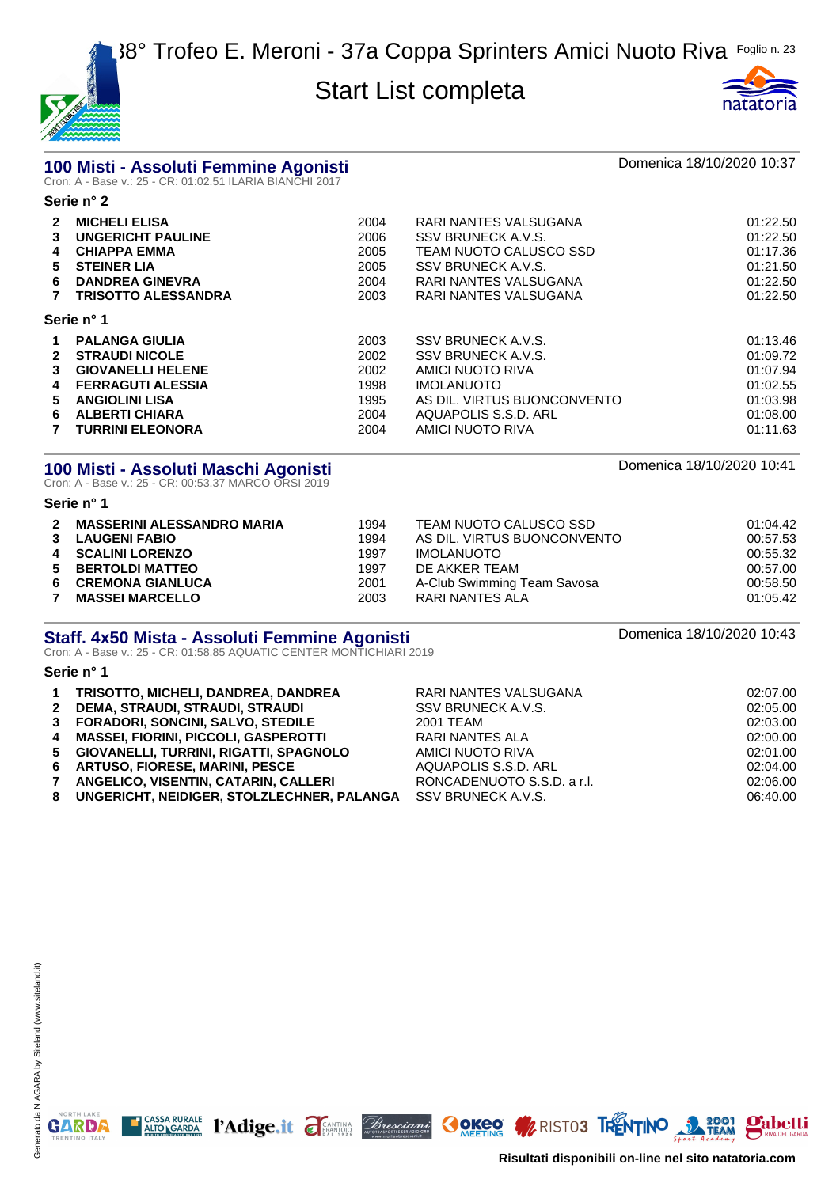



# **100 Misti - Assoluti Femmine Agonisti** and anno 1810 anno 2012 Domenica 18/10/2020 10:37<br>Cron: A - Base v.: 25 - CR: 01:02.51 ILARIA BIANCHI 2017

|              | Serie n° 2                 |      |                             |          |  |  |
|--------------|----------------------------|------|-----------------------------|----------|--|--|
| $\mathbf{2}$ | <b>MICHELI ELISA</b>       | 2004 | RARI NANTES VALSUGANA       | 01:22.50 |  |  |
| 3            | <b>UNGERICHT PAULINE</b>   | 2006 | SSV BRUNECK A.V.S.          | 01:22.50 |  |  |
| 4            | <b>CHIAPPA EMMA</b>        | 2005 | TEAM NUOTO CALUSCO SSD      | 01:17.36 |  |  |
| 5            | <b>STEINER LIA</b>         | 2005 | SSV BRUNECK A.V.S.          | 01:21.50 |  |  |
| 6            | <b>DANDREA GINEVRA</b>     | 2004 | RARI NANTES VALSUGANA       | 01:22.50 |  |  |
|              | <b>TRISOTTO ALESSANDRA</b> | 2003 | RARI NANTES VALSUGANA       | 01:22.50 |  |  |
|              | Serie n° 1                 |      |                             |          |  |  |
| 1            | <b>PALANGA GIULIA</b>      | 2003 | SSV BRUNECK A.V.S.          | 01:13.46 |  |  |
| 2            | <b>STRAUDI NICOLE</b>      | 2002 | SSV BRUNECK A.V.S.          | 01:09.72 |  |  |
| 3            | <b>GIOVANELLI HELENE</b>   | 2002 | AMICI NUOTO RIVA            | 01:07.94 |  |  |
| 4            | <b>FERRAGUTI ALESSIA</b>   | 1998 | <b>IMOLANUOTO</b>           | 01:02.55 |  |  |
| 5.           | <b>ANGIOLINI LISA</b>      | 1995 | AS DIL. VIRTUS BUONCONVENTO | 01:03.98 |  |  |
| 6            | <b>ALBERTI CHIARA</b>      | 2004 | AQUAPOLIS S.S.D. ARL        | 01:08.00 |  |  |
|              | <b>TURRINI ELEONORA</b>    | 2004 | AMICI NUOTO RIVA            | 01:11.63 |  |  |

# **100 Misti - Assoluti Maschi Agonisti** and anno 1992 and anno 2014.<br>Cron: A - Base v.: 25 - CR: 00:53.37 MARCO ORSI 2019

#### **Serie n° 1**

| $\mathbf{2}$ | <b>MASSERINI ALESSANDRO MARIA</b> | 1994 | TEAM NUOTO CALUSCO SSD      | 01:04.42 |
|--------------|-----------------------------------|------|-----------------------------|----------|
|              | 3 LAUGENI FABIO                   | 1994 | AS DIL. VIRTUS BUONCONVENTO | 00:57.53 |
|              | 4 SCALINI LORENZO                 | 1997 | IMOLANUOTO                  | 00:55.32 |
|              | 5 BERTOLDI MATTEO                 | 1997 | DE AKKER TEAM               | 00:57.00 |
| 6            | <b>CREMONA GIANLUCA</b>           | 2001 | A-Club Swimming Team Savosa | 00:58.50 |
| 7            | <b>MASSEI MARCELLO</b>            | 2003 | RARI NANTES ALA             | 01:05.42 |

# **Staff. 4x50 Mista - Assoluti Femmine Agonisti**<br>Cron: A - Base v.: 25 - CR: 01:58.85 AQUATIC CENTER MONTICHIARI 2019

#### **Serie n° 1**

| $\mathbf 1$  | TRISOTTO, MICHELI, DANDREA, DANDREA          | RARI NANTES VALSUGANA      | 02:07.00 |
|--------------|----------------------------------------------|----------------------------|----------|
|              | 2 DEMA, STRAUDI, STRAUDI, STRAUDI            | SSV BRUNECK A.V.S.         | 02:05.00 |
|              | 3 FORADORI, SONCINI, SALVO, STEDILE          | 2001 TEAM                  | 02:03.00 |
|              | 4 MASSEI, FIORINI, PICCOLI, GASPEROTTI       | RARI NANTES ALA            | 02:00.00 |
|              | 5 GIOVANELLI, TURRINI, RIGATTI, SPAGNOLO     | AMICI NUOTO RIVA           | 02:01.00 |
|              | 6 ARTUSO, FIORESE, MARINI, PESCE             | AQUAPOLIS S.S.D. ARL       | 02:04.00 |
| $\mathbf{7}$ | ANGELICO, VISENTIN, CATARIN, CALLERI         | RONCADENUOTO S.S.D. a r.l. | 02:06.00 |
|              | 8 UNGERICHT, NEIDIGER, STOLZLECHNER, PALANGA | SSV BRUNECK A.V.S.         | 06:40.00 |
|              |                                              |                            |          |

T CASSA RURALE PAdige.it FANTING *Bresciani* OOKEO WRISTO3 TRENTINO 3 32001 Pabetti

NORTH LAKE

**GARDA** 

**Risultati disponibili on-line nel sito natatoria.com**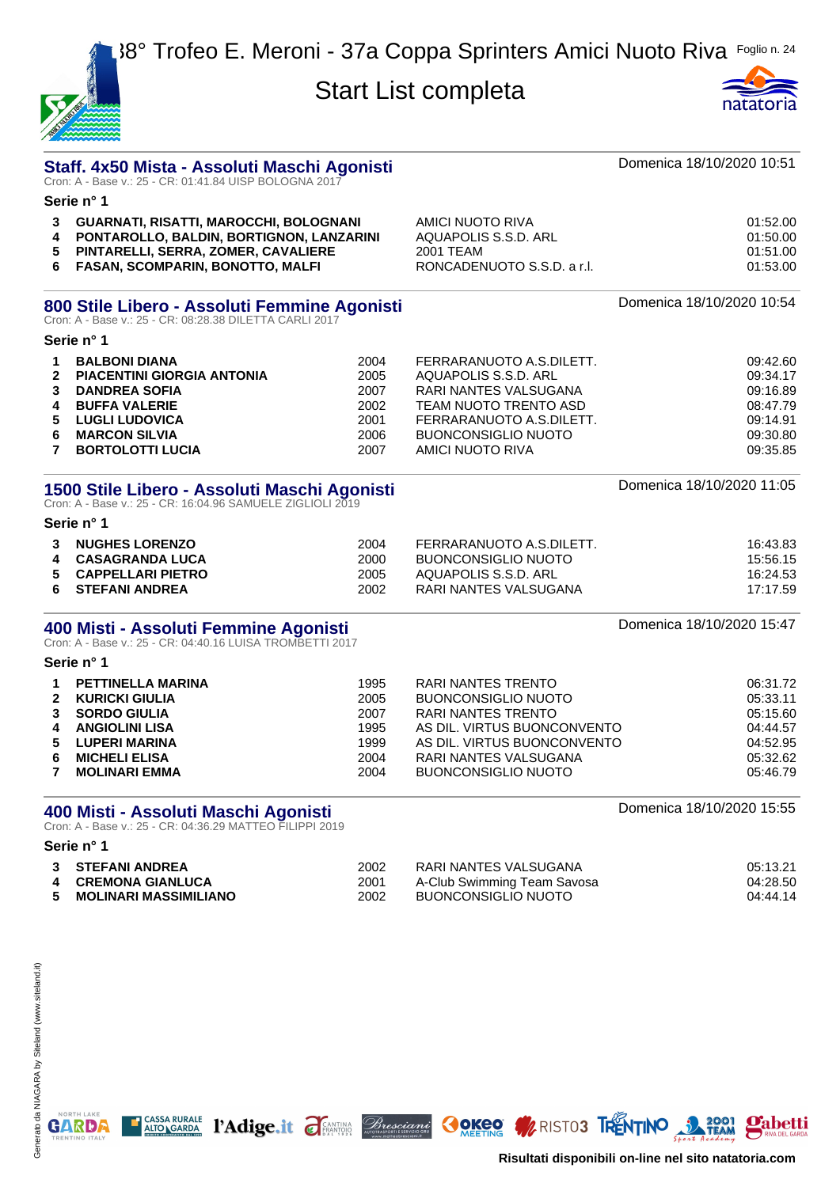| WAN OF OWNER |  |
|--------------|--|
|              |  |



|                                                                                                            | Staff. 4x50 Mista - Assoluti Maschi Agonisti<br>Cron: A - Base v.: 25 - CR: 01:41.84 UISP BOLOGNA 2017                                                                                |                                                      |                                                                                                                                                                                                           | Domenica 18/10/2020 10:51                                                        |  |  |
|------------------------------------------------------------------------------------------------------------|---------------------------------------------------------------------------------------------------------------------------------------------------------------------------------------|------------------------------------------------------|-----------------------------------------------------------------------------------------------------------------------------------------------------------------------------------------------------------|----------------------------------------------------------------------------------|--|--|
|                                                                                                            | Serie n° 1                                                                                                                                                                            |                                                      |                                                                                                                                                                                                           |                                                                                  |  |  |
| 3<br>4<br>5<br>6                                                                                           | GUARNATI, RISATTI, MAROCCHI, BOLOGNANI<br>PONTAROLLO, BALDIN, BORTIGNON, LANZARINI<br>PINTARELLI, SERRA, ZOMER, CAVALIERE<br>FASAN, SCOMPARIN, BONOTTO, MALFI                         |                                                      | <b>AMICI NUOTO RIVA</b><br>AQUAPOLIS S.S.D. ARL<br>2001 TEAM<br>RONCADENUOTO S.S.D. a r.l.                                                                                                                | 01:52.00<br>01:50.00<br>01:51.00<br>01:53.00                                     |  |  |
|                                                                                                            | 800 Stile Libero - Assoluti Femmine Agonisti<br>Cron: A - Base v.: 25 - CR: 08:28.38 DILETTA CARLI 2017                                                                               |                                                      |                                                                                                                                                                                                           | Domenica 18/10/2020 10:54                                                        |  |  |
|                                                                                                            | Serie n° 1                                                                                                                                                                            |                                                      |                                                                                                                                                                                                           |                                                                                  |  |  |
| 1<br>$\mathbf{2}$<br>3<br>4<br>5<br>6<br>7                                                                 | <b>BALBONI DIANA</b><br><b>PIACENTINI GIORGIA ANTONIA</b><br><b>DANDREA SOFIA</b><br><b>BUFFA VALERIE</b><br><b>LUGLI LUDOVICA</b><br><b>MARCON SILVIA</b><br><b>BORTOLOTTI LUCIA</b> | 2004<br>2005<br>2007<br>2002<br>2001<br>2006<br>2007 | FERRARANUOTO A.S.DILETT.<br>AQUAPOLIS S.S.D. ARL<br>RARI NANTES VALSUGANA<br>TEAM NUOTO TRENTO ASD<br>FERRARANUOTO A.S.DILETT.<br><b>BUONCONSIGLIO NUOTO</b><br>AMICI NUOTO RIVA                          | 09:42.60<br>09:34.17<br>09:16.89<br>08:47.79<br>09:14.91<br>09:30.80<br>09:35.85 |  |  |
| 1500 Stile Libero - Assoluti Maschi Agonisti<br>Cron: A - Base v.: 25 - CR: 16:04.96 SAMUELE ZIGLIOLI 2019 |                                                                                                                                                                                       |                                                      | Domenica 18/10/2020 11:05                                                                                                                                                                                 |                                                                                  |  |  |
|                                                                                                            | Serie n° 1                                                                                                                                                                            |                                                      |                                                                                                                                                                                                           |                                                                                  |  |  |
| 3<br>4<br>5<br>6                                                                                           | <b>NUGHES LORENZO</b><br><b>CASAGRANDA LUCA</b><br><b>CAPPELLARI PIETRO</b><br><b>STEFANI ANDREA</b>                                                                                  | 2004<br>2000<br>2005<br>2002                         | FERRARANUOTO A.S.DILETT.<br><b>BUONCONSIGLIO NUOTO</b><br>AQUAPOLIS S.S.D. ARL<br>RARI NANTES VALSUGANA                                                                                                   | 16:43.83<br>15:56.15<br>16:24.53<br>17:17.59                                     |  |  |
|                                                                                                            | 400 Misti - Assoluti Femmine Agonisti<br>Cron: A - Base v.: 25 - CR: 04:40.16 LUISA TROMBETTI 2017                                                                                    |                                                      |                                                                                                                                                                                                           | Domenica 18/10/2020 15:47                                                        |  |  |
|                                                                                                            | Serie n° 1                                                                                                                                                                            |                                                      |                                                                                                                                                                                                           |                                                                                  |  |  |
| 1<br>$\mathbf{2}$<br>3<br>4<br>5<br>6<br>7                                                                 | <b>PETTINELLA MARINA</b><br><b>KURICKI GIULIA</b><br><b>SORDO GIULIA</b><br><b>ANGIOLINI LISA</b><br><b>LUPERI MARINA</b><br><b>MICHELI ELISA</b><br><b>MOLINARI EMMA</b>             | 1995<br>2005<br>2007<br>1995<br>1999<br>2004<br>2004 | RARI NANTES TRENTO<br><b>BUONCONSIGLIO NUOTO</b><br><b>RARI NANTES TRENTO</b><br>AS DIL. VIRTUS BUONCONVENTO<br>AS DIL. VIRTUS BUONCONVENTO<br><b>RARI NANTES VALSUGANA</b><br><b>BUONCONSIGLIO NUOTO</b> | 06:31.72<br>05:33.11<br>05:15.60<br>04:44.57<br>04:52.95<br>05:32.62<br>05:46.79 |  |  |
|                                                                                                            | 400 Misti - Assoluti Maschi Agonisti<br>Cron: A - Base v.: 25 - CR: 04:36.29 MATTEO FILIPPI 2019<br>Serie n° 1                                                                        |                                                      |                                                                                                                                                                                                           | Domenica 18/10/2020 15:55                                                        |  |  |
| 3<br>4<br>5                                                                                                | <b>STEFANI ANDREA</b><br><b>CREMONA GIANLUCA</b><br><b>MOLINARI MASSIMILIANO</b>                                                                                                      | 2002<br>2001<br>2002                                 | RARI NANTES VALSUGANA<br>A-Club Swimming Team Savosa<br><b>BUONCONSIGLIO NUOTO</b>                                                                                                                        | 05:13.21<br>04:28.50<br>04:44.14                                                 |  |  |

**E CASSA RURALE 1'Adige.it FEATING Bresciant OOKEO WRISTOS TRENTINO 3 2001 Pabetti** 



NORTH LAKE

**Risultati disponibili on-line nel sito natatoria.com**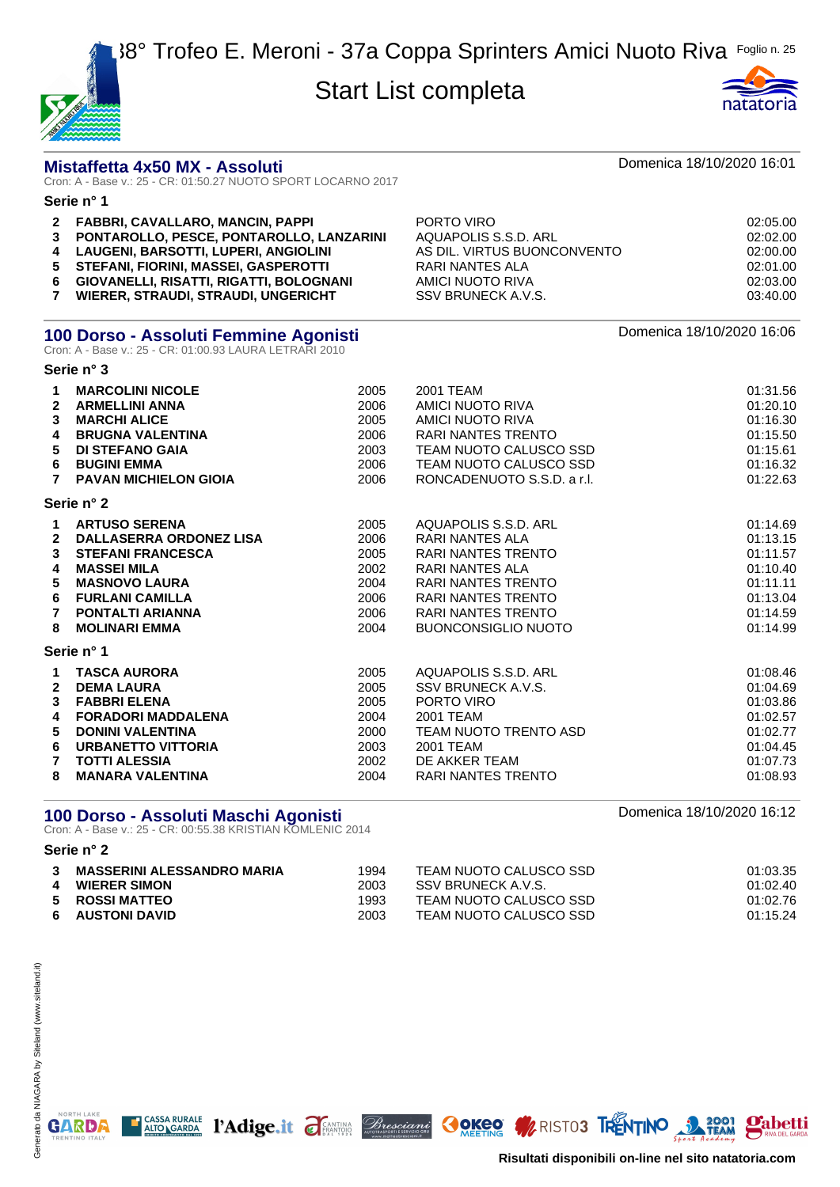



#### **Mistaffetta 4x50 MX - Assoluti** Domenica 18/10/2020 16:01

Cron: A - Base v.: 25 - CR: 01:50.27 NUOTO SPORT LOCARNO 2017

#### **Serie n° 1 FABBRI, CAVALLARO, MANCIN, PAPPI** PORTO VIRO 02:05.00 **PONTAROLLO, PESCE, PONTAROLLO, LANZARINI** AQUAPOLIS S.S.D. ARL 02:02.00 **LAUGENI, BARSOTTI, LUPERI, ANGIOLINI** AS DIL. VIRTUS BUONCONVENTO 02:00.00 **STEFANI, FIORINI, MASSEI, GASPEROTTI** RARI NANTES ALA 02:01.00 **GIOVANELLI, RISATTI, RIGATTI, BOLOGNANI** AMICI NUOTO RIVA 02:03.00 **WIERER, STRAUDI, STRAUDI, UNGERICHT** SSV BRUNECK A.V.S. 03:40.00

#### **100 Dorso - Assoluti Femmine Agonisti 100 Domenica 18/10/2020 16:06**

Cron: A - Base v.: 25 - CR: 01:00.93 LAURA LETRARI 2010

**Serie n° 3**

| 1<br>$\overline{2}$<br>3<br>4<br>5<br>6<br>$\overline{7}$   | <b>MARCOLINI NICOLE</b><br><b>ARMELLINI ANNA</b><br><b>MARCHI ALICE</b><br><b>BRUGNA VALENTINA</b><br>DI STEFANO GAIA<br><b>BUGINI EMMA</b><br><b>PAVAN MICHIELON GIOIA</b>                                   | 2005<br>2006<br>2005<br>2006<br>2003<br>2006<br>2006         | 2001 TEAM<br>AMICI NUOTO RIVA<br>AMICI NUOTO RIVA<br><b>RARI NANTES TRENTO</b><br>TEAM NUOTO CALUSCO SSD<br>TEAM NUOTO CALUSCO SSD<br>RONCADENUOTO S.S.D. a r.l.                                             | 01:31.56<br>01:20.10<br>01:16.30<br>01:15.50<br>01:15.61<br>01:16.32<br>01:22.63             |
|-------------------------------------------------------------|---------------------------------------------------------------------------------------------------------------------------------------------------------------------------------------------------------------|--------------------------------------------------------------|--------------------------------------------------------------------------------------------------------------------------------------------------------------------------------------------------------------|----------------------------------------------------------------------------------------------|
|                                                             | Serie n° 2                                                                                                                                                                                                    |                                                              |                                                                                                                                                                                                              |                                                                                              |
| $\mathbf 1$<br>$\overline{2}$<br>3<br>4<br>5<br>6<br>7<br>8 | <b>ARTUSO SERENA</b><br><b>DALLASERRA ORDONEZ LISA</b><br><b>STEFANI FRANCESCA</b><br><b>MASSEI MILA</b><br><b>MASNOVO LAURA</b><br><b>FURLANI CAMILLA</b><br><b>PONTALTI ARIANNA</b><br><b>MOLINARI EMMA</b> | 2005<br>2006<br>2005<br>2002<br>2004<br>2006<br>2006<br>2004 | AQUAPOLIS S.S.D. ARL<br><b>RARI NANTES ALA</b><br>RARI NANTES TRENTO<br>RARI NANTES ALA<br><b>RARI NANTES TRENTO</b><br><b>RARI NANTES TRENTO</b><br><b>RARI NANTES TRENTO</b><br><b>BUONCONSIGLIO NUOTO</b> | 01:14.69<br>01:13.15<br>01:11.57<br>01:10.40<br>01:11.11<br>01:13.04<br>01:14.59<br>01:14.99 |
|                                                             | Serie n° 1                                                                                                                                                                                                    |                                                              |                                                                                                                                                                                                              |                                                                                              |
| 1<br>$\mathbf{2}$<br>3<br>4<br>5<br>6<br>7                  | <b>TASCA AURORA</b><br><b>DEMA LAURA</b><br><b>FABBRI ELENA</b><br><b>FORADORI MADDALENA</b><br><b>DONINI VALENTINA</b><br><b>URBANETTO VITTORIA</b><br><b>TOTTI ALESSIA</b>                                  | 2005<br>2005<br>2005<br>2004<br>2000<br>2003<br>2002         | AQUAPOLIS S.S.D. ARL<br>SSV BRUNECK A.V.S.<br>PORTO VIRO<br>2001 TEAM<br>TEAM NUOTO TRENTO ASD<br>2001 TEAM<br>DE AKKER TEAM                                                                                 | 01:08.46<br>01:04.69<br>01:03.86<br>01:02.57<br>01:02.77<br>01:04.45<br>01:07.73             |
| 8                                                           | <b>MANARA VALENTINA</b>                                                                                                                                                                                       | 2004                                                         | <b>RARI NANTES TRENTO</b>                                                                                                                                                                                    | 01:08.93                                                                                     |

#### **100 Dorso - Assoluti Maschi Agonisti 100 Domenica 18/10/2020 16:12**

Cron: A - Base v.: 25 - CR: 00:55.38 KRISTIAN KOMLENIC 2014

|   | <b>MASSERINI ALESSANDRO MARIA</b> | 1994 | TEAM NUOTO CALUSCO SSD | 01:03.35 |
|---|-----------------------------------|------|------------------------|----------|
| 4 | <b>WIERER SIMON</b>               | 2003 | SSV BRUNECK A.V.S.     | 01:02.40 |
|   | 5 ROSSI MATTEO                    | 1993 | TEAM NUOTO CALUSCO SSD | 01:02.76 |
|   | 6 AUSTONI DAVID                   | 2003 | TEAM NUOTO CALUSCO SSD | 01:15.24 |

CASSA RURALE PACISC TENTION Bresciani OOKEO WRISTOS TRENTINO

**Mabetti** 



**Serie n° 2**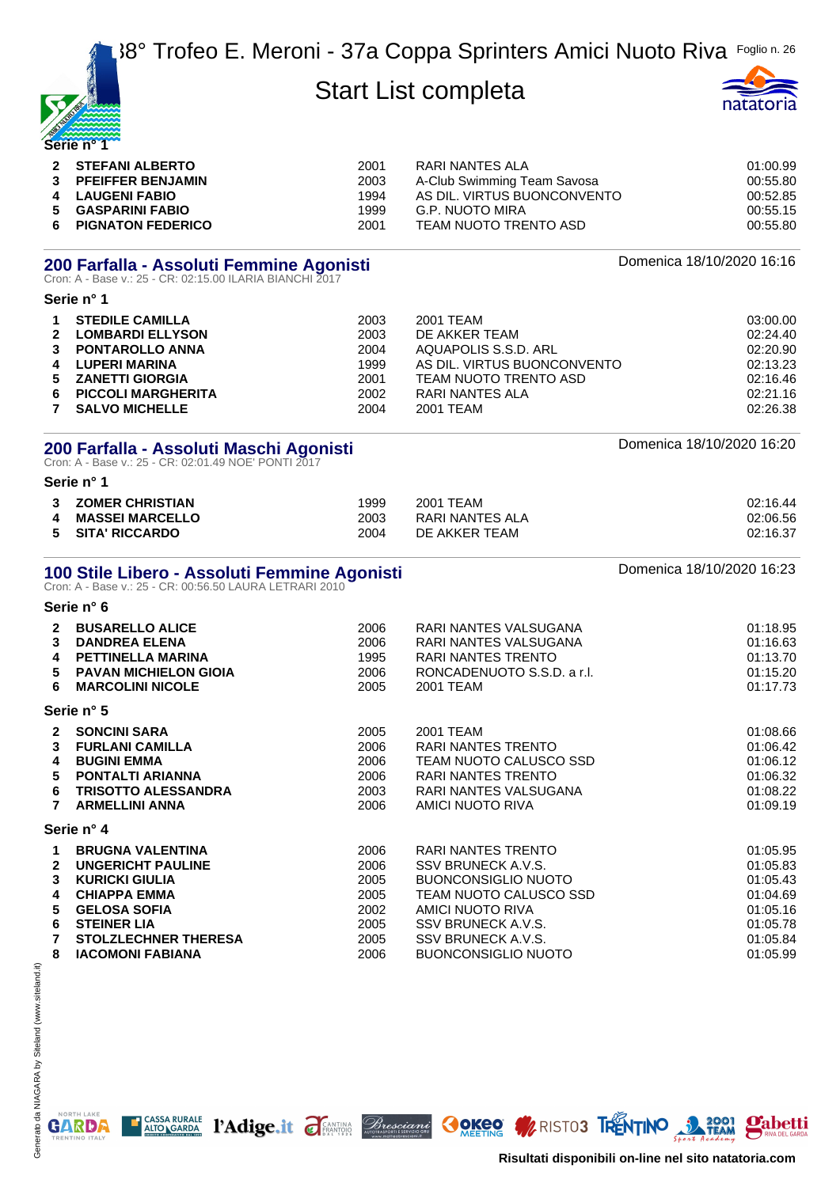| WO NEWS YOU |  |
|-------------|--|
|             |  |
| Serie n°    |  |



| 2 STEFANI ALBERTO   | 2001 | RARI NANTES ALA             | 01:00.99 |
|---------------------|------|-----------------------------|----------|
| 3 PFEIFFER BENJAMIN | 2003 | A-Club Swimming Team Savosa | 00:55.80 |
| 4 LAUGENI FABIO     | 1994 | AS DIL. VIRTUS BUONCONVENTO | 00:52.85 |
| 5 GASPARINI FABIO   | 1999 | G.P. NUOTO MIRA             | 00:55.15 |
| 6 PIGNATON FEDERICO | 2001 | TEAM NUOTO TRENTO ASD       | 00:55.80 |

# **200 Farfalla - Assoluti Femmine Agonisti** and an anno 2000 Domenica 18/10/2020 16:16<br>Cron: A - Base v.: 25 - CR: 02:15.00 ILARIA BIANCHI 2017

| <b>SELIA II</b> |  |
|-----------------|--|
| -----           |  |

**Serie n° 1**

| <b>STEDILE CAMILLA</b>  | 2003 | 2001 TEAM                   | 03:00.00 |
|-------------------------|------|-----------------------------|----------|
| 2 LOMBARDI ELLYSON      | 2003 | DE AKKER TEAM               | 02:24.40 |
| 3 PONTAROLLO ANNA       | 2004 | AQUAPOLIS S.S.D. ARL        | 02:20.90 |
| 4 LUPERI MARINA         | 1999 | AS DIL. VIRTUS BUONCONVENTO | 02:13.23 |
| 5 ZANETTI GIORGIA       | 2001 | TEAM NUOTO TRENTO ASD       | 02:16.46 |
| 6 PICCOLI MARGHERITA    | 2002 | RARI NANTES ALA             | 02:21.16 |
| <b>7 SALVO MICHELLE</b> | 2004 | 2001 TEAM                   | 02:26.38 |

# **200 Farfalla - Assoluti Maschi Agonisti** dhe anns anns anns an Domenica 18/10/2020 16:20<br>Cron: A - Base v.: 25 - CR: 02:01.49 NOE' PONTI 2017

**Serie n° 1 ZOMER CHRISTIAN** 1999 2001 TEAM 02:16.44

| 4 MASSEI MARCELLO | 2003 | RARI NANTES ALA | 02:06.56 |
|-------------------|------|-----------------|----------|
| 5 SITA' RICCARDO  | 2004 | DE AKKER TEAM   | 02:16.37 |
|                   |      |                 |          |

# **100 Stile Libero - Assoluti Femmine Agonisti** and the comment of the Domenica 18/10/2020 16:23<br>Cron: A - Base v.: 25 - CR: 00:56.50 LAURA LETRARI 2010

|                                          | Serie n° 6                                                                                                                                                                      |                                                      |                                                                                                                                                                  |                                                                                  |
|------------------------------------------|---------------------------------------------------------------------------------------------------------------------------------------------------------------------------------|------------------------------------------------------|------------------------------------------------------------------------------------------------------------------------------------------------------------------|----------------------------------------------------------------------------------|
| $\mathbf{2}$<br>3<br>4<br>5<br>6         | <b>BUSARELLO ALICE</b><br><b>DANDREA ELENA</b><br>PETTINELLA MARINA<br><b>PAVAN MICHIELON GIOIA</b><br><b>MARCOLINI NICOLE</b>                                                  | 2006<br>2006<br>1995<br>2006<br>2005                 | RARI NANTES VALSUGANA<br>RARI NANTES VALSUGANA<br>RARI NANTES TRENTO<br>RONCADENUOTO S.S.D. a r.l.<br>2001 TEAM                                                  | 01:18.95<br>01:16.63<br>01:13.70<br>01:15.20<br>01:17.73                         |
|                                          | Serie n° 5                                                                                                                                                                      |                                                      |                                                                                                                                                                  |                                                                                  |
| $\mathbf{2}$<br>3<br>4<br>5<br>6<br>7    | <b>SONCINI SARA</b><br><b>FURLANI CAMILLA</b><br><b>BUGINI EMMA</b><br><b>PONTALTI ARIANNA</b><br><b>TRISOTTO ALESSANDRA</b><br><b>ARMELLINI ANNA</b>                           | 2005<br>2006<br>2006<br>2006<br>2003<br>2006         | 2001 TEAM<br>RARI NANTES TRENTO<br>TEAM NUOTO CALUSCO SSD<br><b>RARI NANTES TRENTO</b><br>RARI NANTES VALSUGANA<br>AMICI NUOTO RIVA                              | 01:08.66<br>01:06.42<br>01:06.12<br>01:06.32<br>01:08.22<br>01:09.19             |
|                                          | Serie n° 4                                                                                                                                                                      |                                                      |                                                                                                                                                                  |                                                                                  |
| 1.<br>$\overline{2}$<br>3<br>4<br>5<br>6 | <b>BRUGNA VALENTINA</b><br><b>UNGERICHT PAULINE</b><br><b>KURICKI GIULIA</b><br><b>CHIAPPA EMMA</b><br><b>GELOSA SOFIA</b><br><b>STEINER LIA</b><br><b>STOLZLECHNER THERESA</b> | 2006<br>2006<br>2005<br>2005<br>2002<br>2005<br>2005 | RARI NANTES TRENTO<br>SSV BRUNECK A.V.S.<br><b>BUONCONSIGLIO NUOTO</b><br>TEAM NUOTO CALUSCO SSD<br>AMICI NUOTO RIVA<br>SSV BRUNECK A.V.S.<br>SSV BRUNECK A.V.S. | 01:05.95<br>01:05.83<br>01:05.43<br>01:04.69<br>01:05.16<br>01:05.78<br>01:05.84 |
| 8                                        | <b>IACOMONI FABIANA</b>                                                                                                                                                         | 2006                                                 | <b>BUONCONSIGLIO NUOTO</b>                                                                                                                                       | 01:05.99                                                                         |

T CASSA RURALE PAdige.it FEANTING *Bresciani* OOKEO MARISTO3 TRENTINO 3 TEAM

NORTH LAKE

**GARDA** 



**Pabetti**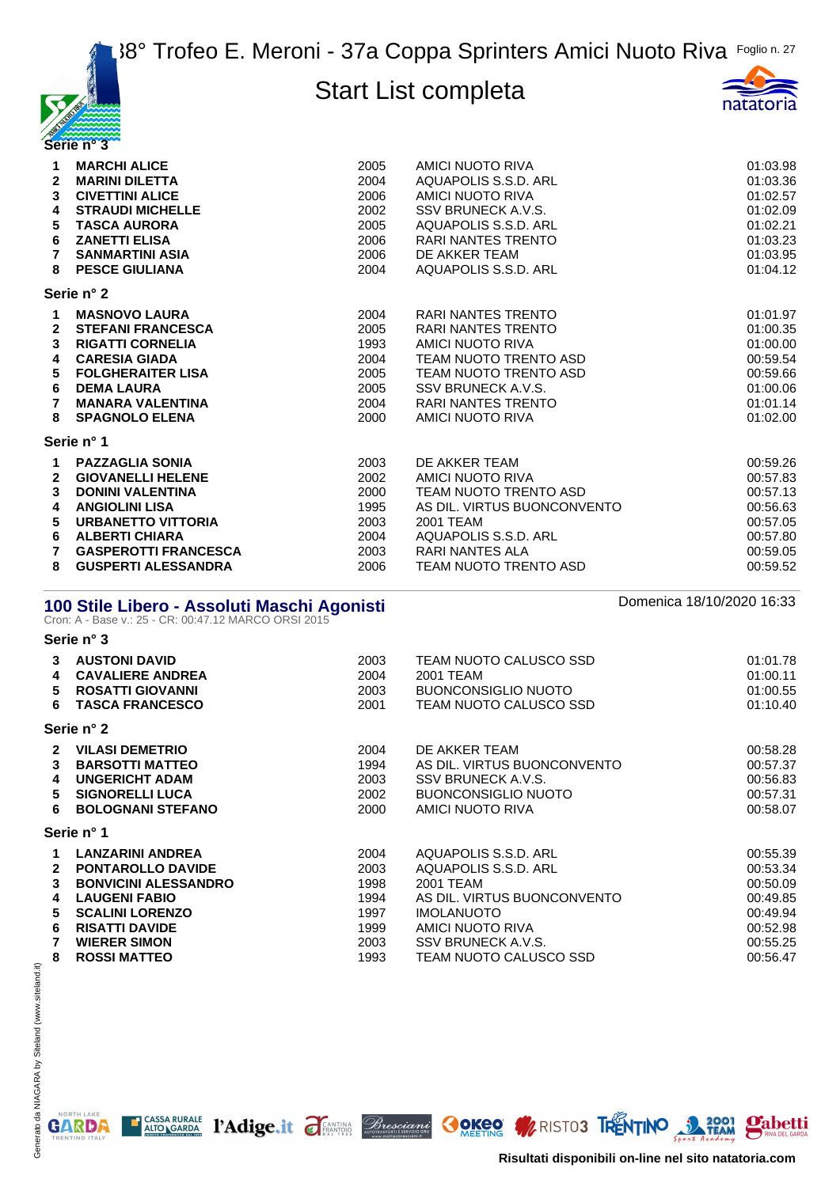



| 1                       | <b>MARCHI ALICE</b>                                                                                 | 2005 | AMICI NUOTO RIVA              | 01:03.98                  |
|-------------------------|-----------------------------------------------------------------------------------------------------|------|-------------------------------|---------------------------|
| $\mathbf{2}$            | <b>MARINI DILETTA</b>                                                                               | 2004 | AQUAPOLIS S.S.D. ARL          | 01:03.36                  |
| 3                       | <b>CIVETTINI ALICE</b>                                                                              | 2006 | <b>AMICI NUOTO RIVA</b>       | 01:02.57                  |
| 4                       | <b>STRAUDI MICHELLE</b>                                                                             | 2002 | SSV BRUNECK A.V.S.            | 01:02.09                  |
| 5                       | <b>TASCA AURORA</b>                                                                                 | 2005 | AQUAPOLIS S.S.D. ARL          | 01:02.21                  |
| 6                       | <b>ZANETTI ELISA</b>                                                                                | 2006 | <b>RARI NANTES TRENTO</b>     | 01:03.23                  |
| $\overline{7}$          | <b>SANMARTINI ASIA</b>                                                                              | 2006 | DE AKKER TEAM                 | 01:03.95                  |
| 8                       | <b>PESCE GIULIANA</b>                                                                               | 2004 | AQUAPOLIS S.S.D. ARL          | 01:04.12                  |
|                         | Serie n° 2                                                                                          |      |                               |                           |
| $\mathbf 1$             | <b>MASNOVO LAURA</b>                                                                                | 2004 | <b>RARI NANTES TRENTO</b>     | 01:01.97                  |
| $\mathbf{2}$            | <b>STEFANI FRANCESCA</b>                                                                            | 2005 | <b>RARI NANTES TRENTO</b>     | 01:00.35                  |
| 3                       | <b>RIGATTI CORNELIA</b>                                                                             | 1993 | <b>AMICI NUOTO RIVA</b>       | 01:00.00                  |
| 4                       | <b>CARESIA GIADA</b>                                                                                | 2004 | TEAM NUOTO TRENTO ASD         | 00:59.54                  |
| 5                       | <b>FOLGHERAITER LISA</b>                                                                            | 2005 | TEAM NUOTO TRENTO ASD         | 00:59.66                  |
| 6                       | <b>DEMA LAURA</b>                                                                                   | 2005 | SSV BRUNECK A.V.S.            | 01:00.06                  |
| $\overline{7}$          | <b>MANARA VALENTINA</b>                                                                             | 2004 | <b>RARI NANTES TRENTO</b>     | 01:01.14                  |
| 8                       | <b>SPAGNOLO ELENA</b>                                                                               | 2000 | AMICI NUOTO RIVA              | 01:02.00                  |
|                         | Serie n° 1                                                                                          |      |                               |                           |
| 1                       | <b>PAZZAGLIA SONIA</b>                                                                              | 2003 | DE AKKER TEAM                 | 00:59.26                  |
| $\mathbf{2}$            | <b>GIOVANELLI HELENE</b>                                                                            | 2002 | <b>AMICI NUOTO RIVA</b>       | 00:57.83                  |
| 3                       | <b>DONINI VALENTINA</b>                                                                             | 2000 | TEAM NUOTO TRENTO ASD         | 00:57.13                  |
| 4                       | <b>ANGIOLINI LISA</b>                                                                               | 1995 | AS DIL. VIRTUS BUONCONVENTO   | 00:56.63                  |
| 5                       | <b>URBANETTO VITTORIA</b>                                                                           | 2003 | 2001 TEAM                     | 00:57.05                  |
| 6                       | <b>ALBERTI CHIARA</b>                                                                               | 2004 | AQUAPOLIS S.S.D. ARL          | 00:57.80                  |
| 7                       | <b>GASPEROTTI FRANCESCA</b>                                                                         | 2003 | <b>RARI NANTES ALA</b>        | 00:59.05                  |
| 8                       | <b>GUSPERTI ALESSANDRA</b>                                                                          | 2006 | <b>TEAM NUOTO TRENTO ASD</b>  | 00:59.52                  |
|                         | 100 Stile Libero - Assoluti Maschi Agonisti<br>Cron: A - Base v.: 25 - CR: 00:47.12 MARCO ORSI 2015 |      |                               | Domenica 18/10/2020 16:33 |
|                         | Serie n° 3                                                                                          |      |                               |                           |
| 3                       | <b>AUSTONI DAVID</b>                                                                                | 2003 | TEAM NUOTO CALUSCO SSD        | 01:01.78                  |
| $\overline{\mathbf{4}}$ | <b>CAVALIERE ANDREA</b>                                                                             | 2004 | 2001 TEAM                     | 01:00.11                  |
| 5                       | <b>ROSATTI GIOVANNI</b>                                                                             | 2003 | <b>BUONCONSIGLIO NUOTO</b>    | 01:00.55                  |
| 6                       | <b>TASCA FRANCESCO</b>                                                                              | 2001 | <b>TEAM NUOTO CALUSCO SSD</b> | 01:10.40                  |

**Serie n° 2**

| $\mathbf{P}$ | <b>VILASI DEMETRIO</b>      | 2004 | DE AKKER TEAM               | 00:58.28 |
|--------------|-----------------------------|------|-----------------------------|----------|
| 3            | <b>BARSOTTI MATTEO</b>      | 1994 | AS DIL. VIRTUS BUONCONVENTO | 00:57.37 |
| 4            | <b>UNGERICHT ADAM</b>       | 2003 | SSV BRUNECK A.V.S.          | 00:56.83 |
| 5.           | <b>SIGNORELLI LUCA</b>      | 2002 | BUONCONSIGLIO NUOTO         | 00:57.31 |
| 6.           | <b>BOLOGNANI STEFANO</b>    | 2000 | AMICI NUOTO RIVA            | 00:58.07 |
|              | Serie n° 1                  |      |                             |          |
|              | <b>LANZARINI ANDREA</b>     | 2004 | AQUAPOLIS S.S.D. ARL        | 00:55.39 |
| $\mathbf{2}$ | <b>PONTAROLLO DAVIDE</b>    | 2003 | AQUAPOLIS S.S.D. ARL        | 00:53.34 |
| 3            | <b>BONVICINI ALESSANDRO</b> | 1998 | 2001 TEAM                   | 00:50.09 |
| 4            | <b>LAUGENI FABIO</b>        | 1994 | AS DIL. VIRTUS BUONCONVENTO | 00:49.85 |
| 5.           | <b>SCALINI LORENZO</b>      | 1997 | <b>IMOLANUOTO</b>           | 00:49.94 |

| <b>5 SCALINI LORENZO</b> | 1997 | <b>IMOLANUOTO</b>      | 00:49.94 |
|--------------------------|------|------------------------|----------|
| 6 RISATTI DAVIDE         | 1999 | AMICI NUOTO RIVA       | 00:52.98 |
| <b>WIERER SIMON</b>      | 2003 | SSV BRUNECK A.V.S.     | 00:55.25 |
| 8 ROSSI MATTEO           | 1993 | TEAM NUOTO CALUSCO SSD | 00:56.47 |
|                          |      |                        |          |

**E CASSA RURALE PAdige.it FEATING Bresciant OOKEO WRISTOS TRENTINO 3 2001 Pabetti**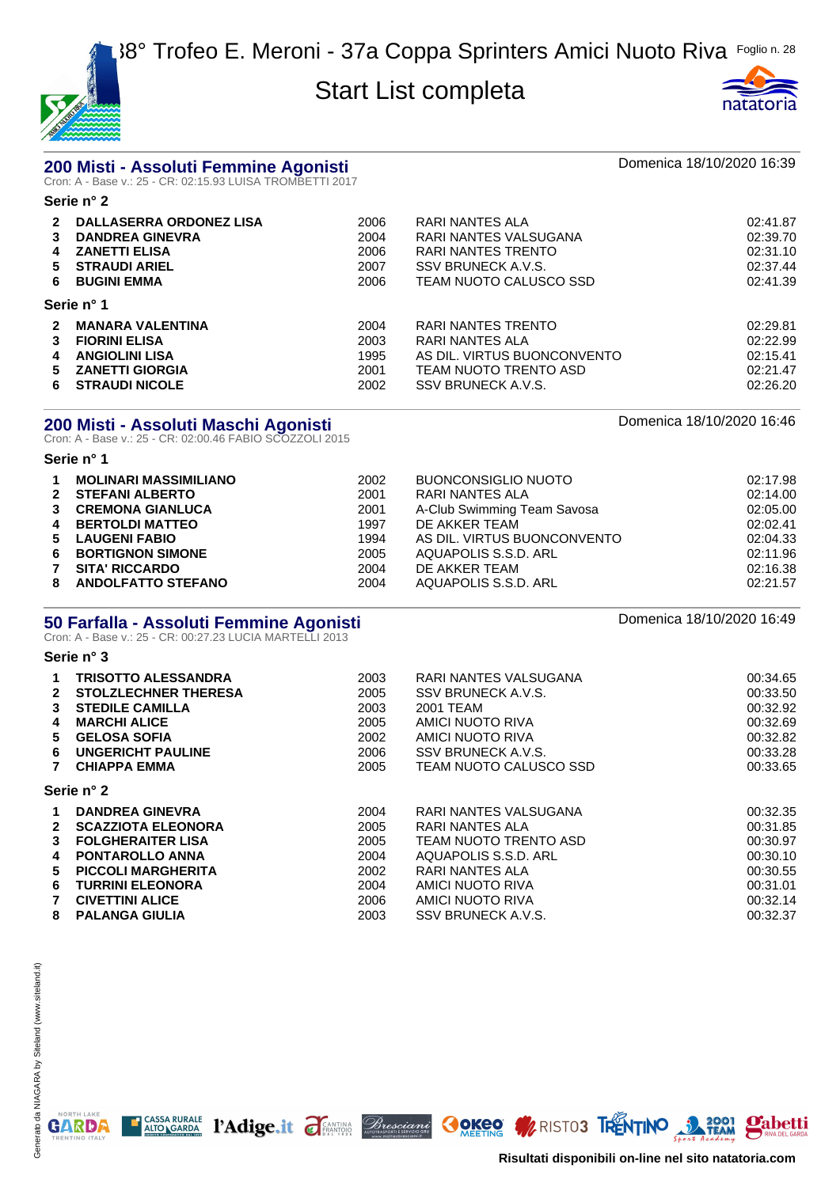

**Serie n° 2**



# **200 Misti - Assoluti Femmine Agonisti** Domenica 18/10/2020 16:39 Cron: A - Base v.: 25 - CR: 02:15.93 LUISA TROMBETTI 2017

| $\boldsymbol{P}$<br>3<br>4<br>5.<br>6. | <b>DALLASERRA ORDONEZ LISA</b><br><b>DANDREA GINEVRA</b><br><b>ZANETTI ELISA</b><br><b>STRAUDI ARIEL</b><br><b>BUGINI EMMA</b> | 2006<br>2004<br>2006<br>2007<br>2006 | RARI NANTES ALA<br>RARI NANTES VALSUGANA<br>RARI NANTES TRENTO<br>SSV BRUNECK A.V.S.<br>TEAM NUOTO CALUSCO SSD | 02:41.87<br>02:39.70<br>02:31.10<br>02:37.44<br>02:41.39 |
|----------------------------------------|--------------------------------------------------------------------------------------------------------------------------------|--------------------------------------|----------------------------------------------------------------------------------------------------------------|----------------------------------------------------------|
|                                        | Serie n° 1                                                                                                                     |                                      |                                                                                                                |                                                          |
|                                        | <b>MANARA VALENTINA</b>                                                                                                        | 2004                                 | RARI NANTES TRENTO                                                                                             | 02:29.81                                                 |
|                                        | <b>FIORINI ELISA</b>                                                                                                           | 2003                                 | RARI NANTES ALA                                                                                                | 02:22.99                                                 |
| 4                                      | <b>ANGIOLINI LISA</b>                                                                                                          | 1995                                 | AS DIL. VIRTUS BUONCONVENTO                                                                                    | 02:15.41                                                 |
| 5.                                     | <b>ZANETTI GIORGIA</b>                                                                                                         | 2001                                 | TEAM NUOTO TRENTO ASD                                                                                          | 02:21.47                                                 |
| 6.                                     | <b>STRAUDI NICOLE</b>                                                                                                          | 2002                                 | SSV BRUNECK A.V.S.                                                                                             | 02:26.20                                                 |

# **200 Misti - Assoluti Maschi Agonisti** Domenica 18/10/2020 16:46 Cron: A - Base v.: 25 - CR: 02:00.46 FABIO SCOZZOLI 2015

#### **Serie n° 1**

**Serie n° 3**

| $\mathbf 1$ | <b>MOLINARI MASSIMILIANO</b> | 2002 | <b>BUONCONSIGLIO NUOTO</b>  | 02:17.98 |
|-------------|------------------------------|------|-----------------------------|----------|
|             | 2 STEFANI ALBERTO            | 2001 | RARI NANTES ALA             | 02:14.00 |
|             | 3 CREMONA GIANLUCA           | 2001 | A-Club Swimming Team Savosa | 02:05.00 |
|             | 4 BERTOLDI MATTEO            | 1997 | DE AKKER TEAM               | 02:02.41 |
|             | 5 LAUGENI FABIO              | 1994 | AS DIL. VIRTUS BUONCONVENTO | 02:04.33 |
|             | 6 BORTIGNON SIMONE           | 2005 | AQUAPOLIS S.S.D. ARL        | 02:11.96 |
|             | 7 SITA' RICCARDO             | 2004 | DE AKKER TEAM               | 02:16.38 |
|             | 8 ANDOLFATTO STEFANO         | 2004 | AQUAPOLIS S.S.D. ARL        | 02:21.57 |

# **50 Farfalla - Assoluti Femmine Agonisti** and the comment of the Domenica 18/10/2020 16:49<br>Cron: A - Base v.: 25 - CR: 00:27.23 LUCIA MARTELLI 2013

|              | <b>TRISOTTO ALESSANDRA</b>  | 2003 | RARI NANTES VALSUGANA  | 00:34.65 |
|--------------|-----------------------------|------|------------------------|----------|
| $\mathbf{2}$ | <b>STOLZLECHNER THERESA</b> | 2005 | SSV BRUNECK A.V.S.     | 00:33.50 |
| 3            | <b>STEDILE CAMILLA</b>      | 2003 | 2001 TEAM              | 00:32.92 |
| 4            | <b>MARCHI ALICE</b>         | 2005 | AMICI NUOTO RIVA       | 00:32.69 |
| 5.           | <b>GELOSA SOFIA</b>         | 2002 | AMICI NUOTO RIVA       | 00:32.82 |
| 6            | <b>UNGERICHT PAULINE</b>    | 2006 | SSV BRUNECK A.V.S.     | 00:33.28 |
| 7            | <b>CHIAPPA EMMA</b>         | 2005 | TEAM NUOTO CALUSCO SSD | 00:33.65 |
|              | Serie n° 2                  |      |                        |          |
| 1            | <b>DANDREA GINEVRA</b>      | 2004 | RARI NANTES VALSUGANA  | 00:32.35 |
| $\mathbf{2}$ | <b>SCAZZIOTA ELEONORA</b>   | 2005 | RARI NANTES ALA        | 00:31.85 |
| 3            | <b>FOLGHERAITER LISA</b>    | 2005 | TEAM NUOTO TRENTO ASD  | 00:30.97 |
| 4            | <b>PONTAROLLO ANNA</b>      | 2004 | AQUAPOLIS S.S.D. ARL   | 00:30.10 |
| 5.           | <b>PICCOLI MARGHERITA</b>   | 2002 | RARI NANTES ALA        | 00:30.55 |
| 6            | <b>TURRINI ELEONORA</b>     | 2004 | AMICI NUOTO RIVA       | 00:31.01 |
|              | <b>CIVETTINI ALICE</b>      | 2006 | AMICI NUOTO RIVA       | 00:32.14 |
| 8            | <b>PALANGA GIULIA</b>       | 2003 | SSV BRUNECK A.V.S.     | 00:32.37 |

CASSA RURALE PAdige.it FEANTING *Bresciani* OOKeo WRISTO3 TRENTINO 22001 Pabetti

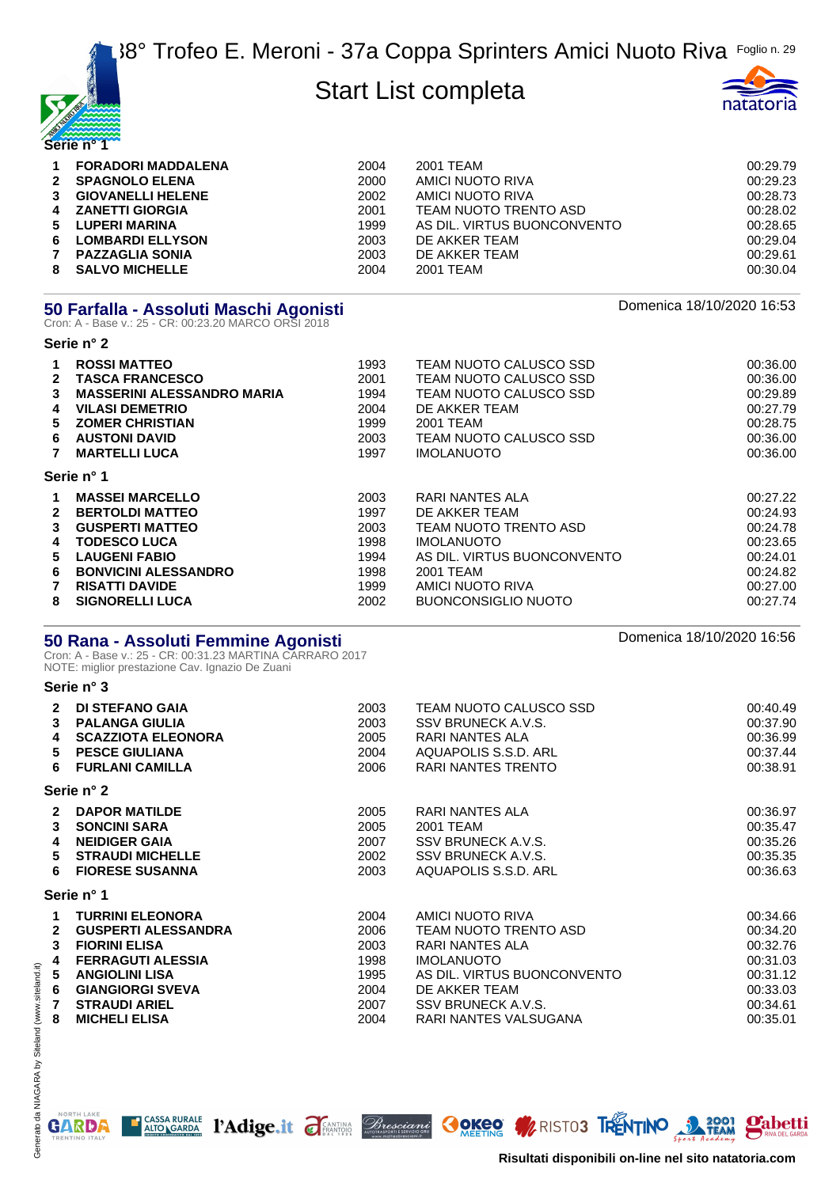



| $\mathbf 1$<br>$2^{\circ}$<br>3 | <b>FORADORI MADDALENA</b><br><b>SPAGNOLO ELENA</b><br><b>GIOVANELLI HELENE</b><br>4 ZANETTI GIORGIA<br>5 LUPERI MARINA | 2004<br>2000<br>2002<br>2001<br>1999 | 2001 TEAM<br>AMICI NUOTO RIVA<br>AMICI NUOTO RIVA<br>TEAM NUOTO TRENTO ASD<br>AS DIL. VIRTUS BUONCONVENTO | 00:29.79<br>00:29.23<br>00:28.73<br>00:28.02<br>00:28.65 |
|---------------------------------|------------------------------------------------------------------------------------------------------------------------|--------------------------------------|-----------------------------------------------------------------------------------------------------------|----------------------------------------------------------|
| 6.<br>7                         | <b>LOMBARDI ELLYSON</b><br><b>PAZZAGLIA SONIA</b>                                                                      | 2003<br>2003                         | DE AKKER TEAM<br>DE AKKER TEAM                                                                            | 00:29.04<br>00:29.61                                     |
| 8                               | <b>SALVO MICHELLE</b>                                                                                                  | 2004                                 | 2001 TEAM                                                                                                 | 00:30.04                                                 |

# **50 Farfalla - Assoluti Maschi Agonisti** and anno 1992 and anno 2010 Domenica 18/10/2020 16:53<br>Cron: A - Base v.: 25 - CR: 00:23.20 MARCO ORSI 2018

|    | Serie n° 2                        |      |                             |          |
|----|-----------------------------------|------|-----------------------------|----------|
|    | <b>ROSSI MATTEO</b>               | 1993 | TEAM NUOTO CALUSCO SSD      | 00:36.00 |
| 2  | <b>TASCA FRANCESCO</b>            | 2001 | TEAM NUOTO CALUSCO SSD      | 00:36.00 |
| 3  | <b>MASSERINI ALESSANDRO MARIA</b> | 1994 | TEAM NUOTO CALUSCO SSD      | 00:29.89 |
| 4  | <b>VILASI DEMETRIO</b>            | 2004 | DE AKKER TEAM               | 00:27.79 |
| 5. | <b>ZOMER CHRISTIAN</b>            | 1999 | 2001 TEAM                   | 00:28.75 |
| 6  | <b>AUSTONI DAVID</b>              | 2003 | TEAM NUOTO CALUSCO SSD      | 00:36.00 |
|    | <b>MARTELLI LUCA</b>              | 1997 | <b>IMOLANUOTO</b>           | 00:36.00 |
|    | Serie n° 1                        |      |                             |          |
|    | <b>MASSEI MARCELLO</b>            | 2003 | RARI NANTES ALA             | 00:27.22 |
|    | <b>BERTOLDI MATTEO</b>            | 1997 | DE AKKER TEAM               | 00:24.93 |
| 3  | <b>GUSPERTI MATTEO</b>            | 2003 | TEAM NUOTO TRENTO ASD       | 00:24.78 |
| 4  | <b>TODESCO LUCA</b>               | 1998 | <b>IMOLANUOTO</b>           | 00:23.65 |
| 5. | <b>LAUGENI FABIO</b>              | 1994 | AS DIL. VIRTUS BUONCONVENTO | 00:24.01 |
| 6  | <b>BONVICINI ALESSANDRO</b>       | 1998 | 2001 TEAM                   | 00:24.82 |
|    | <b>RISATTI DAVIDE</b>             | 1999 | AMICI NUOTO RIVA            | 00:27.00 |
| 8  | <b>SIGNORELLI LUCA</b>            | 2002 | <b>BUONCONSIGLIO NUOTO</b>  | 00:27.74 |

# **50 Rana - Assoluti Femmine Agonisti** and an announce the communication of the S56 contract 18/10/2020 16:56 contra<br>Cron: A - Base v.: 25 - CR: 00:31.23 MARTINA CARRARO 2017

NOTE: miglior prestazione Cav. Ignazio De Zuani

#### **Serie n° 3**

| $\mathbf{2}$   | <b>DI STEFANO GAIA</b>     | 2003 | TEAM NUOTO CALUSCO SSD      | 00:40.49 |
|----------------|----------------------------|------|-----------------------------|----------|
| 3              | <b>PALANGA GIULIA</b>      | 2003 | SSV BRUNECK A.V.S.          | 00:37.90 |
| 4              | <b>SCAZZIOTA ELEONORA</b>  | 2005 | RARI NANTES ALA             | 00:36.99 |
| 5              | <b>PESCE GIULIANA</b>      | 2004 | AQUAPOLIS S.S.D. ARL        | 00:37.44 |
| 6.             | <b>FURLANI CAMILLA</b>     | 2006 | RARI NANTES TRENTO          | 00:38.91 |
|                | Serie n° 2                 |      |                             |          |
| $\overline{2}$ | <b>DAPOR MATILDE</b>       | 2005 | RARI NANTES ALA             | 00:36.97 |
| $\mathbf{3}$   | <b>SONCINI SARA</b>        | 2005 | 2001 TEAM                   | 00:35.47 |
| 4              | <b>NEIDIGER GAIA</b>       | 2007 | SSV BRUNECK A.V.S.          | 00:35.26 |
| 5              | <b>STRAUDI MICHELLE</b>    | 2002 | SSV BRUNECK A.V.S.          | 00:35.35 |
| 6              | <b>FIORESE SUSANNA</b>     | 2003 | AQUAPOLIS S.S.D. ARL        | 00:36.63 |
|                | Serie n° 1                 |      |                             |          |
| $\mathbf 1$    | <b>TURRINI ELEONORA</b>    | 2004 | AMICI NUOTO RIVA            | 00:34.66 |
| $\mathbf{2}$   | <b>GUSPERTI ALESSANDRA</b> | 2006 | TEAM NUOTO TRENTO ASD       | 00:34.20 |
| 3              | <b>FIORINI ELISA</b>       | 2003 | RARI NANTES ALA             | 00:32.76 |
| 4              | <b>FERRAGUTI ALESSIA</b>   | 1998 | <b>IMOLANUOTO</b>           | 00:31.03 |
| 5              | <b>ANGIOLINI LISA</b>      | 1995 | AS DIL. VIRTUS BUONCONVENTO | 00:31.12 |
| 6              | <b>GIANGIORGI SVEVA</b>    | 2004 | DE AKKER TEAM               | 00:33.03 |
| $\overline{7}$ | <b>STRAUDI ARIEL</b>       | 2007 | SSV BRUNECK A.V.S.          | 00:34.61 |
| 8              | <b>MICHELI ELISA</b>       | 2004 | RARI NANTES VALSUGANA       | 00:35.01 |



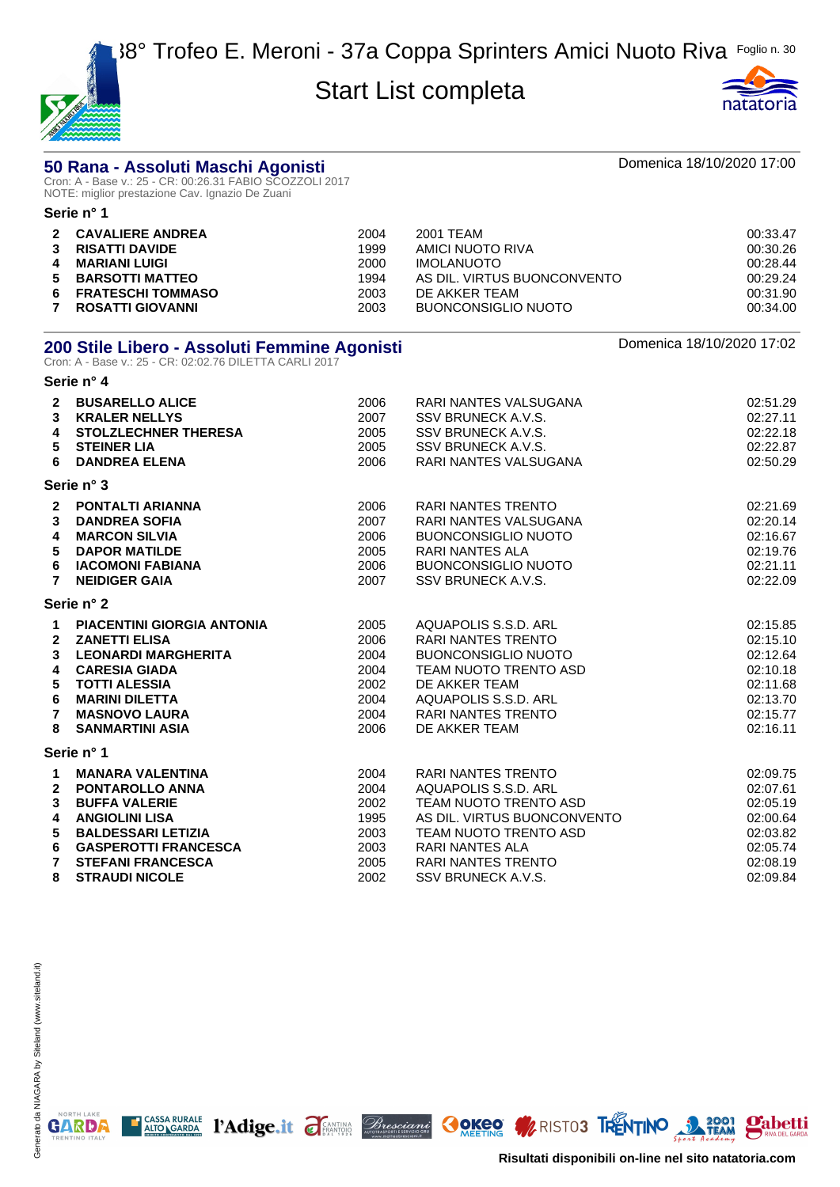

**Serie n° 4**



# **50 Rana - Assoluti Maschi Agonisti** amb anno 1992 ann ann an Domenica 18/10/2020 17:00<br>Cron: A - Base v.: 25 - CR: 00:26.31 FABIO SCOZZOLI 2017

NOTE: miglior prestazione Cav. Ignazio De Zuani

|    | Serie n° 1               |      |                             |          |
|----|--------------------------|------|-----------------------------|----------|
|    | 2 CAVALIERE ANDREA       | 2004 | 2001 TEAM                   | 00:33.47 |
| 3  | <b>RISATTI DAVIDE</b>    | 1999 | AMICI NUOTO RIVA            | 00:30.26 |
| 4  | <b>MARIANI LUIGI</b>     | 2000 | <b>IMOLANUOTO</b>           | 00:28.44 |
|    | 5 BARSOTTI MATTEO        | 1994 | AS DIL. VIRTUS BUONCONVENTO | 00:29.24 |
| 6. | <b>FRATESCHI TOMMASO</b> | 2003 | DE AKKER TEAM               | 00:31.90 |
|    | ROSATTI GIOVANNI         | 2003 | BUONCONSIGLIO NUOTO         | 00:34.00 |

# **200 Stile Libero - Assoluti Femmine Agonisti** and the comment of the Domenica 18/10/2020 17:02<br>Cron: A - Base v.: 25 - CR: 02:02.76 DILETTA CARLI 2017

| $\mathbf{2}$<br>3<br>4<br>5<br>6                                        | <b>BUSARELLO ALICE</b><br><b>KRALER NELLYS</b><br><b>STOLZLECHNER THERESA</b><br><b>STEINER LIA</b><br><b>DANDREA ELENA</b>                                                                                        | 2006<br>2007<br>2005<br>2005<br>2006                         | RARI NANTES VALSUGANA<br>SSV BRUNECK A.V.S.<br>SSV BRUNECK A.V.S.<br>SSV BRUNECK A.V.S.<br>RARI NANTES VALSUGANA                                                                                | 02:51.29<br>02:27.11<br>02:22.18<br>02:22.87<br>02:50.29                                     |
|-------------------------------------------------------------------------|--------------------------------------------------------------------------------------------------------------------------------------------------------------------------------------------------------------------|--------------------------------------------------------------|-------------------------------------------------------------------------------------------------------------------------------------------------------------------------------------------------|----------------------------------------------------------------------------------------------|
|                                                                         | Serie n° 3                                                                                                                                                                                                         |                                                              |                                                                                                                                                                                                 |                                                                                              |
| 3<br>4<br>5<br>6<br>$\overline{7}$                                      | 2 PONTALTI ARIANNA<br><b>DANDREA SOFIA</b><br><b>MARCON SILVIA</b><br><b>DAPOR MATILDE</b><br><b>IACOMONI FABIANA</b><br><b>NEIDIGER GAIA</b>                                                                      | 2006<br>2007<br>2006<br>2005<br>2006<br>2007                 | <b>RARI NANTES TRENTO</b><br>RARI NANTES VALSUGANA<br><b>BUONCONSIGLIO NUOTO</b><br><b>RARI NANTES ALA</b><br><b>BUONCONSIGLIO NUOTO</b><br>SSV BRUNECK A.V.S.                                  | 02:21.69<br>02:20.14<br>02:16.67<br>02:19.76<br>02:21.11<br>02:22.09                         |
|                                                                         | Serie n° 2                                                                                                                                                                                                         |                                                              |                                                                                                                                                                                                 |                                                                                              |
| $\mathbf{1}$<br>$\mathbf{2}$<br>3<br>4<br>5<br>6<br>$\overline{7}$<br>8 | <b>PIACENTINI GIORGIA ANTONIA</b><br><b>ZANETTI ELISA</b><br><b>LEONARDI MARGHERITA</b><br><b>CARESIA GIADA</b><br><b>TOTTI ALESSIA</b><br><b>MARINI DILETTA</b><br><b>MASNOVO LAURA</b><br><b>SANMARTINI ASIA</b> | 2005<br>2006<br>2004<br>2004<br>2002<br>2004<br>2004<br>2006 | AQUAPOLIS S.S.D. ARL<br><b>RARI NANTES TRENTO</b><br><b>BUONCONSIGLIO NUOTO</b><br>TEAM NUOTO TRENTO ASD<br>DE AKKER TEAM<br>AQUAPOLIS S.S.D. ARL<br><b>RARI NANTES TRENTO</b><br>DE AKKER TEAM | 02:15.85<br>02:15.10<br>02:12.64<br>02:10.18<br>02:11.68<br>02:13.70<br>02:15.77<br>02:16.11 |
|                                                                         | Serie n° 1                                                                                                                                                                                                         |                                                              |                                                                                                                                                                                                 |                                                                                              |
| $\mathbf 1$<br>$\mathbf{2}$<br>3<br>4<br>5<br>6                         | <b>MANARA VALENTINA</b><br><b>PONTAROLLO ANNA</b><br><b>BUFFA VALERIE</b><br><b>ANGIOLINI LISA</b><br><b>BALDESSARI LETIZIA</b><br><b>GASPEROTTI FRANCESCA</b>                                                     | 2004<br>2004<br>2002<br>1995<br>2003<br>2003                 | <b>RARI NANTES TRENTO</b><br>AQUAPOLIS S.S.D. ARL<br>TEAM NUOTO TRENTO ASD<br>AS DIL. VIRTUS BUONCONVENTO<br>TEAM NUOTO TRENTO ASD<br><b>RARI NANTES ALA</b>                                    | 02:09.75<br>02:07.61<br>02:05.19<br>02:00.64<br>02:03.82<br>02:05.74                         |
| $\overline{7}$<br>8                                                     | <b>STEFANI FRANCESCA</b><br><b>STRAUDI NICOLE</b>                                                                                                                                                                  | 2005<br>2002                                                 | <b>RARI NANTES TRENTO</b><br>SSV BRUNECK A.V.S.                                                                                                                                                 | 02:08.19<br>02:09.84                                                                         |

T CASSA RURALE PAdige.it FANTING Bresciani OOKEO WRISTOS TRENTINO 3 3001



**Pabetti**